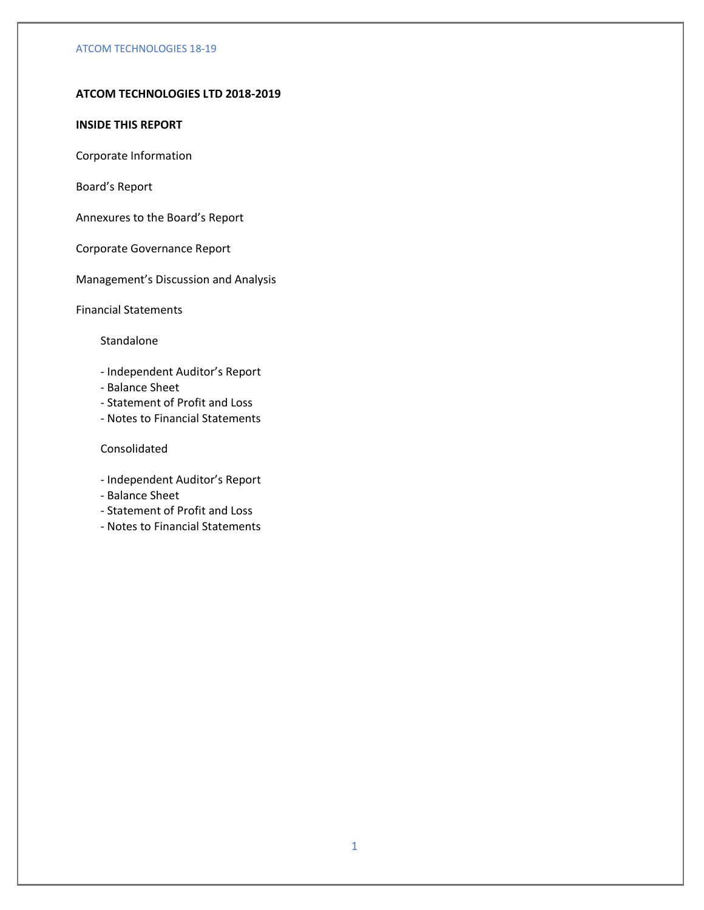# **ATCOM TECHNOLOGIES LTD 2018-2019**

## **INSIDE THIS REPORT**

Corporate Information

Board's Report

Annexures to the Board's Report

Corporate Governance Report

Management's Discussion and Analysis

Financial Statements

## Standalone

- Independent Auditor's Report
- Balance Sheet
- Statement of Profit and Loss
- Notes to Financial Statements

# Consolidated

- Independent Auditor's Report
- Balance Sheet
- Statement of Profit and Loss
- Notes to Financial Statements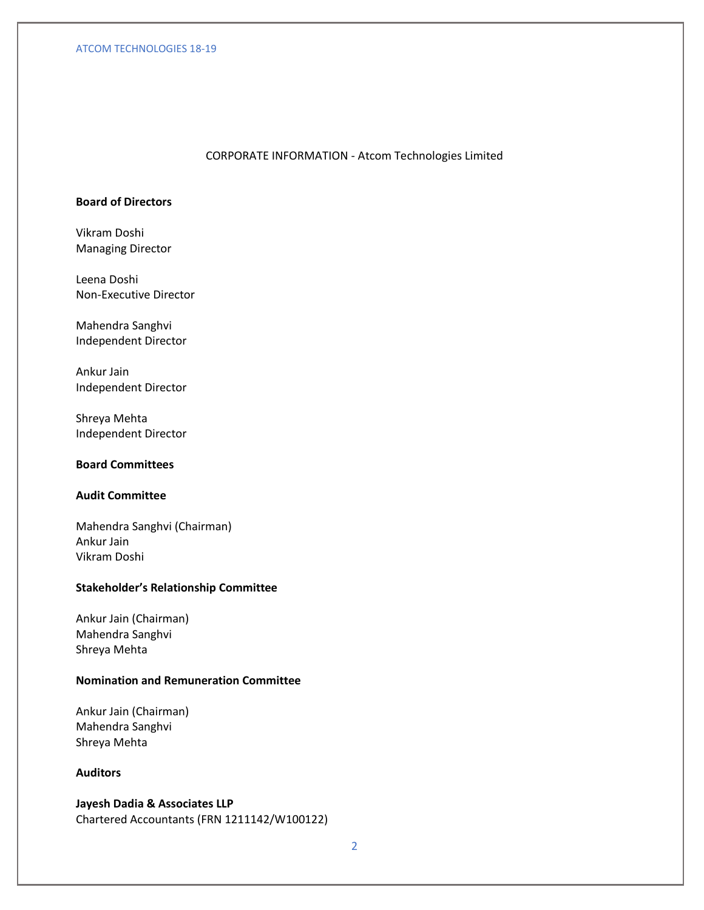## CORPORATE INFORMATION - Atcom Technologies Limited

# **Board of Directors**

Vikram Doshi Managing Director

Leena Doshi Non-Executive Director

Mahendra Sanghvi Independent Director

Ankur Jain Independent Director

Shreya Mehta Independent Director

# **Board Committees**

# **Audit Committee**

Mahendra Sanghvi (Chairman) Ankur Jain Vikram Doshi

# **Stakeholder's Relationship Committee**

Ankur Jain (Chairman) Mahendra Sanghvi Shreya Mehta

# **Nomination and Remuneration Committee**

Ankur Jain (Chairman) Mahendra Sanghvi Shreya Mehta

# **Auditors**

**Jayesh Dadia & Associates LLP** Chartered Accountants (FRN 1211142/W100122)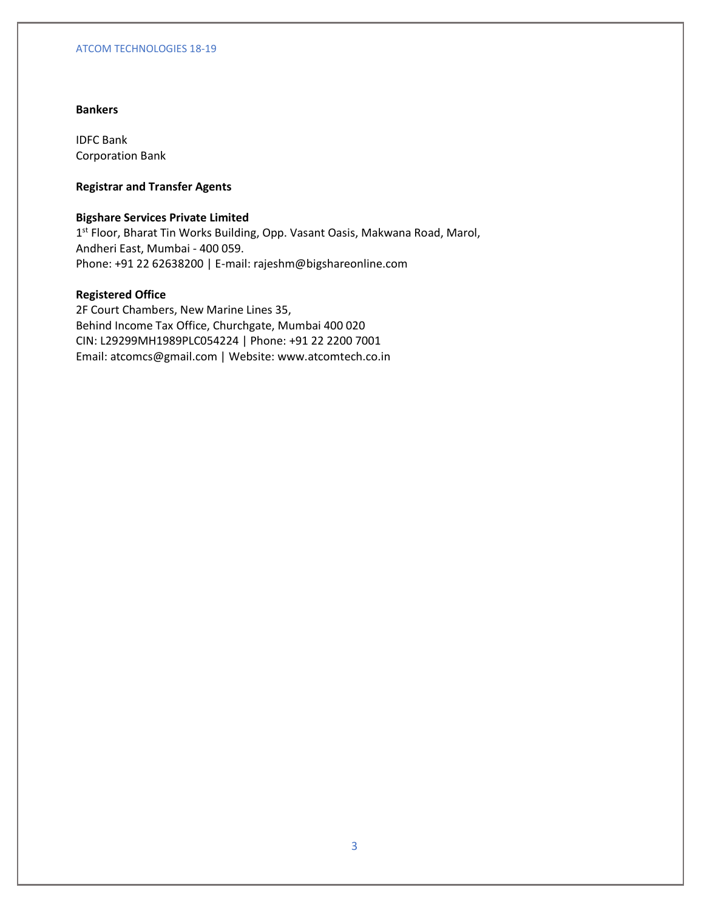# **Bankers**

IDFC Bank Corporation Bank

# **Registrar and Transfer Agents**

# **Bigshare Services Private Limited**

1<sup>st</sup> Floor, Bharat Tin Works Building, Opp. Vasant Oasis, Makwana Road, Marol, Andheri East, Mumbai - 400 059. Phone: +91 22 62638200 | E-mail: rajeshm@bigshareonline.com

## **Registered Office**

2F Court Chambers, New Marine Lines 35, Behind Income Tax Office, Churchgate, Mumbai 400 020 CIN: L29299MH1989PLC054224 | Phone: +91 22 2200 7001 Email: atcomcs@gmail.com | Website: www.atcomtech.co.in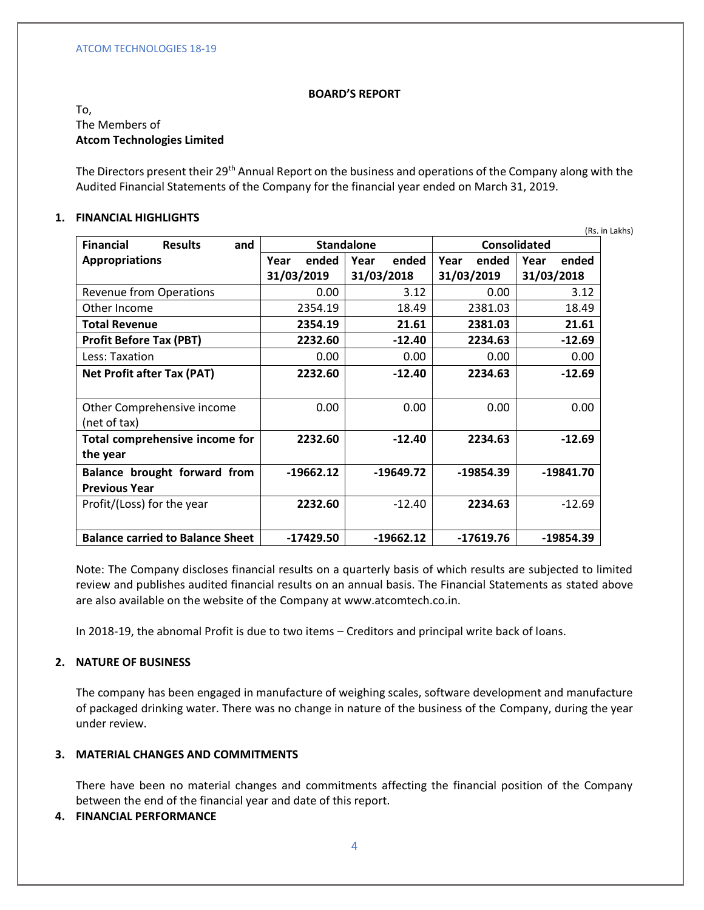## **BOARD'S REPORT**

# To, The Members of **Atcom Technologies Limited**

The Directors present their 29<sup>th</sup> Annual Report on the business and operations of the Company along with the Audited Financial Statements of the Company for the financial year ended on March 31, 2019.

## **1. FINANCIAL HIGHLIGHTS**

|                                           |               |                   |               | (Rs. in Lakhs) |
|-------------------------------------------|---------------|-------------------|---------------|----------------|
| <b>Financial</b><br><b>Results</b><br>and |               | <b>Standalone</b> |               | Consolidated   |
| <b>Appropriations</b>                     | ended<br>Year | ended<br>Year     | ended<br>Year | ended<br>Year  |
|                                           | 31/03/2019    | 31/03/2018        | 31/03/2019    | 31/03/2018     |
| <b>Revenue from Operations</b>            | 0.00          | 3.12              | 0.00          | 3.12           |
| Other Income                              | 2354.19       | 18.49             | 2381.03       | 18.49          |
| <b>Total Revenue</b>                      | 2354.19       | 21.61             | 2381.03       | 21.61          |
| <b>Profit Before Tax (PBT)</b>            | 2232.60       | $-12.40$          | 2234.63       | $-12.69$       |
| Less: Taxation                            | 0.00          | 0.00              | 0.00          | 0.00           |
| <b>Net Profit after Tax (PAT)</b>         | 2232.60       | $-12.40$          | 2234.63       | $-12.69$       |
|                                           |               |                   |               |                |
| Other Comprehensive income                | 0.00          | 0.00              | 0.00          | 0.00           |
| (net of tax)                              |               |                   |               |                |
| Total comprehensive income for            | 2232.60       | $-12.40$          | 2234.63       | $-12.69$       |
| the year                                  |               |                   |               |                |
| Balance brought forward from              | $-19662.12$   | $-19649.72$       | $-19854.39$   | $-19841.70$    |
| <b>Previous Year</b>                      |               |                   |               |                |
| Profit/(Loss) for the year                | 2232.60       | $-12.40$          | 2234.63       | $-12.69$       |
|                                           |               |                   |               |                |
| <b>Balance carried to Balance Sheet</b>   | $-17429.50$   | $-19662.12$       | $-17619.76$   | $-19854.39$    |

Note: The Company discloses financial results on a quarterly basis of which results are subjected to limited review and publishes audited financial results on an annual basis. The Financial Statements as stated above are also available on the website of the Company at www.atcomtech.co.in.

In 2018-19, the abnomal Profit is due to two items – Creditors and principal write back of loans.

# **2. NATURE OF BUSINESS**

The company has been engaged in manufacture of weighing scales, software development and manufacture of packaged drinking water. There was no change in nature of the business of the Company, during the year under review.

# **3. MATERIAL CHANGES AND COMMITMENTS**

There have been no material changes and commitments affecting the financial position of the Company between the end of the financial year and date of this report.

## **4. FINANCIAL PERFORMANCE**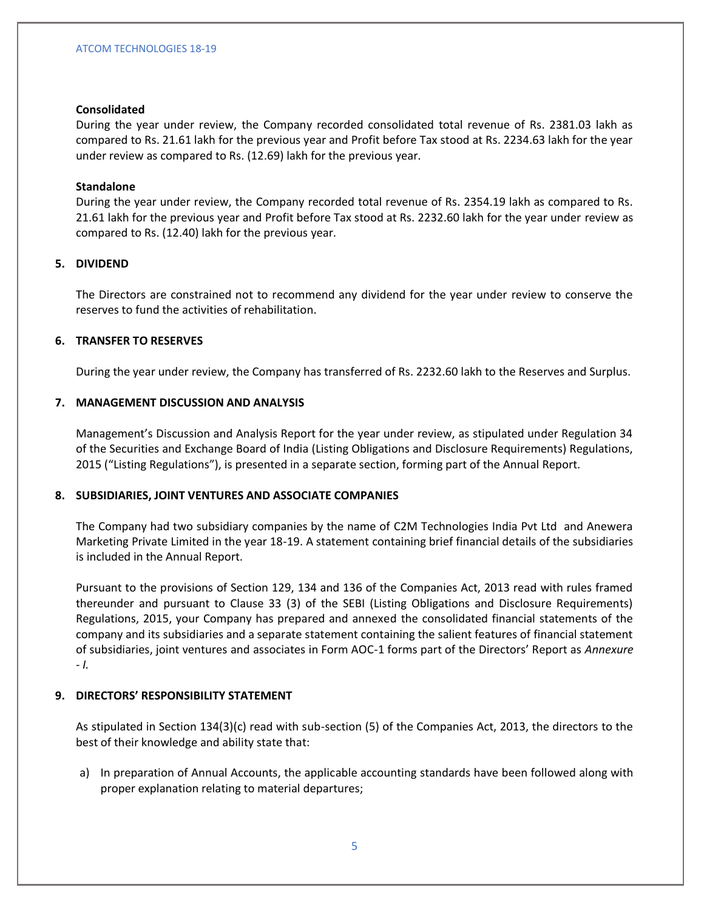## **Consolidated**

During the year under review, the Company recorded consolidated total revenue of Rs. 2381.03 lakh as compared to Rs. 21.61 lakh for the previous year and Profit before Tax stood at Rs. 2234.63 lakh for the year under review as compared to Rs. (12.69) lakh for the previous year.

## **Standalone**

During the year under review, the Company recorded total revenue of Rs. 2354.19 lakh as compared to Rs. 21.61 lakh for the previous year and Profit before Tax stood at Rs. 2232.60 lakh for the year under review as compared to Rs. (12.40) lakh for the previous year.

## **5. DIVIDEND**

The Directors are constrained not to recommend any dividend for the year under review to conserve the reserves to fund the activities of rehabilitation.

# **6. TRANSFER TO RESERVES**

During the year under review, the Company has transferred of Rs. 2232.60 lakh to the Reserves and Surplus.

## **7. MANAGEMENT DISCUSSION AND ANALYSIS**

Management's Discussion and Analysis Report for the year under review, as stipulated under Regulation 34 of the Securities and Exchange Board of India (Listing Obligations and Disclosure Requirements) Regulations, 2015 ("Listing Regulations"), is presented in a separate section, forming part of the Annual Report.

## **8. SUBSIDIARIES, JOINT VENTURES AND ASSOCIATE COMPANIES**

The Company had two subsidiary companies by the name of C2M Technologies India Pvt Ltd and Anewera Marketing Private Limited in the year 18-19. A statement containing brief financial details of the subsidiaries is included in the Annual Report.

Pursuant to the provisions of Section 129, 134 and 136 of the Companies Act, 2013 read with rules framed thereunder and pursuant to Clause 33 (3) of the SEBI (Listing Obligations and Disclosure Requirements) Regulations, 2015, your Company has prepared and annexed the consolidated financial statements of the company and its subsidiaries and a separate statement containing the salient features of financial statement of subsidiaries, joint ventures and associates in Form AOC-1 forms part of the Directors' Report as *Annexure - I.*

## **9. DIRECTORS' RESPONSIBILITY STATEMENT**

As stipulated in Section 134(3)(c) read with sub-section (5) of the Companies Act, 2013, the directors to the best of their knowledge and ability state that:

a) In preparation of Annual Accounts, the applicable accounting standards have been followed along with proper explanation relating to material departures;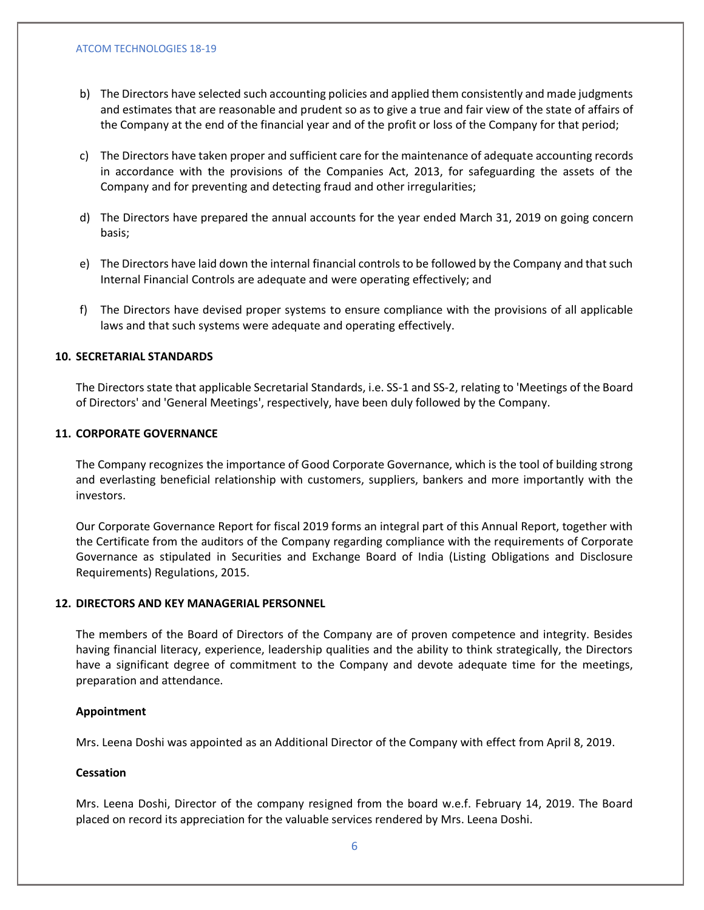- b) The Directors have selected such accounting policies and applied them consistently and made judgments and estimates that are reasonable and prudent so as to give a true and fair view of the state of affairs of the Company at the end of the financial year and of the profit or loss of the Company for that period;
- c) The Directors have taken proper and sufficient care for the maintenance of adequate accounting records in accordance with the provisions of the Companies Act, 2013, for safeguarding the assets of the Company and for preventing and detecting fraud and other irregularities;
- d) The Directors have prepared the annual accounts for the year ended March 31, 2019 on going concern basis;
- e) The Directors have laid down the internal financial controls to be followed by the Company and that such Internal Financial Controls are adequate and were operating effectively; and
- f) The Directors have devised proper systems to ensure compliance with the provisions of all applicable laws and that such systems were adequate and operating effectively.

## **10. SECRETARIAL STANDARDS**

The Directors state that applicable Secretarial Standards, i.e. SS-1 and SS-2, relating to 'Meetings of the Board of Directors' and 'General Meetings', respectively, have been duly followed by the Company.

#### **11. CORPORATE GOVERNANCE**

The Company recognizes the importance of Good Corporate Governance, which is the tool of building strong and everlasting beneficial relationship with customers, suppliers, bankers and more importantly with the investors.

Our Corporate Governance Report for fiscal 2019 forms an integral part of this Annual Report, together with the Certificate from the auditors of the Company regarding compliance with the requirements of Corporate Governance as stipulated in Securities and Exchange Board of India (Listing Obligations and Disclosure Requirements) Regulations, 2015.

#### **12. DIRECTORS AND KEY MANAGERIAL PERSONNEL**

The members of the Board of Directors of the Company are of proven competence and integrity. Besides having financial literacy, experience, leadership qualities and the ability to think strategically, the Directors have a significant degree of commitment to the Company and devote adequate time for the meetings, preparation and attendance.

#### **Appointment**

Mrs. Leena Doshi was appointed as an Additional Director of the Company with effect from April 8, 2019.

#### **Cessation**

Mrs. Leena Doshi, Director of the company resigned from the board w.e.f. February 14, 2019. The Board placed on record its appreciation for the valuable services rendered by Mrs. Leena Doshi.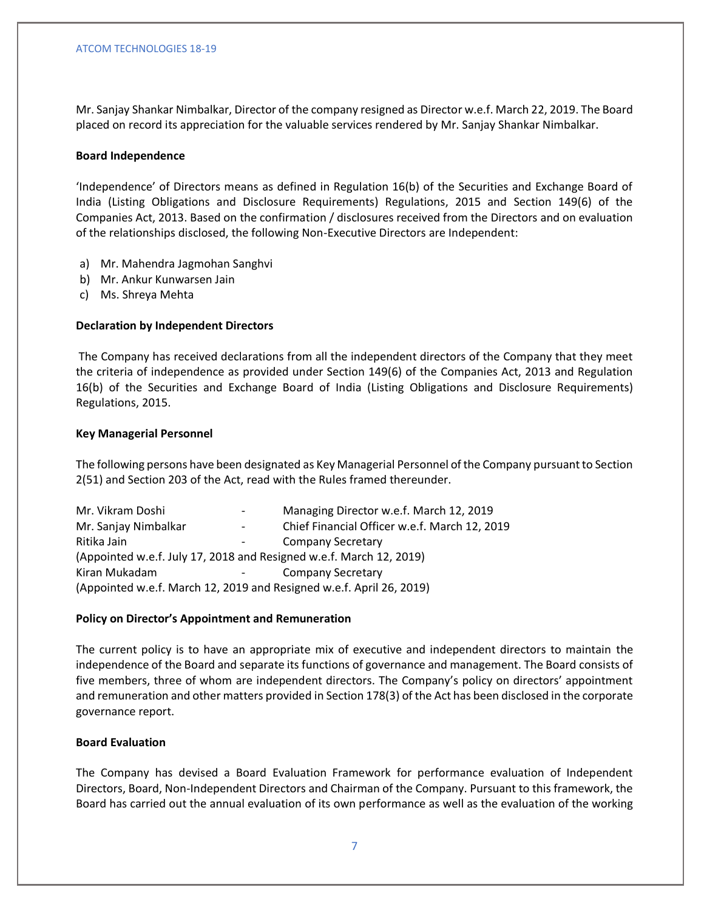Mr. Sanjay Shankar Nimbalkar, Director of the company resigned as Director w.e.f. March 22, 2019. The Board placed on record its appreciation for the valuable services rendered by Mr. Sanjay Shankar Nimbalkar.

## **Board Independence**

'Independence' of Directors means as defined in Regulation 16(b) of the Securities and Exchange Board of India (Listing Obligations and Disclosure Requirements) Regulations, 2015 and Section 149(6) of the Companies Act, 2013. Based on the confirmation / disclosures received from the Directors and on evaluation of the relationships disclosed, the following Non-Executive Directors are Independent:

- a) Mr. Mahendra Jagmohan Sanghvi
- b) Mr. Ankur Kunwarsen Jain
- c) Ms. Shreya Mehta

## **Declaration by Independent Directors**

The Company has received declarations from all the independent directors of the Company that they meet the criteria of independence as provided under Section 149(6) of the Companies Act, 2013 and Regulation 16(b) of the Securities and Exchange Board of India (Listing Obligations and Disclosure Requirements) Regulations, 2015.

## **Key Managerial Personnel**

The following persons have been designated as Key Managerial Personnel of the Company pursuant to Section 2(51) and Section 203 of the Act, read with the Rules framed thereunder.

| Mr. Vikram Doshi                                                     | $\overline{\phantom{a}}$ | Managing Director w.e.f. March 12, 2019       |  |  |  |
|----------------------------------------------------------------------|--------------------------|-----------------------------------------------|--|--|--|
| Mr. Sanjay Nimbalkar                                                 | $\overline{\phantom{a}}$ | Chief Financial Officer w.e.f. March 12, 2019 |  |  |  |
| Ritika Jain                                                          |                          | <b>Company Secretary</b>                      |  |  |  |
| (Appointed w.e.f. July 17, 2018 and Resigned w.e.f. March 12, 2019)  |                          |                                               |  |  |  |
| Kiran Mukadam<br>Company Secretary<br>$\sim$ 100 $\mu$               |                          |                                               |  |  |  |
| (Appointed w.e.f. March 12, 2019 and Resigned w.e.f. April 26, 2019) |                          |                                               |  |  |  |

## **Policy on Director's Appointment and Remuneration**

The current policy is to have an appropriate mix of executive and independent directors to maintain the independence of the Board and separate its functions of governance and management. The Board consists of five members, three of whom are independent directors. The Company's policy on directors' appointment and remuneration and other matters provided in Section 178(3) of the Act has been disclosed in the corporate governance report.

## **Board Evaluation**

The Company has devised a Board Evaluation Framework for performance evaluation of Independent Directors, Board, Non-Independent Directors and Chairman of the Company. Pursuant to this framework, the Board has carried out the annual evaluation of its own performance as well as the evaluation of the working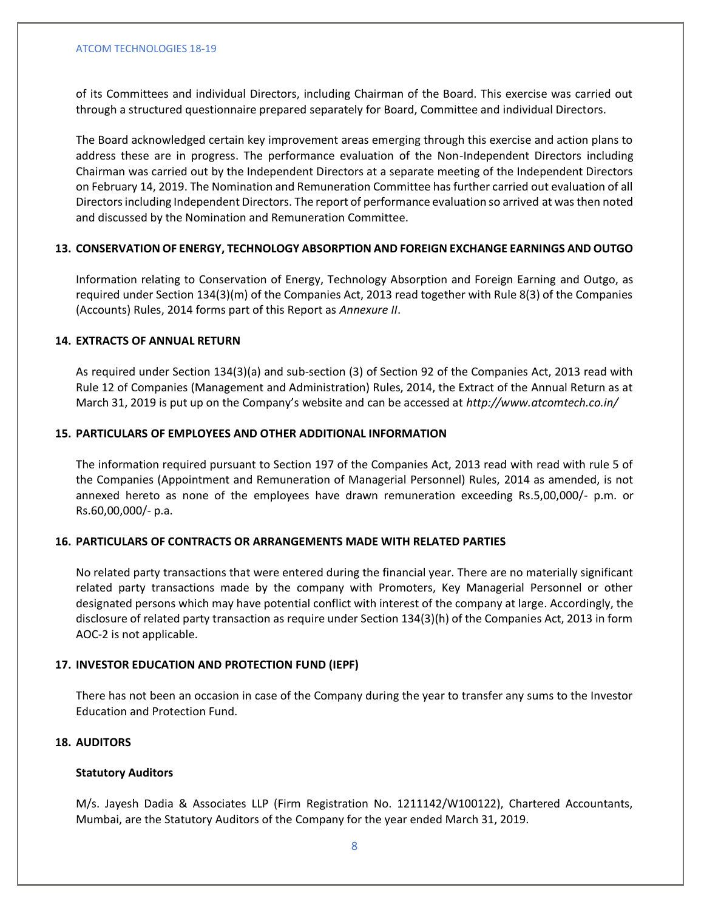of its Committees and individual Directors, including Chairman of the Board. This exercise was carried out through a structured questionnaire prepared separately for Board, Committee and individual Directors.

The Board acknowledged certain key improvement areas emerging through this exercise and action plans to address these are in progress. The performance evaluation of the Non-Independent Directors including Chairman was carried out by the Independent Directors at a separate meeting of the Independent Directors on February 14, 2019. The Nomination and Remuneration Committee has further carried out evaluation of all Directors including Independent Directors. The report of performance evaluation so arrived at was then noted and discussed by the Nomination and Remuneration Committee.

# **13. CONSERVATION OF ENERGY, TECHNOLOGY ABSORPTION AND FOREIGN EXCHANGE EARNINGS AND OUTGO**

Information relating to Conservation of Energy, Technology Absorption and Foreign Earning and Outgo, as required under Section 134(3)(m) of the Companies Act, 2013 read together with Rule 8(3) of the Companies (Accounts) Rules, 2014 forms part of this Report as *Annexure II*.

# **14. EXTRACTS OF ANNUAL RETURN**

As required under Section 134(3)(a) and sub-section (3) of Section 92 of the Companies Act, 2013 read with Rule 12 of Companies (Management and Administration) Rules, 2014, the Extract of the Annual Return as at March 31, 2019 is put up on the Company's website and can be accessed at *http://www.atcomtech.co.in/*

# **15. PARTICULARS OF EMPLOYEES AND OTHER ADDITIONAL INFORMATION**

The information required pursuant to Section 197 of the Companies Act, 2013 read with read with rule 5 of the Companies (Appointment and Remuneration of Managerial Personnel) Rules, 2014 as amended, is not annexed hereto as none of the employees have drawn remuneration exceeding Rs.5,00,000/- p.m. or Rs.60,00,000/- p.a.

# **16. PARTICULARS OF CONTRACTS OR ARRANGEMENTS MADE WITH RELATED PARTIES**

No related party transactions that were entered during the financial year. There are no materially significant related party transactions made by the company with Promoters, Key Managerial Personnel or other designated persons which may have potential conflict with interest of the company at large. Accordingly, the disclosure of related party transaction as require under Section 134(3)(h) of the Companies Act, 2013 in form AOC-2 is not applicable.

## **17. INVESTOR EDUCATION AND PROTECTION FUND (IEPF)**

There has not been an occasion in case of the Company during the year to transfer any sums to the Investor Education and Protection Fund.

## **18. AUDITORS**

## **Statutory Auditors**

M/s. Jayesh Dadia & Associates LLP (Firm Registration No. 1211142/W100122), Chartered Accountants, Mumbai, are the Statutory Auditors of the Company for the year ended March 31, 2019.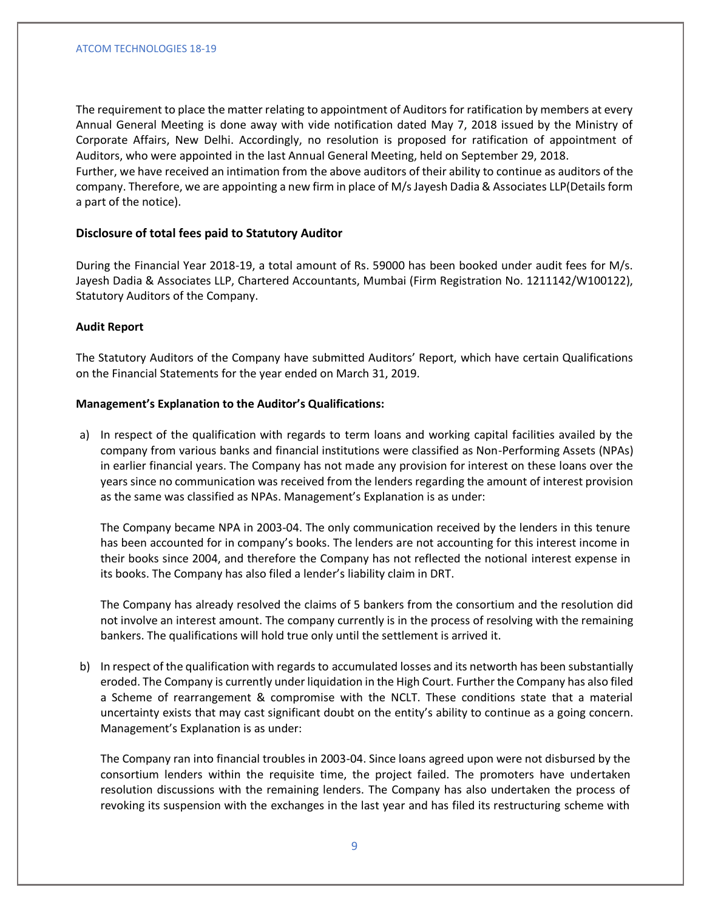The requirement to place the matter relating to appointment of Auditors for ratification by members at every Annual General Meeting is done away with vide notification dated May 7, 2018 issued by the Ministry of Corporate Affairs, New Delhi. Accordingly, no resolution is proposed for ratification of appointment of Auditors, who were appointed in the last Annual General Meeting, held on September 29, 2018. Further, we have received an intimation from the above auditors of their ability to continue as auditors of the company. Therefore, we are appointing a new firm in place of M/s Jayesh Dadia & Associates LLP(Details form a part of the notice).

## **Disclosure of total fees paid to Statutory Auditor**

During the Financial Year 2018-19, a total amount of Rs. 59000 has been booked under audit fees for M/s. Jayesh Dadia & Associates LLP, Chartered Accountants, Mumbai (Firm Registration No. 1211142/W100122), Statutory Auditors of the Company.

#### **Audit Report**

The Statutory Auditors of the Company have submitted Auditors' Report, which have certain Qualifications on the Financial Statements for the year ended on March 31, 2019.

## **Management's Explanation to the Auditor's Qualifications:**

a) In respect of the qualification with regards to term loans and working capital facilities availed by the company from various banks and financial institutions were classified as Non-Performing Assets (NPAs) in earlier financial years. The Company has not made any provision for interest on these loans over the years since no communication was received from the lenders regarding the amount of interest provision as the same was classified as NPAs. Management's Explanation is as under:

The Company became NPA in 2003-04. The only communication received by the lenders in this tenure has been accounted for in company's books. The lenders are not accounting for this interest income in their books since 2004, and therefore the Company has not reflected the notional interest expense in its books. The Company has also filed a lender's liability claim in DRT.

The Company has already resolved the claims of 5 bankers from the consortium and the resolution did not involve an interest amount. The company currently is in the process of resolving with the remaining bankers. The qualifications will hold true only until the settlement is arrived it.

b) In respect of the qualification with regards to accumulated losses and its networth has been substantially eroded. The Company is currently under liquidation in the High Court. Further the Company has also filed a Scheme of rearrangement & compromise with the NCLT. These conditions state that a material uncertainty exists that may cast significant doubt on the entity's ability to continue as a going concern. Management's Explanation is as under:

The Company ran into financial troubles in 2003-04. Since loans agreed upon were not disbursed by the consortium lenders within the requisite time, the project failed. The promoters have undertaken resolution discussions with the remaining lenders. The Company has also undertaken the process of revoking its suspension with the exchanges in the last year and has filed its restructuring scheme with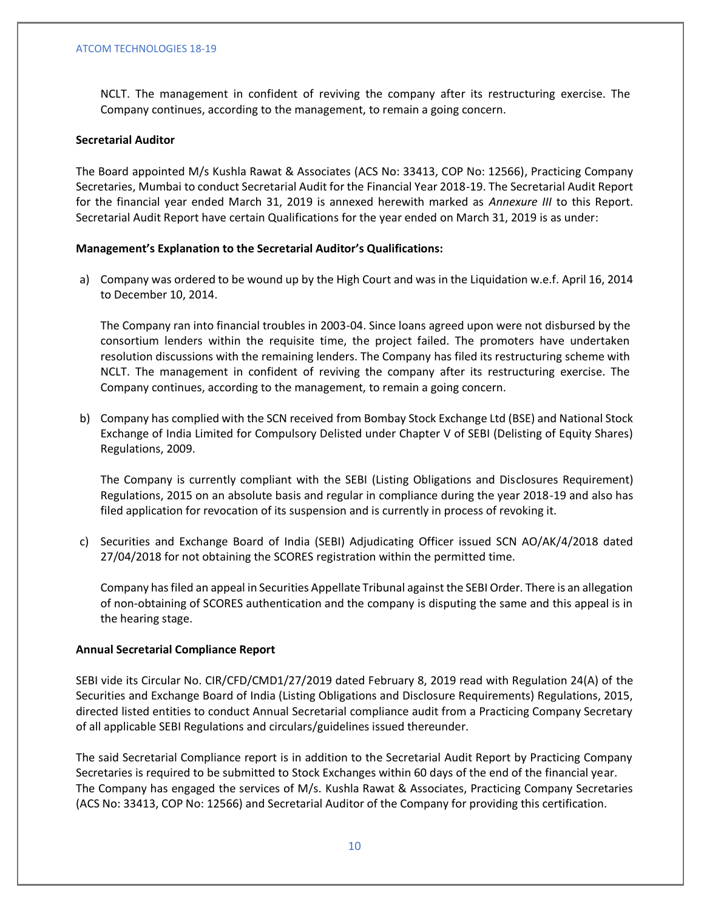NCLT. The management in confident of reviving the company after its restructuring exercise. The Company continues, according to the management, to remain a going concern.

## **Secretarial Auditor**

The Board appointed M/s Kushla Rawat & Associates (ACS No: 33413, COP No: 12566), Practicing Company Secretaries, Mumbai to conduct Secretarial Audit for the Financial Year 2018-19. The Secretarial Audit Report for the financial year ended March 31, 2019 is annexed herewith marked as *Annexure III* to this Report. Secretarial Audit Report have certain Qualifications for the year ended on March 31, 2019 is as under:

#### **Management's Explanation to the Secretarial Auditor's Qualifications:**

a) Company was ordered to be wound up by the High Court and was in the Liquidation w.e.f. April 16, 2014 to December 10, 2014.

The Company ran into financial troubles in 2003-04. Since loans agreed upon were not disbursed by the consortium lenders within the requisite time, the project failed. The promoters have undertaken resolution discussions with the remaining lenders. The Company has filed its restructuring scheme with NCLT. The management in confident of reviving the company after its restructuring exercise. The Company continues, according to the management, to remain a going concern.

b) Company has complied with the SCN received from Bombay Stock Exchange Ltd (BSE) and National Stock Exchange of India Limited for Compulsory Delisted under Chapter V of SEBI (Delisting of Equity Shares) Regulations, 2009.

The Company is currently compliant with the SEBI (Listing Obligations and Disclosures Requirement) Regulations, 2015 on an absolute basis and regular in compliance during the year 2018-19 and also has filed application for revocation of its suspension and is currently in process of revoking it.

c) Securities and Exchange Board of India (SEBI) Adjudicating Officer issued SCN AO/AK/4/2018 dated 27/04/2018 for not obtaining the SCORES registration within the permitted time.

Company has filed an appeal in Securities Appellate Tribunal against the SEBI Order. There is an allegation of non-obtaining of SCORES authentication and the company is disputing the same and this appeal is in the hearing stage.

## **Annual Secretarial Compliance Report**

SEBI vide its Circular No. CIR/CFD/CMD1/27/2019 dated February 8, 2019 read with Regulation 24(A) of the Securities and Exchange Board of India (Listing Obligations and Disclosure Requirements) Regulations, 2015, directed listed entities to conduct Annual Secretarial compliance audit from a Practicing Company Secretary of all applicable SEBI Regulations and circulars/guidelines issued thereunder.

The said Secretarial Compliance report is in addition to the Secretarial Audit Report by Practicing Company Secretaries is required to be submitted to Stock Exchanges within 60 days of the end of the financial year. The Company has engaged the services of M/s. Kushla Rawat & Associates, Practicing Company Secretaries (ACS No: 33413, COP No: 12566) and Secretarial Auditor of the Company for providing this certification.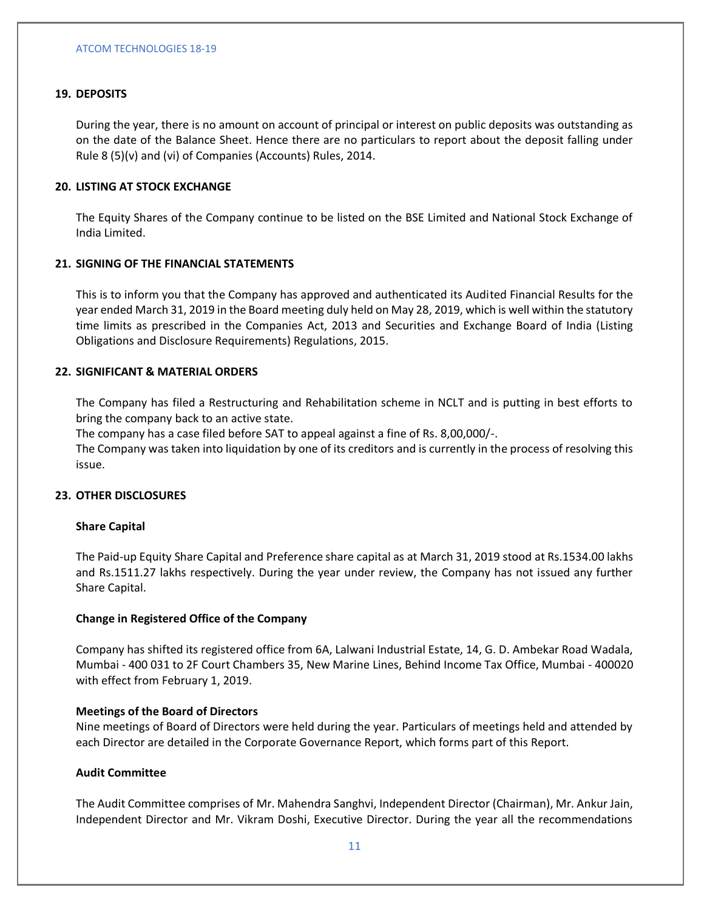## **19. DEPOSITS**

During the year, there is no amount on account of principal or interest on public deposits was outstanding as on the date of the Balance Sheet. Hence there are no particulars to report about the deposit falling under Rule 8 (5)(v) and (vi) of Companies (Accounts) Rules, 2014.

## **20. LISTING AT STOCK EXCHANGE**

The Equity Shares of the Company continue to be listed on the BSE Limited and National Stock Exchange of India Limited.

## **21. SIGNING OF THE FINANCIAL STATEMENTS**

This is to inform you that the Company has approved and authenticated its Audited Financial Results for the year ended March 31, 2019 in the Board meeting duly held on May 28, 2019, which is well within the statutory time limits as prescribed in the Companies Act, 2013 and Securities and Exchange Board of India (Listing Obligations and Disclosure Requirements) Regulations, 2015.

## **22. SIGNIFICANT & MATERIAL ORDERS**

The Company has filed a Restructuring and Rehabilitation scheme in NCLT and is putting in best efforts to bring the company back to an active state.

The company has a case filed before SAT to appeal against a fine of Rs. 8,00,000/-.

The Company was taken into liquidation by one of its creditors and is currently in the process of resolving this issue.

#### **23. OTHER DISCLOSURES**

## **Share Capital**

The Paid-up Equity Share Capital and Preference share capital as at March 31, 2019 stood at Rs.1534.00 lakhs and Rs.1511.27 lakhs respectively. During the year under review, the Company has not issued any further Share Capital.

## **Change in Registered Office of the Company**

Company has shifted its registered office from 6A, Lalwani Industrial Estate, 14, G. D. Ambekar Road Wadala, Mumbai - 400 031 to 2F Court Chambers 35, New Marine Lines, Behind Income Tax Office, Mumbai - 400020 with effect from February 1, 2019.

#### **Meetings of the Board of Directors**

Nine meetings of Board of Directors were held during the year. Particulars of meetings held and attended by each Director are detailed in the Corporate Governance Report, which forms part of this Report.

#### **Audit Committee**

The Audit Committee comprises of Mr. Mahendra Sanghvi, Independent Director (Chairman), Mr. Ankur Jain, Independent Director and Mr. Vikram Doshi, Executive Director. During the year all the recommendations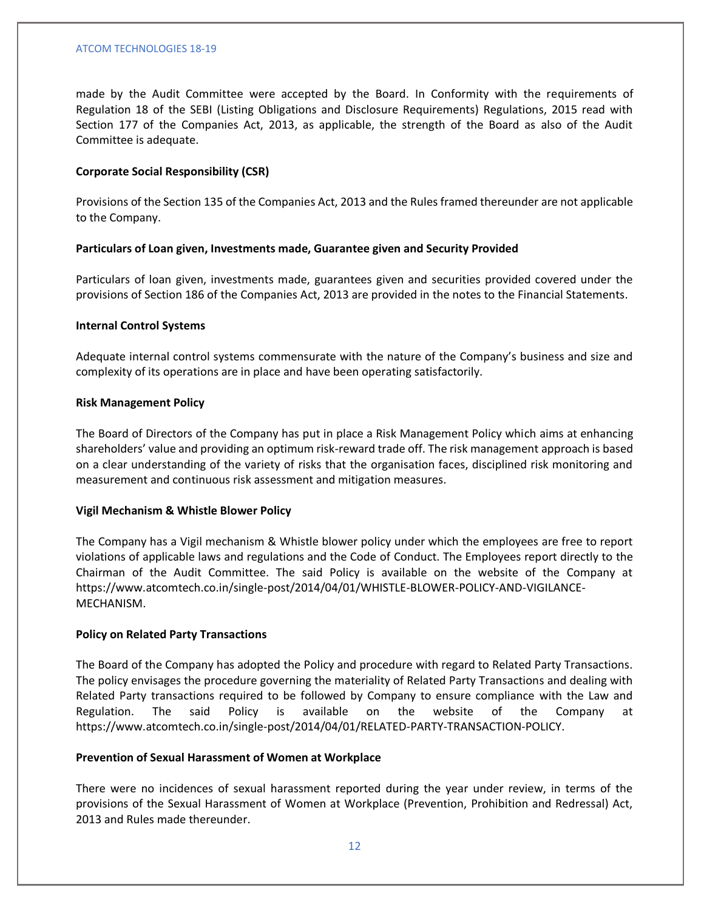made by the Audit Committee were accepted by the Board. In Conformity with the requirements of Regulation 18 of the SEBI (Listing Obligations and Disclosure Requirements) Regulations, 2015 read with Section 177 of the Companies Act, 2013, as applicable, the strength of the Board as also of the Audit Committee is adequate.

## **Corporate Social Responsibility (CSR)**

Provisions of the Section 135 of the Companies Act, 2013 and the Rules framed thereunder are not applicable to the Company.

#### **Particulars of Loan given, Investments made, Guarantee given and Security Provided**

Particulars of loan given, investments made, guarantees given and securities provided covered under the provisions of Section 186 of the Companies Act, 2013 are provided in the notes to the Financial Statements.

#### **Internal Control Systems**

Adequate internal control systems commensurate with the nature of the Company's business and size and complexity of its operations are in place and have been operating satisfactorily.

## **Risk Management Policy**

The Board of Directors of the Company has put in place a Risk Management Policy which aims at enhancing shareholders' value and providing an optimum risk-reward trade off. The risk management approach is based on a clear understanding of the variety of risks that the organisation faces, disciplined risk monitoring and measurement and continuous risk assessment and mitigation measures.

#### **Vigil Mechanism & Whistle Blower Policy**

The Company has a Vigil mechanism & Whistle blower policy under which the employees are free to report violations of applicable laws and regulations and the Code of Conduct. The Employees report directly to the Chairman of the Audit Committee. The said Policy is available on the website of the Company at https://www.atcomtech.co.in/single-post/2014/04/01/WHISTLE-BLOWER-POLICY-AND-VIGILANCE-MECHANISM.

#### **Policy on Related Party Transactions**

The Board of the Company has adopted the Policy and procedure with regard to Related Party Transactions. The policy envisages the procedure governing the materiality of Related Party Transactions and dealing with Related Party transactions required to be followed by Company to ensure compliance with the Law and Regulation. The said Policy is available on the website of the Company at https://www.atcomtech.co.in/single-post/2014/04/01/RELATED-PARTY-TRANSACTION-POLICY.

## **Prevention of Sexual Harassment of Women at Workplace**

There were no incidences of sexual harassment reported during the year under review, in terms of the provisions of the Sexual Harassment of Women at Workplace (Prevention, Prohibition and Redressal) Act, 2013 and Rules made thereunder.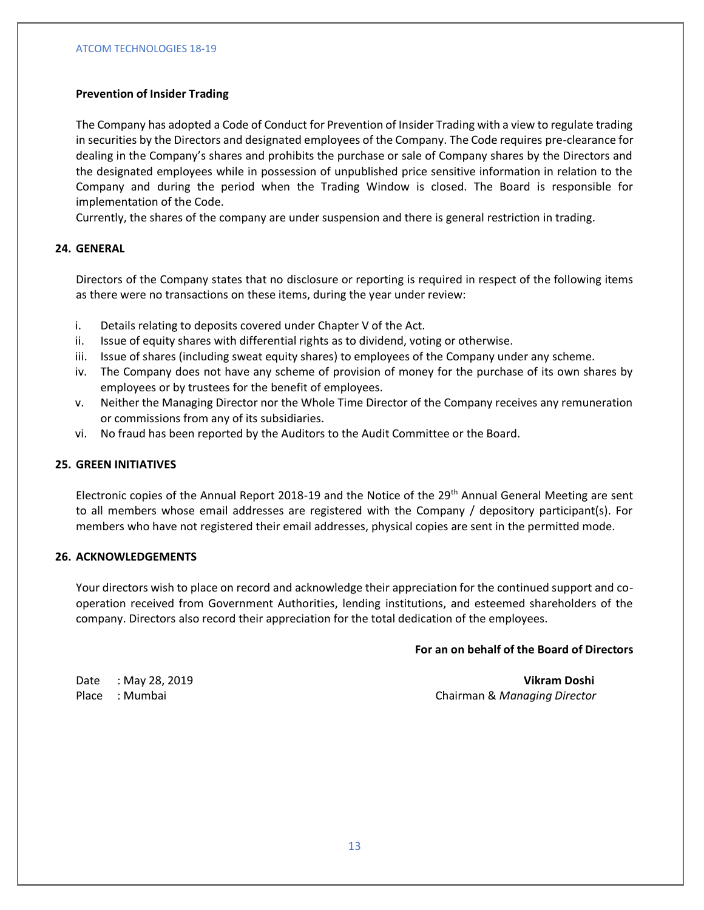# **Prevention of Insider Trading**

The Company has adopted a Code of Conduct for Prevention of Insider Trading with a view to regulate trading in securities by the Directors and designated employees of the Company. The Code requires pre-clearance for dealing in the Company's shares and prohibits the purchase or sale of Company shares by the Directors and the designated employees while in possession of unpublished price sensitive information in relation to the Company and during the period when the Trading Window is closed. The Board is responsible for implementation of the Code.

Currently, the shares of the company are under suspension and there is general restriction in trading.

# **24. GENERAL**

Directors of the Company states that no disclosure or reporting is required in respect of the following items as there were no transactions on these items, during the year under review:

- i. Details relating to deposits covered under Chapter V of the Act.
- ii. Issue of equity shares with differential rights as to dividend, voting or otherwise.
- iii. Issue of shares (including sweat equity shares) to employees of the Company under any scheme.
- iv. The Company does not have any scheme of provision of money for the purchase of its own shares by employees or by trustees for the benefit of employees.
- v. Neither the Managing Director nor the Whole Time Director of the Company receives any remuneration or commissions from any of its subsidiaries.
- vi. No fraud has been reported by the Auditors to the Audit Committee or the Board.

## **25. GREEN INITIATIVES**

Electronic copies of the Annual Report 2018-19 and the Notice of the 29<sup>th</sup> Annual General Meeting are sent to all members whose email addresses are registered with the Company / depository participant(s). For members who have not registered their email addresses, physical copies are sent in the permitted mode.

## **26. ACKNOWLEDGEMENTS**

Your directors wish to place on record and acknowledge their appreciation for the continued support and cooperation received from Government Authorities, lending institutions, and esteemed shareholders of the company. Directors also record their appreciation for the total dedication of the employees.

## **For an on behalf of the Board of Directors**

Date : May 28, 2019 **Vikram Doshi** Place : Mumbai Chairman & *Managing Director*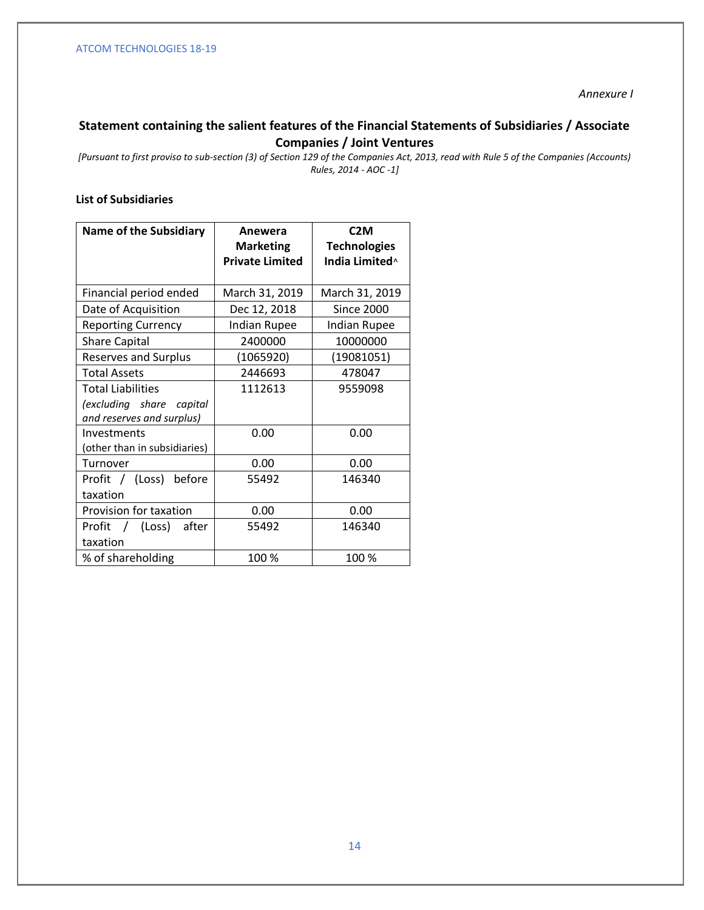## *Annexure I*

# **Statement containing the salient features of the Financial Statements of Subsidiaries / Associate Companies / Joint Ventures**

*[Pursuant to first proviso to sub-section (3) of Section 129 of the Companies Act, 2013, read with Rule 5 of the Companies (Accounts) Rules, 2014 - AOC -1]*

# **List of Subsidiaries**

| <b>Name of the Subsidiary</b> | Anewera                | C2M                 |
|-------------------------------|------------------------|---------------------|
|                               | <b>Marketing</b>       | <b>Technologies</b> |
|                               | <b>Private Limited</b> | India Limited^      |
|                               |                        |                     |
| Financial period ended        | March 31, 2019         | March 31, 2019      |
| Date of Acquisition           | Dec 12, 2018           | <b>Since 2000</b>   |
| <b>Reporting Currency</b>     | <b>Indian Rupee</b>    | <b>Indian Rupee</b> |
| <b>Share Capital</b>          | 2400000                | 10000000            |
| <b>Reserves and Surplus</b>   | (1065920)              | (19081051)          |
| <b>Total Assets</b>           | 2446693                | 478047              |
| <b>Total Liabilities</b>      | 1112613                | 9559098             |
| (excluding share capital      |                        |                     |
| and reserves and surplus)     |                        |                     |
| Investments                   | 0.00                   | 0.00                |
| (other than in subsidiaries)  |                        |                     |
| Turnover                      | 0.00                   | 0.00                |
| Profit / (Loss)<br>before     | 55492                  | 146340              |
| taxation                      |                        |                     |
| Provision for taxation        | 0.00                   | 0.00                |
| Profit / (Loss)<br>after      | 55492                  | 146340              |
| taxation                      |                        |                     |
| % of shareholding             | 100%                   | 100 %               |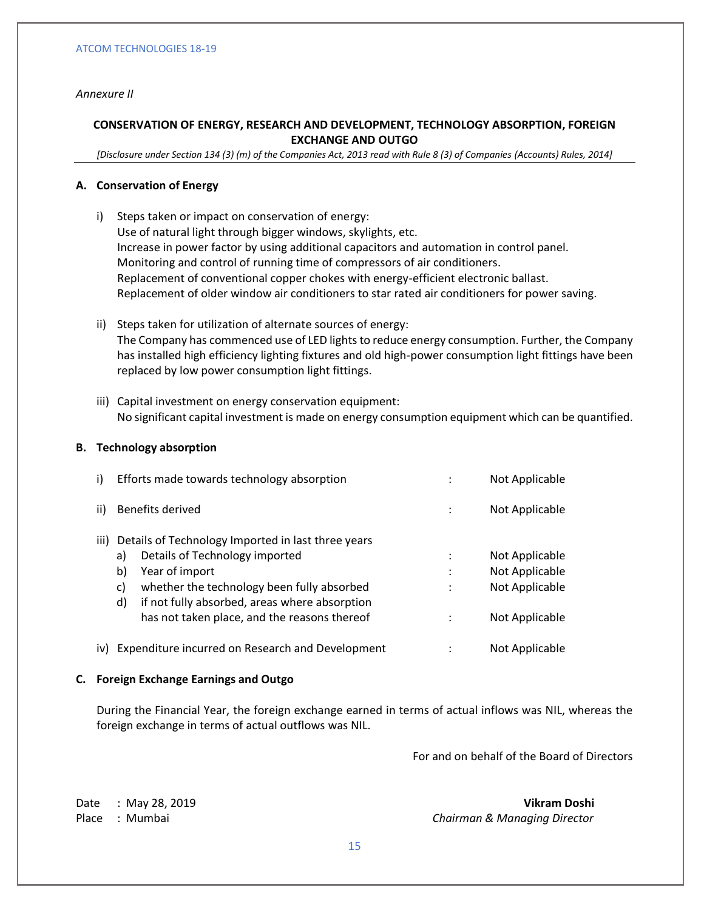## *Annexure II*

# **CONSERVATION OF ENERGY, RESEARCH AND DEVELOPMENT, TECHNOLOGY ABSORPTION, FOREIGN EXCHANGE AND OUTGO**

*[Disclosure under Section 134 (3) (m) of the Companies Act, 2013 read with Rule 8 (3) of Companies (Accounts) Rules, 2014]*

## **A. Conservation of Energy**

- i) Steps taken or impact on conservation of energy: Use of natural light through bigger windows, skylights, etc. Increase in power factor by using additional capacitors and automation in control panel. Monitoring and control of running time of compressors of air conditioners. Replacement of conventional copper chokes with energy-efficient electronic ballast. Replacement of older window air conditioners to star rated air conditioners for power saving.
- ii) Steps taken for utilization of alternate sources of energy: The Company has commenced use of LED lights to reduce energy consumption. Further, the Company has installed high efficiency lighting fixtures and old high-power consumption light fittings have been replaced by low power consumption light fittings.
- iii) Capital investment on energy conservation equipment: No significant capital investment is made on energy consumption equipment which can be quantified.

## **B. Technology absorption**

| i)   | Efforts made towards technology absorption           |                | Not Applicable |
|------|------------------------------------------------------|----------------|----------------|
| ii)  | Benefits derived                                     | ÷              | Not Applicable |
| iii) | Details of Technology Imported in last three years   |                |                |
|      | Details of Technology imported<br>a)                 |                | Not Applicable |
|      | b)<br>Year of import                                 | ٠<br>$\bullet$ | Not Applicable |
|      | whether the technology been fully absorbed<br>c)     | ٠              | Not Applicable |
|      | if not fully absorbed, areas where absorption<br>d)  |                |                |
|      | has not taken place, and the reasons thereof         |                | Not Applicable |
|      | iv) Expenditure incurred on Research and Development |                | Not Applicable |

#### **C. Foreign Exchange Earnings and Outgo**

During the Financial Year, the foreign exchange earned in terms of actual inflows was NIL, whereas the foreign exchange in terms of actual outflows was NIL.

For and on behalf of the Board of Directors

Date : May 28, 2019 **Vikram Doshi** Place : Mumbai *Chairman & Managing Director*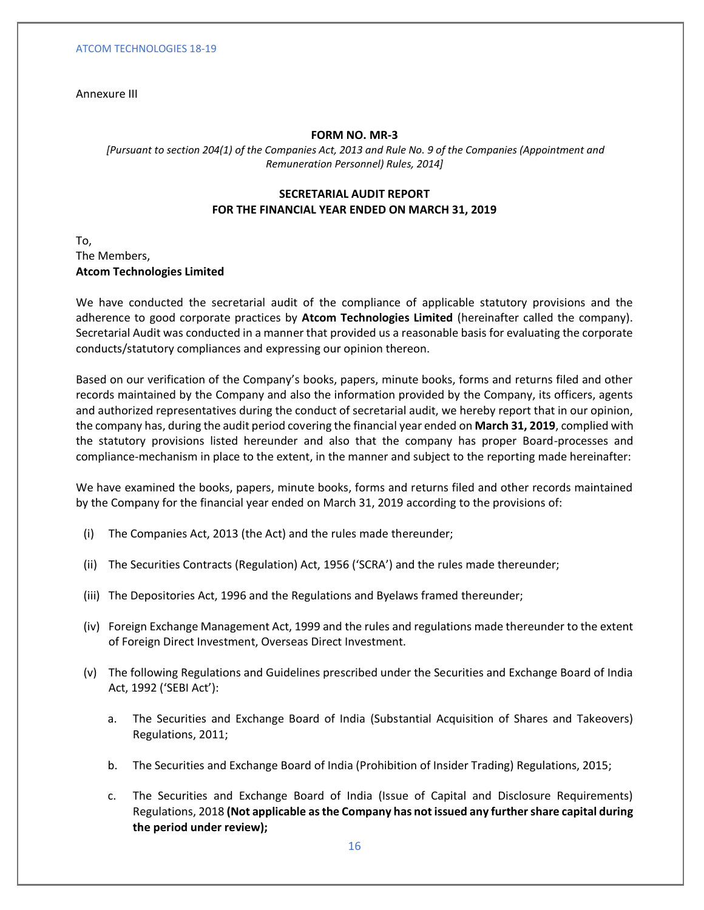Annexure III

## **FORM NO. MR-3**

*[Pursuant to section 204(1) of the Companies Act, 2013 and Rule No. 9 of the Companies (Appointment and Remuneration Personnel) Rules, 2014]*

# **SECRETARIAL AUDIT REPORT FOR THE FINANCIAL YEAR ENDED ON MARCH 31, 2019**

To, The Members, **Atcom Technologies Limited**

We have conducted the secretarial audit of the compliance of applicable statutory provisions and the adherence to good corporate practices by **Atcom Technologies Limited** (hereinafter called the company). Secretarial Audit was conducted in a manner that provided us a reasonable basis for evaluating the corporate conducts/statutory compliances and expressing our opinion thereon.

Based on our verification of the Company's books, papers, minute books, forms and returns filed and other records maintained by the Company and also the information provided by the Company, its officers, agents and authorized representatives during the conduct of secretarial audit, we hereby report that in our opinion, the company has, during the audit period covering the financial year ended on **March 31, 2019**, complied with the statutory provisions listed hereunder and also that the company has proper Board-processes and compliance-mechanism in place to the extent, in the manner and subject to the reporting made hereinafter:

We have examined the books, papers, minute books, forms and returns filed and other records maintained by the Company for the financial year ended on March 31, 2019 according to the provisions of:

- (i) The Companies Act, 2013 (the Act) and the rules made thereunder;
- (ii) The Securities Contracts (Regulation) Act, 1956 ('SCRA') and the rules made thereunder;
- (iii) The Depositories Act, 1996 and the Regulations and Byelaws framed thereunder;
- (iv) Foreign Exchange Management Act, 1999 and the rules and regulations made thereunder to the extent of Foreign Direct Investment, Overseas Direct Investment.
- (v) The following Regulations and Guidelines prescribed under the Securities and Exchange Board of India Act, 1992 ('SEBI Act'):
	- a. The Securities and Exchange Board of India (Substantial Acquisition of Shares and Takeovers) Regulations, 2011;
	- b. The Securities and Exchange Board of India (Prohibition of Insider Trading) Regulations, 2015;
	- c. The Securities and Exchange Board of India (Issue of Capital and Disclosure Requirements) Regulations, 2018 **(Not applicable as the Company has not issued any further share capital during the period under review);**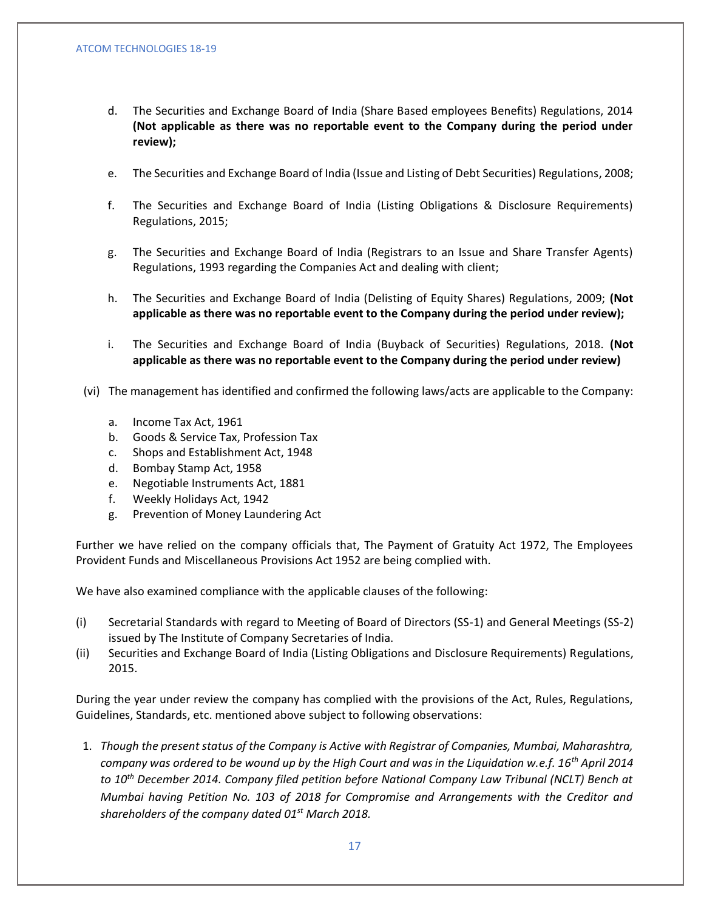- d. The Securities and Exchange Board of India (Share Based employees Benefits) Regulations, 2014 **(Not applicable as there was no reportable event to the Company during the period under review);**
- e. The Securities and Exchange Board of India (Issue and Listing of Debt Securities) Regulations, 2008;
- f. The Securities and Exchange Board of India (Listing Obligations & Disclosure Requirements) Regulations, 2015;
- g. The Securities and Exchange Board of India (Registrars to an Issue and Share Transfer Agents) Regulations, 1993 regarding the Companies Act and dealing with client;
- h. The Securities and Exchange Board of India (Delisting of Equity Shares) Regulations, 2009; **(Not applicable as there was no reportable event to the Company during the period under review);**
- i. The Securities and Exchange Board of India (Buyback of Securities) Regulations, 2018. **(Not applicable as there was no reportable event to the Company during the period under review)**
- (vi) The management has identified and confirmed the following laws/acts are applicable to the Company:
	- a. Income Tax Act, 1961
	- b. Goods & Service Tax, Profession Tax
	- c. Shops and Establishment Act, 1948
	- d. Bombay Stamp Act, 1958
	- e. Negotiable Instruments Act, 1881
	- f. Weekly Holidays Act, 1942
	- g. Prevention of Money Laundering Act

Further we have relied on the company officials that, The Payment of Gratuity Act 1972, The Employees Provident Funds and Miscellaneous Provisions Act 1952 are being complied with.

We have also examined compliance with the applicable clauses of the following:

- (i) Secretarial Standards with regard to Meeting of Board of Directors (SS-1) and General Meetings (SS-2) issued by The Institute of Company Secretaries of India.
- (ii) Securities and Exchange Board of India (Listing Obligations and Disclosure Requirements) Regulations, 2015.

During the year under review the company has complied with the provisions of the Act, Rules, Regulations, Guidelines, Standards, etc. mentioned above subject to following observations:

1. *Though the present status of the Company is Active with Registrar of Companies, Mumbai, Maharashtra, company was ordered to be wound up by the High Court and was in the Liquidation w.e.f. 16th April 2014 to 10th December 2014. Company filed petition before National Company Law Tribunal (NCLT) Bench at Mumbai having Petition No. 103 of 2018 for Compromise and Arrangements with the Creditor and shareholders of the company dated 01st March 2018.*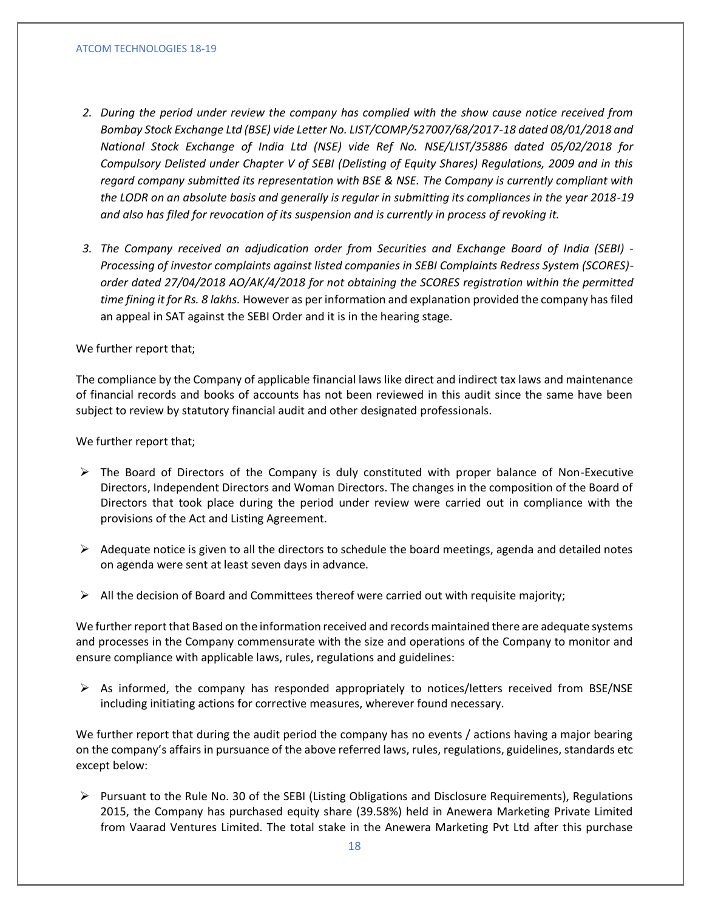- *2. During the period under review the company has complied with the show cause notice received from Bombay Stock Exchange Ltd (BSE) vide Letter No. LIST/COMP/527007/68/2017-18 dated 08/01/2018 and National Stock Exchange of India Ltd (NSE) vide Ref No. NSE/LIST/35886 dated 05/02/2018 for Compulsory Delisted under Chapter V of SEBI (Delisting of Equity Shares) Regulations, 2009 and in this regard company submitted its representation with BSE & NSE. The Company is currently compliant with the LODR on an absolute basis and generally is regular in submitting its compliances in the year 2018-19 and also has filed for revocation of its suspension and is currently in process of revoking it.*
- *3. The Company received an adjudication order from Securities and Exchange Board of India (SEBI) - Processing of investor complaints against listed companies in SEBI Complaints Redress System (SCORES) order dated 27/04/2018 AO/AK/4/2018 for not obtaining the SCORES registration within the permitted time fining it for Rs. 8 lakhs.* However as per information and explanation provided the company has filed an appeal in SAT against the SEBI Order and it is in the hearing stage.

## We further report that;

The compliance by the Company of applicable financial laws like direct and indirect tax laws and maintenance of financial records and books of accounts has not been reviewed in this audit since the same have been subject to review by statutory financial audit and other designated professionals.

We further report that;

- $\triangleright$  The Board of Directors of the Company is duly constituted with proper balance of Non-Executive Directors, Independent Directors and Woman Directors. The changes in the composition of the Board of Directors that took place during the period under review were carried out in compliance with the provisions of the Act and Listing Agreement.
- $\triangleright$  Adequate notice is given to all the directors to schedule the board meetings, agenda and detailed notes on agenda were sent at least seven days in advance.
- $\triangleright$  All the decision of Board and Committees thereof were carried out with requisite majority;

We further report that Based on the information received and records maintained there are adequate systems and processes in the Company commensurate with the size and operations of the Company to monitor and ensure compliance with applicable laws, rules, regulations and guidelines:

 $\triangleright$  As informed, the company has responded appropriately to notices/letters received from BSE/NSE including initiating actions for corrective measures, wherever found necessary.

We further report that during the audit period the company has no events / actions having a major bearing on the company's affairs in pursuance of the above referred laws, rules, regulations, guidelines, standards etc except below:

➢ Pursuant to the Rule No. 30 of the SEBI (Listing Obligations and Disclosure Requirements), Regulations 2015, the Company has purchased equity share (39.58%) held in Anewera Marketing Private Limited from Vaarad Ventures Limited. The total stake in the Anewera Marketing Pvt Ltd after this purchase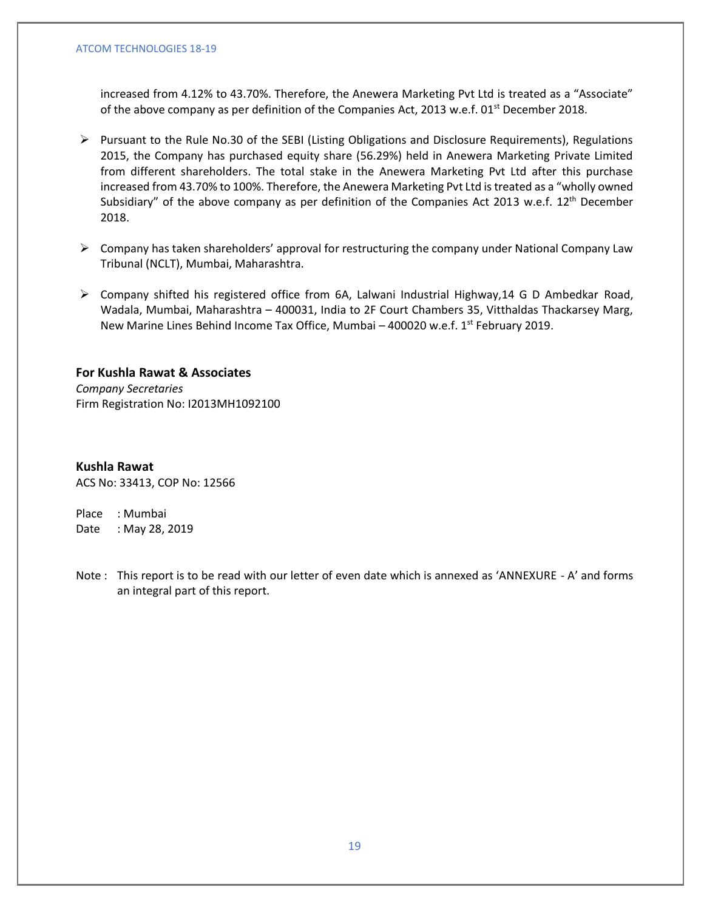increased from 4.12% to 43.70%. Therefore, the Anewera Marketing Pvt Ltd is treated as a "Associate" of the above company as per definition of the Companies Act, 2013 w.e.f. 01<sup>st</sup> December 2018.

- ➢ Pursuant to the Rule No.30 of the SEBI (Listing Obligations and Disclosure Requirements), Regulations 2015, the Company has purchased equity share (56.29%) held in Anewera Marketing Private Limited from different shareholders. The total stake in the Anewera Marketing Pvt Ltd after this purchase increased from 43.70% to 100%. Therefore, the Anewera Marketing Pvt Ltd is treated as a "wholly owned Subsidiary" of the above company as per definition of the Companies Act 2013 w.e.f. 12<sup>th</sup> December 2018.
- $\triangleright$  Company has taken shareholders' approval for restructuring the company under National Company Law Tribunal (NCLT), Mumbai, Maharashtra.
- ➢ Company shifted his registered office from 6A, Lalwani Industrial Highway,14 G D Ambedkar Road, Wadala, Mumbai, Maharashtra – 400031, India to 2F Court Chambers 35, Vitthaldas Thackarsey Marg, New Marine Lines Behind Income Tax Office, Mumbai - 400020 w.e.f. 1<sup>st</sup> February 2019.

# **For Kushla Rawat & Associates**

*Company Secretaries* Firm Registration No: I2013MH1092100

# **Kushla Rawat**

ACS No: 33413, COP No: 12566

Place : Mumbai Date : May 28, 2019

Note : This report is to be read with our letter of even date which is annexed as 'ANNEXURE - A' and forms an integral part of this report.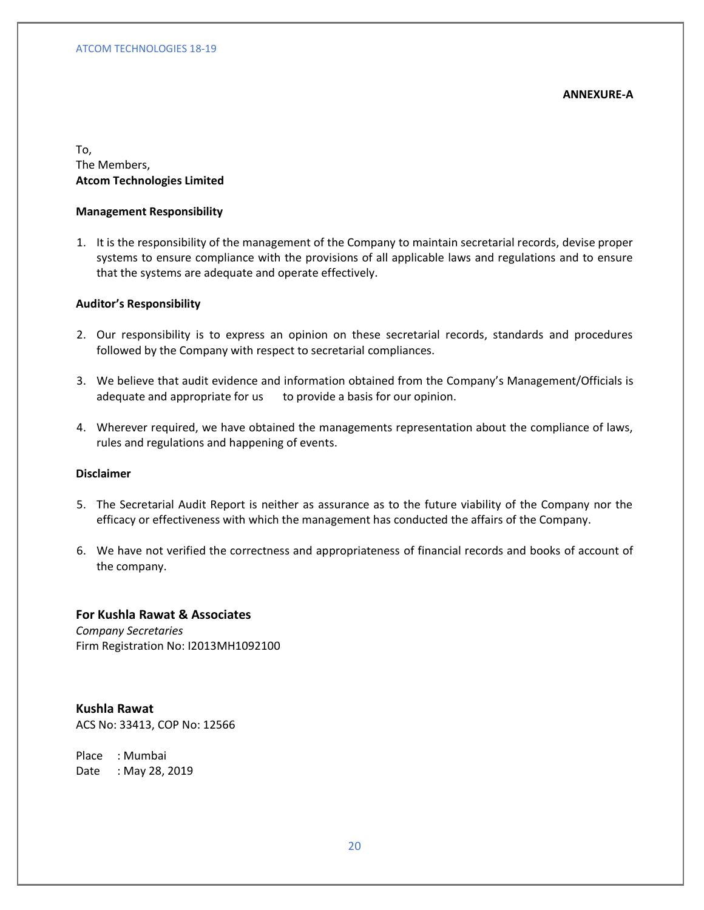## **ANNEXURE-A**

To, The Members, **Atcom Technologies Limited**

## **Management Responsibility**

1. It is the responsibility of the management of the Company to maintain secretarial records, devise proper systems to ensure compliance with the provisions of all applicable laws and regulations and to ensure that the systems are adequate and operate effectively.

## **Auditor's Responsibility**

- 2. Our responsibility is to express an opinion on these secretarial records, standards and procedures followed by the Company with respect to secretarial compliances.
- 3. We believe that audit evidence and information obtained from the Company's Management/Officials is adequate and appropriate for us to provide a basis for our opinion.
- 4. Wherever required, we have obtained the managements representation about the compliance of laws, rules and regulations and happening of events.

# **Disclaimer**

- 5. The Secretarial Audit Report is neither as assurance as to the future viability of the Company nor the efficacy or effectiveness with which the management has conducted the affairs of the Company.
- 6. We have not verified the correctness and appropriateness of financial records and books of account of the company.

# **For Kushla Rawat & Associates**

*Company Secretaries* Firm Registration No: I2013MH1092100

**Kushla Rawat** ACS No: 33413, COP No: 12566

Place : Mumbai Date : May 28, 2019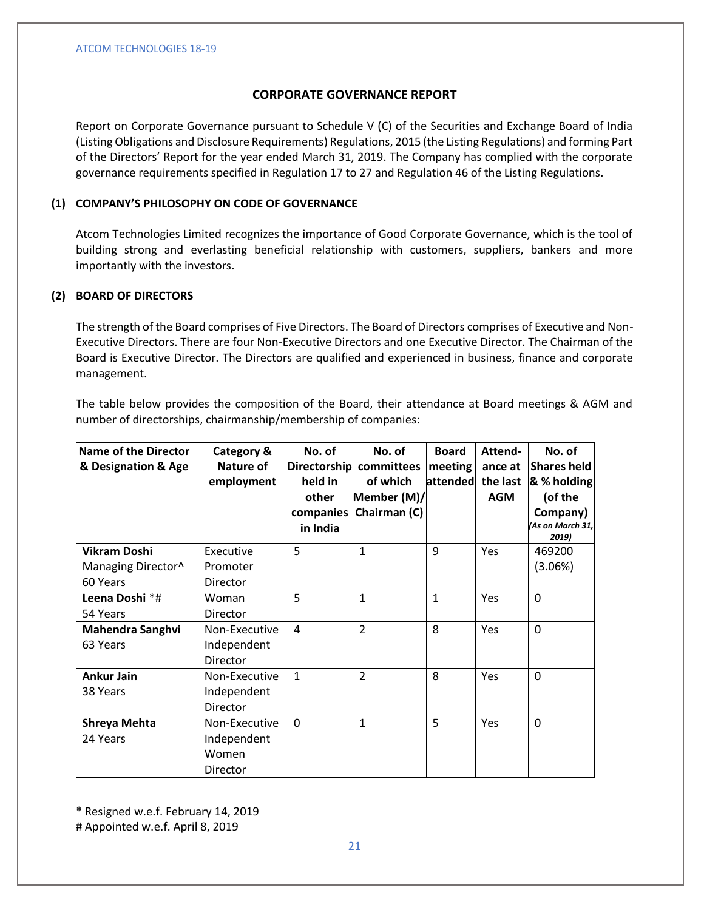# **CORPORATE GOVERNANCE REPORT**

Report on Corporate Governance pursuant to Schedule V (C) of the Securities and Exchange Board of India (Listing Obligations and Disclosure Requirements) Regulations, 2015 (the Listing Regulations) and forming Part of the Directors' Report for the year ended March 31, 2019. The Company has complied with the corporate governance requirements specified in Regulation 17 to 27 and Regulation 46 of the Listing Regulations.

# **(1) COMPANY'S PHILOSOPHY ON CODE OF GOVERNANCE**

Atcom Technologies Limited recognizes the importance of Good Corporate Governance, which is the tool of building strong and everlasting beneficial relationship with customers, suppliers, bankers and more importantly with the investors.

# **(2) BOARD OF DIRECTORS**

The strength of the Board comprises of Five Directors. The Board of Directors comprises of Executive and Non-Executive Directors. There are four Non-Executive Directors and one Executive Director. The Chairman of the Board is Executive Director. The Directors are qualified and experienced in business, finance and corporate management.

The table below provides the composition of the Board, their attendance at Board meetings & AGM and number of directorships, chairmanship/membership of companies:

| Name of the Director<br>& Designation & Age | <b>Category &amp;</b><br>Nature of<br>employment  | No. of<br>held in<br>other<br>in India | No. of<br>Directorship committees<br>of which<br>Member (M)/<br>companies   Chairman (C) | <b>Board</b><br>meeting<br>attended the last | Attend-<br>ance at<br><b>AGM</b> | No. of<br><b>Shares held</b><br>& % holding<br>(of the<br>Company)<br>(As on March 31,<br>2019) |
|---------------------------------------------|---------------------------------------------------|----------------------------------------|------------------------------------------------------------------------------------------|----------------------------------------------|----------------------------------|-------------------------------------------------------------------------------------------------|
| <b>Vikram Doshi</b><br>Managing Director^   | Executive<br>Promoter                             | 5                                      | $\mathbf{1}$                                                                             | 9                                            | Yes                              | 469200<br>(3.06%)                                                                               |
| 60 Years                                    | Director                                          |                                        |                                                                                          |                                              |                                  |                                                                                                 |
| Leena Doshi *#<br>54 Years                  | Woman<br>Director                                 | 5                                      | $\mathbf{1}$                                                                             | $\mathbf{1}$                                 | Yes                              | $\mathbf 0$                                                                                     |
| <b>Mahendra Sanghvi</b><br>63 Years         | Non-Executive<br>Independent<br>Director          | $\overline{4}$                         | $\overline{2}$                                                                           | 8                                            | Yes                              | $\Omega$                                                                                        |
| <b>Ankur Jain</b><br>38 Years               | Non-Executive<br>Independent<br>Director          | $\mathbf{1}$                           | $\overline{2}$                                                                           | 8                                            | Yes                              | $\Omega$                                                                                        |
| Shreya Mehta<br>24 Years                    | Non-Executive<br>Independent<br>Women<br>Director | $\Omega$                               | $\mathbf{1}$                                                                             | 5                                            | Yes                              | $\Omega$                                                                                        |

\* Resigned w.e.f. February 14, 2019

# Appointed w.e.f. April 8, 2019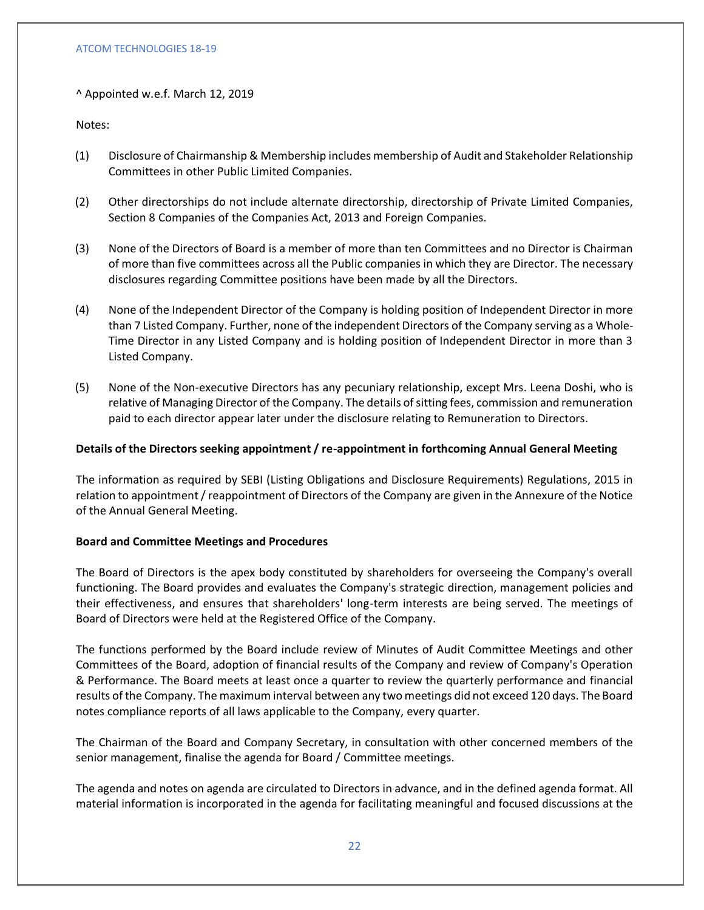^ Appointed w.e.f. March 12, 2019

Notes:

- (1) Disclosure of Chairmanship & Membership includes membership of Audit and Stakeholder Relationship Committees in other Public Limited Companies.
- (2) Other directorships do not include alternate directorship, directorship of Private Limited Companies, Section 8 Companies of the Companies Act, 2013 and Foreign Companies.
- (3) None of the Directors of Board is a member of more than ten Committees and no Director is Chairman of more than five committees across all the Public companies in which they are Director. The necessary disclosures regarding Committee positions have been made by all the Directors.
- (4) None of the Independent Director of the Company is holding position of Independent Director in more than 7 Listed Company. Further, none of the independent Directors of the Company serving as a Whole-Time Director in any Listed Company and is holding position of Independent Director in more than 3 Listed Company.
- (5) None of the Non-executive Directors has any pecuniary relationship, except Mrs. Leena Doshi, who is relative of Managing Director of the Company. The details of sitting fees, commission and remuneration paid to each director appear later under the disclosure relating to Remuneration to Directors.

# **Details of the Directors seeking appointment / re-appointment in forthcoming Annual General Meeting**

The information as required by SEBI (Listing Obligations and Disclosure Requirements) Regulations, 2015 in relation to appointment / reappointment of Directors of the Company are given in the Annexure of the Notice of the Annual General Meeting.

## **Board and Committee Meetings and Procedures**

The Board of Directors is the apex body constituted by shareholders for overseeing the Company's overall functioning. The Board provides and evaluates the Company's strategic direction, management policies and their effectiveness, and ensures that shareholders' long-term interests are being served. The meetings of Board of Directors were held at the Registered Office of the Company.

The functions performed by the Board include review of Minutes of Audit Committee Meetings and other Committees of the Board, adoption of financial results of the Company and review of Company's Operation & Performance. The Board meets at least once a quarter to review the quarterly performance and financial results of the Company. The maximum interval between any two meetings did not exceed 120 days. The Board notes compliance reports of all laws applicable to the Company, every quarter.

The Chairman of the Board and Company Secretary, in consultation with other concerned members of the senior management, finalise the agenda for Board / Committee meetings.

The agenda and notes on agenda are circulated to Directors in advance, and in the defined agenda format. All material information is incorporated in the agenda for facilitating meaningful and focused discussions at the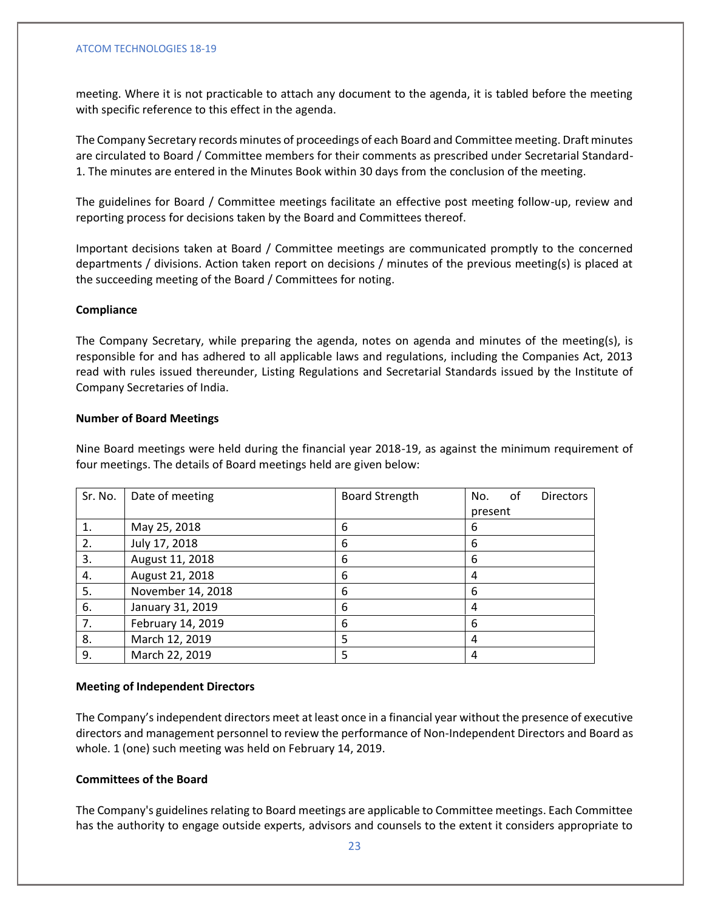meeting. Where it is not practicable to attach any document to the agenda, it is tabled before the meeting with specific reference to this effect in the agenda.

The Company Secretary records minutes of proceedings of each Board and Committee meeting. Draft minutes are circulated to Board / Committee members for their comments as prescribed under Secretarial Standard-1. The minutes are entered in the Minutes Book within 30 days from the conclusion of the meeting.

The guidelines for Board / Committee meetings facilitate an effective post meeting follow-up, review and reporting process for decisions taken by the Board and Committees thereof.

Important decisions taken at Board / Committee meetings are communicated promptly to the concerned departments / divisions. Action taken report on decisions / minutes of the previous meeting(s) is placed at the succeeding meeting of the Board / Committees for noting.

## **Compliance**

The Company Secretary, while preparing the agenda, notes on agenda and minutes of the meeting(s), is responsible for and has adhered to all applicable laws and regulations, including the Companies Act, 2013 read with rules issued thereunder, Listing Regulations and Secretarial Standards issued by the Institute of Company Secretaries of India.

## **Number of Board Meetings**

Nine Board meetings were held during the financial year 2018-19, as against the minimum requirement of four meetings. The details of Board meetings held are given below:

| Sr. No. | Date of meeting   | <b>Board Strength</b> | No.     | 0f | <b>Directors</b> |
|---------|-------------------|-----------------------|---------|----|------------------|
|         |                   |                       | present |    |                  |
| 1.      | May 25, 2018      | 6                     | 6       |    |                  |
| 2.      | July 17, 2018     | 6                     | 6       |    |                  |
| 3.      | August 11, 2018   | 6                     | 6       |    |                  |
| 4.      | August 21, 2018   | 6                     | 4       |    |                  |
| 5.      | November 14, 2018 | 6                     | 6       |    |                  |
| 6.      | January 31, 2019  | 6                     | 4       |    |                  |
| 7.      | February 14, 2019 | 6                     | 6       |    |                  |
| 8.      | March 12, 2019    | 5                     | 4       |    |                  |
| 9.      | March 22, 2019    | 5                     | 4       |    |                  |

## **Meeting of Independent Directors**

The Company's independent directors meet at least once in a financial year without the presence of executive directors and management personnel to review the performance of Non-Independent Directors and Board as whole. 1 (one) such meeting was held on February 14, 2019.

## **Committees of the Board**

The Company's guidelines relating to Board meetings are applicable to Committee meetings. Each Committee has the authority to engage outside experts, advisors and counsels to the extent it considers appropriate to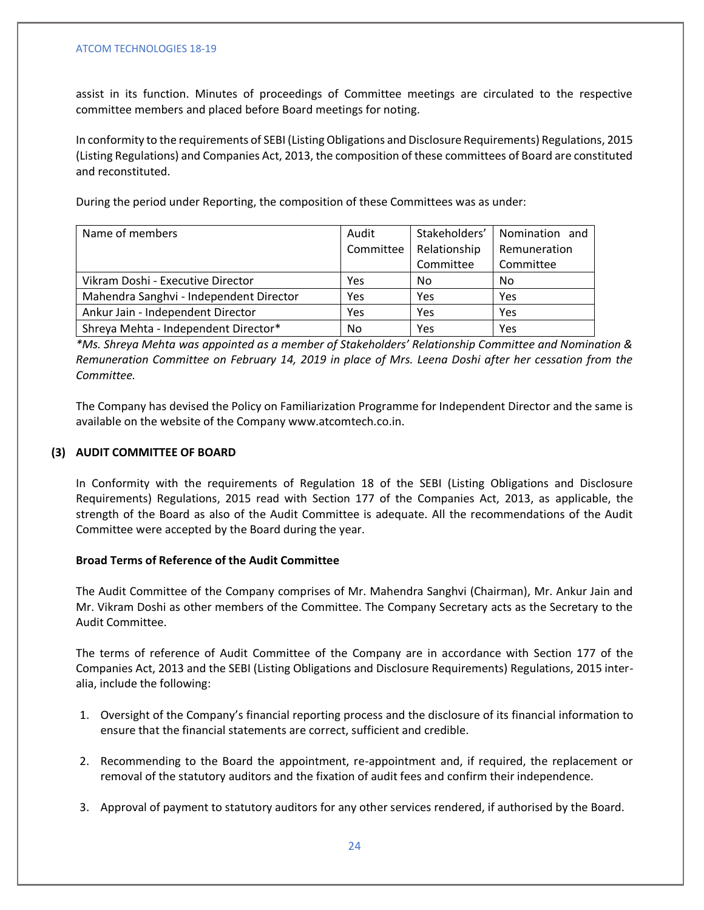assist in its function. Minutes of proceedings of Committee meetings are circulated to the respective committee members and placed before Board meetings for noting.

In conformity to the requirements of SEBI (Listing Obligations and Disclosure Requirements) Regulations, 2015 (Listing Regulations) and Companies Act, 2013, the composition of these committees of Board are constituted and reconstituted.

During the period under Reporting, the composition of these Committees was as under:

| Name of members                         | Audit     | Stakeholders' | Nomination and |
|-----------------------------------------|-----------|---------------|----------------|
|                                         | Committee | Relationship  | Remuneration   |
|                                         |           | Committee     | Committee      |
| Vikram Doshi - Executive Director       | Yes       | No            | No             |
| Mahendra Sanghvi - Independent Director | Yes       | Yes           | Yes            |
| Ankur Jain - Independent Director       | Yes       | Yes           | Yes            |
| Shreya Mehta - Independent Director*    | No        | Yes           | Yes            |

*\*Ms. Shreya Mehta was appointed as a member of Stakeholders' Relationship Committee and Nomination & Remuneration Committee on February 14, 2019 in place of Mrs. Leena Doshi after her cessation from the Committee.*

The Company has devised the Policy on Familiarization Programme for Independent Director and the same is available on the website of the Company www.atcomtech.co.in.

# **(3) AUDIT COMMITTEE OF BOARD**

In Conformity with the requirements of Regulation 18 of the SEBI (Listing Obligations and Disclosure Requirements) Regulations, 2015 read with Section 177 of the Companies Act, 2013, as applicable, the strength of the Board as also of the Audit Committee is adequate. All the recommendations of the Audit Committee were accepted by the Board during the year.

## **Broad Terms of Reference of the Audit Committee**

The Audit Committee of the Company comprises of Mr. Mahendra Sanghvi (Chairman), Mr. Ankur Jain and Mr. Vikram Doshi as other members of the Committee. The Company Secretary acts as the Secretary to the Audit Committee.

The terms of reference of Audit Committee of the Company are in accordance with Section 177 of the Companies Act, 2013 and the SEBI (Listing Obligations and Disclosure Requirements) Regulations, 2015 interalia, include the following:

- 1. Oversight of the Company's financial reporting process and the disclosure of its financial information to ensure that the financial statements are correct, sufficient and credible.
- 2. Recommending to the Board the appointment, re-appointment and, if required, the replacement or removal of the statutory auditors and the fixation of audit fees and confirm their independence.
- 3. Approval of payment to statutory auditors for any other services rendered, if authorised by the Board.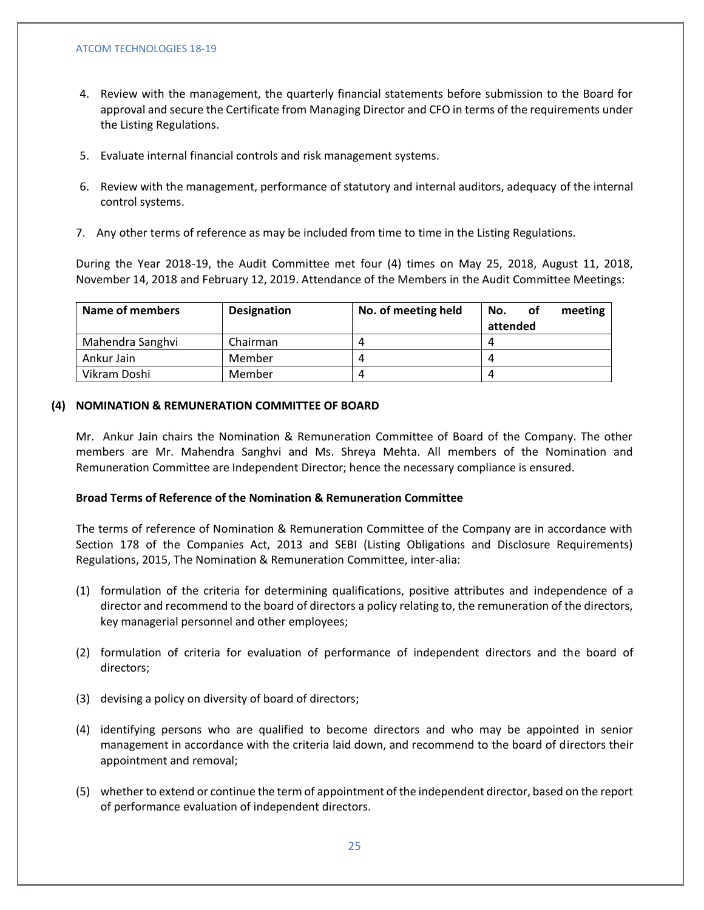- 4. Review with the management, the quarterly financial statements before submission to the Board for approval and secure the Certificate from Managing Director and CFO in terms of the requirements under the Listing Regulations.
- 5. Evaluate internal financial controls and risk management systems.
- 6. Review with the management, performance of statutory and internal auditors, adequacy of the internal control systems.
- 7. Any other terms of reference as may be included from time to time in the Listing Regulations.

During the Year 2018-19, the Audit Committee met four (4) times on May 25, 2018, August 11, 2018, November 14, 2018 and February 12, 2019. Attendance of the Members in the Audit Committee Meetings:

| Name of members  | <b>Designation</b> | No. of meeting held | meeting<br>No.<br>оf |
|------------------|--------------------|---------------------|----------------------|
|                  |                    |                     | attended             |
| Mahendra Sanghvi | Chairman           | 4                   |                      |
| Ankur Jain       | Member             | $\Delta$            |                      |
| Vikram Doshi     | Member             | 4                   |                      |

## **(4) NOMINATION & REMUNERATION COMMITTEE OF BOARD**

Mr. Ankur Jain chairs the Nomination & Remuneration Committee of Board of the Company. The other members are Mr. Mahendra Sanghvi and Ms. Shreya Mehta. All members of the Nomination and Remuneration Committee are Independent Director; hence the necessary compliance is ensured.

## **Broad Terms of Reference of the Nomination & Remuneration Committee**

The terms of reference of Nomination & Remuneration Committee of the Company are in accordance with Section 178 of the Companies Act, 2013 and SEBI (Listing Obligations and Disclosure Requirements) Regulations, 2015, The Nomination & Remuneration Committee, inter-alia:

- (1) formulation of the criteria for determining qualifications, positive attributes and independence of a director and recommend to the board of directors a policy relating to, the remuneration of the directors, key managerial personnel and other employees;
- (2) formulation of criteria for evaluation of performance of independent directors and the board of directors;
- (3) devising a policy on diversity of board of directors;
- (4) identifying persons who are qualified to become directors and who may be appointed in senior management in accordance with the criteria laid down, and recommend to the board of directors their appointment and removal;
- (5) whether to extend or continue the term of appointment of the independent director, based on the report of performance evaluation of independent directors.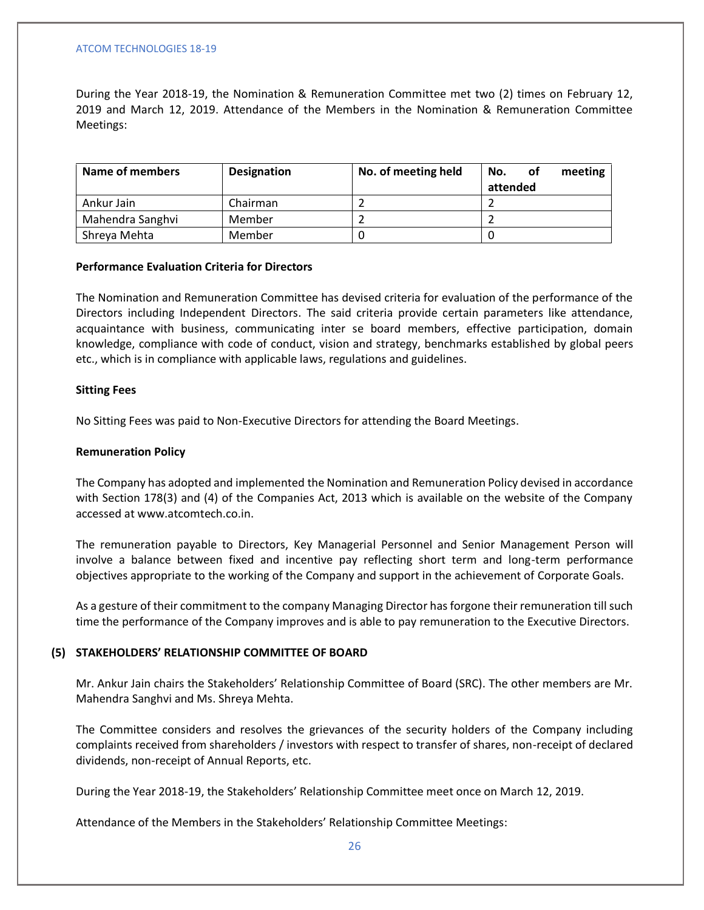During the Year 2018-19, the Nomination & Remuneration Committee met two (2) times on February 12, 2019 and March 12, 2019. Attendance of the Members in the Nomination & Remuneration Committee Meetings:

| Name of members  | <b>Designation</b> | No. of meeting held | meeting<br>No.<br>οf |
|------------------|--------------------|---------------------|----------------------|
|                  |                    |                     | attended             |
| Ankur Jain       | Chairman           |                     |                      |
| Mahendra Sanghvi | Member             |                     |                      |
| Shreya Mehta     | Member             |                     |                      |

## **Performance Evaluation Criteria for Directors**

The Nomination and Remuneration Committee has devised criteria for evaluation of the performance of the Directors including Independent Directors. The said criteria provide certain parameters like attendance, acquaintance with business, communicating inter se board members, effective participation, domain knowledge, compliance with code of conduct, vision and strategy, benchmarks established by global peers etc., which is in compliance with applicable laws, regulations and guidelines.

## **Sitting Fees**

No Sitting Fees was paid to Non-Executive Directors for attending the Board Meetings.

## **Remuneration Policy**

The Company has adopted and implemented the Nomination and Remuneration Policy devised in accordance with Section 178(3) and (4) of the Companies Act, 2013 which is available on the website of the Company accessed at www.atcomtech.co.in.

The remuneration payable to Directors, Key Managerial Personnel and Senior Management Person will involve a balance between fixed and incentive pay reflecting short term and long-term performance objectives appropriate to the working of the Company and support in the achievement of Corporate Goals.

As a gesture of their commitment to the company Managing Director has forgone their remuneration till such time the performance of the Company improves and is able to pay remuneration to the Executive Directors.

#### **(5) STAKEHOLDERS' RELATIONSHIP COMMITTEE OF BOARD**

Mr. Ankur Jain chairs the Stakeholders' Relationship Committee of Board (SRC). The other members are Mr. Mahendra Sanghvi and Ms. Shreya Mehta.

The Committee considers and resolves the grievances of the security holders of the Company including complaints received from shareholders / investors with respect to transfer of shares, non-receipt of declared dividends, non-receipt of Annual Reports, etc.

During the Year 2018-19, the Stakeholders' Relationship Committee meet once on March 12, 2019.

Attendance of the Members in the Stakeholders' Relationship Committee Meetings: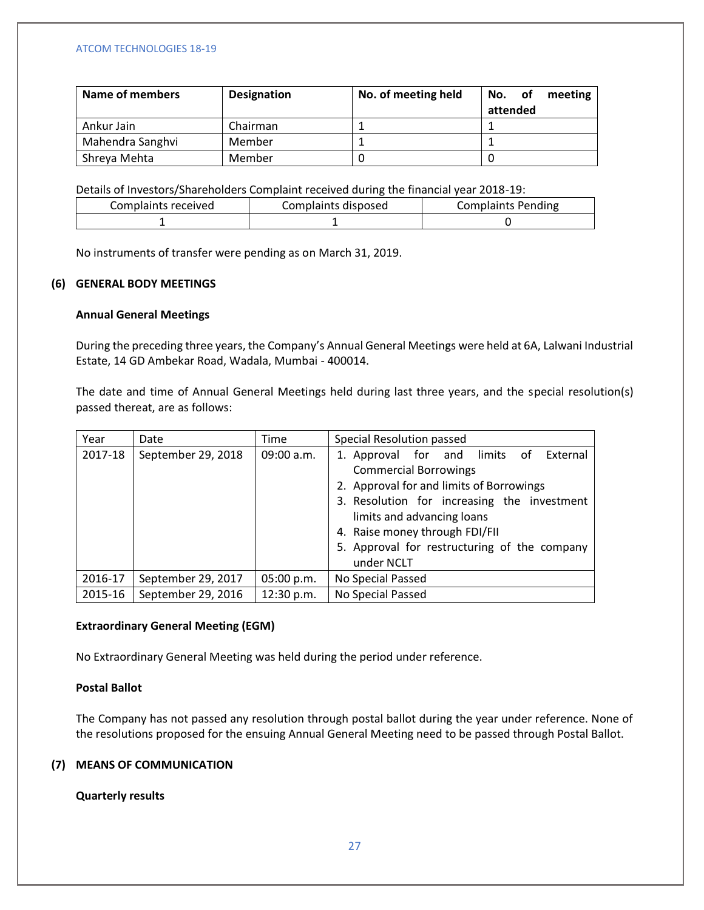| Name of members  | <b>Designation</b> | No. of meeting held | 0f<br>meeting<br>No. |
|------------------|--------------------|---------------------|----------------------|
|                  |                    |                     | attended             |
| Ankur Jain       | Chairman           |                     |                      |
| Mahendra Sanghvi | Member             |                     |                      |
| Shreya Mehta     | Member             |                     |                      |

Details of Investors/Shareholders Complaint received during the financial year 2018-19:

| Complaints received | Complaints disposed | <b>Complaints Pending</b> |
|---------------------|---------------------|---------------------------|
|                     |                     |                           |

No instruments of transfer were pending as on March 31, 2019.

# **(6) GENERAL BODY MEETINGS**

# **Annual General Meetings**

During the preceding three years, the Company's Annual General Meetings were held at 6A, Lalwani Industrial Estate, 14 GD Ambekar Road, Wadala, Mumbai - 400014.

The date and time of Annual General Meetings held during last three years, and the special resolution(s) passed thereat, are as follows:

| Year    | Date               | Time       | Special Resolution passed                                                                                                                                                                                                                                                                          |
|---------|--------------------|------------|----------------------------------------------------------------------------------------------------------------------------------------------------------------------------------------------------------------------------------------------------------------------------------------------------|
| 2017-18 | September 29, 2018 | 09:00 a.m. | 1. Approval for and limits of<br>External<br><b>Commercial Borrowings</b><br>2. Approval for and limits of Borrowings<br>3. Resolution for increasing the investment<br>limits and advancing loans<br>4. Raise money through FDI/FII<br>5. Approval for restructuring of the company<br>under NCLT |
| 2016-17 | September 29, 2017 | 05:00 p.m. | No Special Passed                                                                                                                                                                                                                                                                                  |
| 2015-16 | September 29, 2016 | 12:30 p.m. | No Special Passed                                                                                                                                                                                                                                                                                  |

## **Extraordinary General Meeting (EGM)**

No Extraordinary General Meeting was held during the period under reference.

## **Postal Ballot**

The Company has not passed any resolution through postal ballot during the year under reference. None of the resolutions proposed for the ensuing Annual General Meeting need to be passed through Postal Ballot.

# **(7) MEANS OF COMMUNICATION**

## **Quarterly results**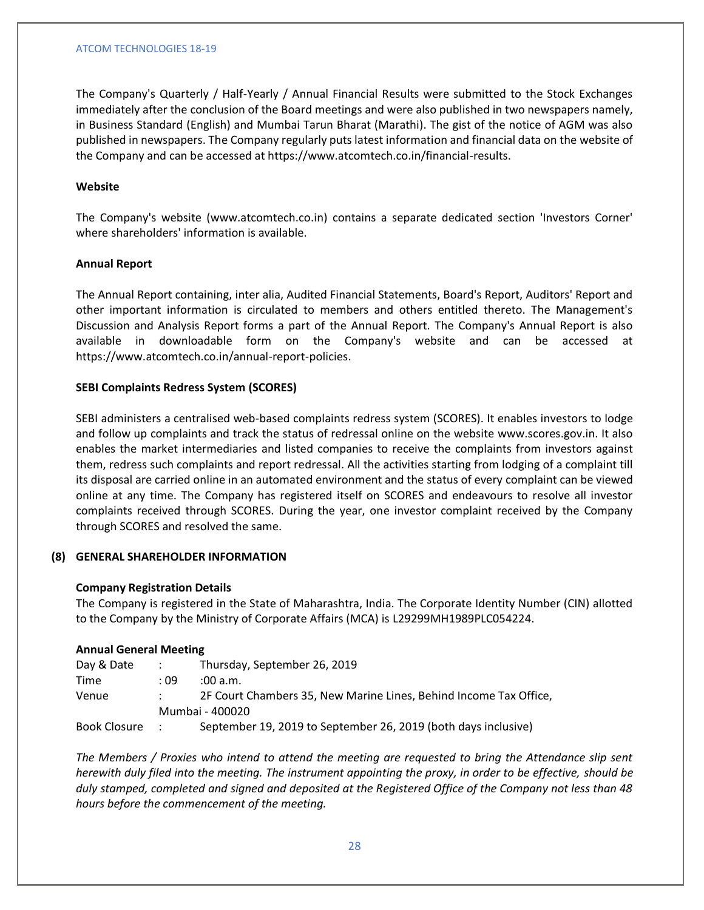The Company's Quarterly / Half-Yearly / Annual Financial Results were submitted to the Stock Exchanges immediately after the conclusion of the Board meetings and were also published in two newspapers namely, in Business Standard (English) and Mumbai Tarun Bharat (Marathi). The gist of the notice of AGM was also published in newspapers. The Company regularly puts latest information and financial data on the website of the Company and can be accessed at https://www.atcomtech.co.in/financial-results.

# **Website**

The Company's website (www.atcomtech.co.in) contains a separate dedicated section 'Investors Corner' where shareholders' information is available.

# **Annual Report**

The Annual Report containing, inter alia, Audited Financial Statements, Board's Report, Auditors' Report and other important information is circulated to members and others entitled thereto. The Management's Discussion and Analysis Report forms a part of the Annual Report. The Company's Annual Report is also available in downloadable form on the Company's website and can be accessed at https://www.atcomtech.co.in/annual-report-policies.

# **SEBI Complaints Redress System (SCORES)**

SEBI administers a centralised web-based complaints redress system (SCORES). It enables investors to lodge and follow up complaints and track the status of redressal online on the website www.scores.gov.in. It also enables the market intermediaries and listed companies to receive the complaints from investors against them, redress such complaints and report redressal. All the activities starting from lodging of a complaint till its disposal are carried online in an automated environment and the status of every complaint can be viewed online at any time. The Company has registered itself on SCORES and endeavours to resolve all investor complaints received through SCORES. During the year, one investor complaint received by the Company through SCORES and resolved the same.

## **(8) GENERAL SHAREHOLDER INFORMATION**

## **Company Registration Details**

The Company is registered in the State of Maharashtra, India. The Corporate Identity Number (CIN) allotted to the Company by the Ministry of Corporate Affairs (MCA) is L29299MH1989PLC054224.

# **Annual General Meeting**

| Day & Date   | <b>Service State</b> | Thursday, September 26, 2019                                      |
|--------------|----------------------|-------------------------------------------------------------------|
| Time         | : 09                 | :00 a.m.                                                          |
| Venue        |                      | 2F Court Chambers 35, New Marine Lines, Behind Income Tax Office, |
|              |                      | Mumbai - 400020                                                   |
| Book Closure | $\sim$ 100 $\pm$     | September 19, 2019 to September 26, 2019 (both days inclusive)    |

*The Members / Proxies who intend to attend the meeting are requested to bring the Attendance slip sent herewith duly filed into the meeting. The instrument appointing the proxy, in order to be effective, should be duly stamped, completed and signed and deposited at the Registered Office of the Company not less than 48 hours before the commencement of the meeting.*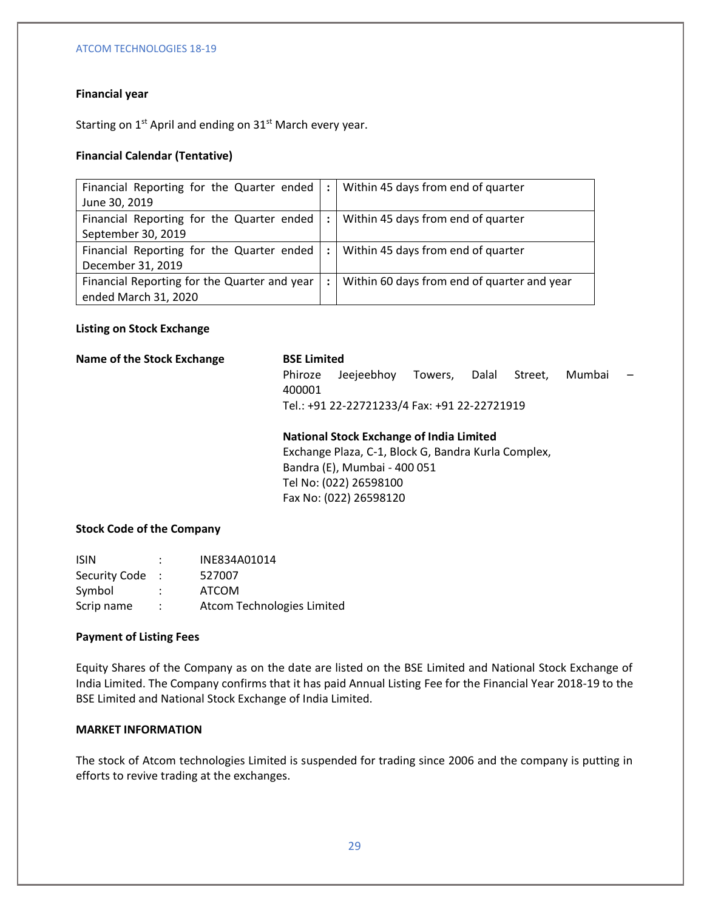# **Financial year**

Starting on  $1^{st}$  April and ending on  $31^{st}$  March every year.

# **Financial Calendar (Tentative)**

| Financial Reporting for the Quarter ended   : |                      | Within 45 days from end of quarter          |
|-----------------------------------------------|----------------------|---------------------------------------------|
| June 30, 2019                                 |                      |                                             |
| Financial Reporting for the Quarter ended     | 11 E L               | Within 45 days from end of quarter          |
| September 30, 2019                            |                      |                                             |
| Financial Reporting for the Quarter ended     | $\cdot$ : 1          | Within 45 days from end of quarter          |
| December 31, 2019                             |                      |                                             |
| Financial Reporting for the Quarter and year  | $\ddot{\phantom{a}}$ | Within 60 days from end of quarter and year |
| ended March 31, 2020                          |                      |                                             |

# **Listing on Stock Exchange**

## **Name of the Stock Exchange BSE Limited**

Phiroze Jeejeebhoy Towers, Dalal Street, Mumbai 400001 Tel.: +91 22-22721233/4 Fax: +91 22-22721919

# **National Stock Exchange of India Limited**

Exchange Plaza, C-1, Block G, Bandra Kurla Complex, Bandra (E), Mumbai - 400 051 Tel No: (022) 26598100 Fax No: (022) 26598120

## **Stock Code of the Company**

| <b>ISIN</b>   |    | INE834A01014               |
|---------------|----|----------------------------|
| Security Code |    | 527007                     |
| Symbol        |    | <b>ATCOM</b>               |
| Scrip name    | ٠. | Atcom Technologies Limited |

## **Payment of Listing Fees**

Equity Shares of the Company as on the date are listed on the BSE Limited and National Stock Exchange of India Limited. The Company confirms that it has paid Annual Listing Fee for the Financial Year 2018-19 to the BSE Limited and National Stock Exchange of India Limited.

# **MARKET INFORMATION**

The stock of Atcom technologies Limited is suspended for trading since 2006 and the company is putting in efforts to revive trading at the exchanges.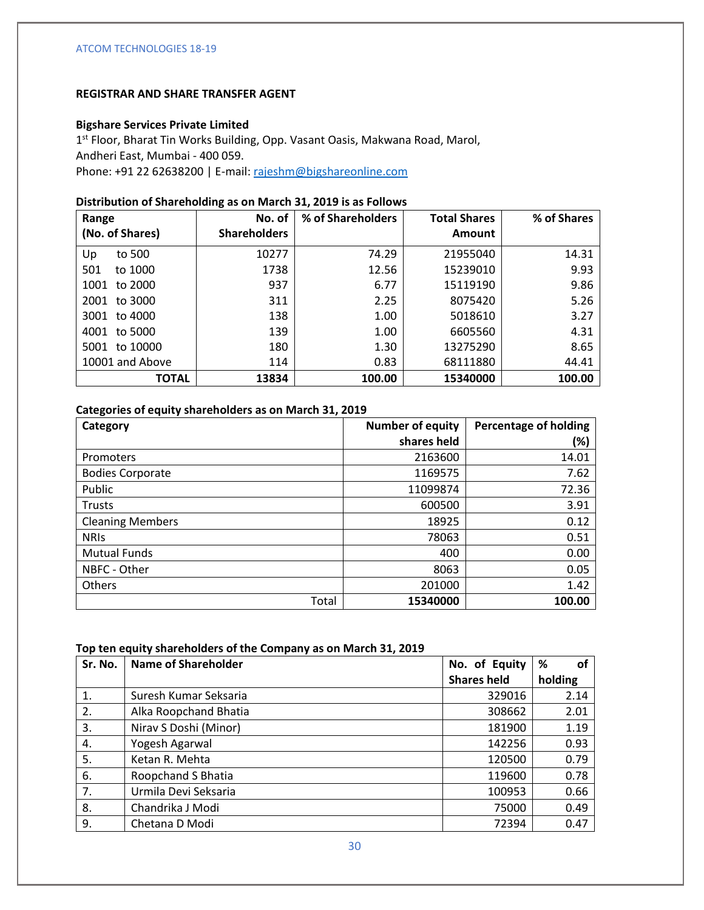# **REGISTRAR AND SHARE TRANSFER AGENT**

## **Bigshare Services Private Limited**

1<sup>st</sup> Floor, Bharat Tin Works Building, Opp. Vasant Oasis, Makwana Road, Marol, Andheri East, Mumbai - 400 059. Phone: +91 22 62638200 | E-mail[: rajeshm@bigshareonline.com](mailto:rajeshm@bigshareonline.com)

# **Distribution of Shareholding as on March 31, 2019 is as Follows**

| Range            | No. of              | % of Shareholders | <b>Total Shares</b> | % of Shares |
|------------------|---------------------|-------------------|---------------------|-------------|
| (No. of Shares)  | <b>Shareholders</b> |                   | Amount              |             |
| to 500<br>Up     | 10277               | 74.29             | 21955040            | 14.31       |
| 501<br>to 1000   | 1738                | 12.56             | 15239010            | 9.93        |
| to 2000<br>1001  | 937                 | 6.77              | 15119190            | 9.86        |
| to 3000<br>2001  | 311                 | 2.25              | 8075420             | 5.26        |
| to 4000<br>3001  | 138                 | 1.00              | 5018610             | 3.27        |
| to 5000<br>4001  | 139                 | 1.00              | 6605560             | 4.31        |
| to 10000<br>5001 | 180                 | 1.30              | 13275290            | 8.65        |
| 10001 and Above  | 114                 | 0.83              | 68111880            | 44.41       |
| <b>TOTAL</b>     | 13834               | 100.00            | 15340000            | 100.00      |

## **Categories of equity shareholders as on March 31, 2019**

| Category                | <b>Number of equity</b> | <b>Percentage of holding</b> |
|-------------------------|-------------------------|------------------------------|
|                         | shares held             | (%)                          |
| Promoters               | 2163600                 | 14.01                        |
| <b>Bodies Corporate</b> | 1169575                 | 7.62                         |
| Public                  | 11099874                | 72.36                        |
| <b>Trusts</b>           | 600500                  | 3.91                         |
| <b>Cleaning Members</b> | 18925                   | 0.12                         |
| <b>NRIS</b>             | 78063                   | 0.51                         |
| <b>Mutual Funds</b>     | 400                     | 0.00                         |
| NBFC - Other            | 8063                    | 0.05                         |
| Others                  | 201000                  | 1.42                         |
| Total                   | 15340000                | 100.00                       |

## **Top ten equity shareholders of the Company as on March 31, 2019**

| Sr. No. | <b>Name of Shareholder</b> | No. of Equity      | %<br>οf |
|---------|----------------------------|--------------------|---------|
|         |                            | <b>Shares held</b> | holding |
| 1.      | Suresh Kumar Seksaria      | 329016             | 2.14    |
| 2.      | Alka Roopchand Bhatia      | 308662             | 2.01    |
| 3.      | Nirav S Doshi (Minor)      | 181900             | 1.19    |
| 4.      | Yogesh Agarwal             | 142256             | 0.93    |
| 5.      | Ketan R. Mehta             | 120500             | 0.79    |
| 6.      | Roopchand S Bhatia         | 119600             | 0.78    |
| 7.      | Urmila Devi Seksaria       | 100953             | 0.66    |
| 8.      | Chandrika J Modi           | 75000              | 0.49    |
| 9.      | Chetana D Modi             | 72394              | 0.47    |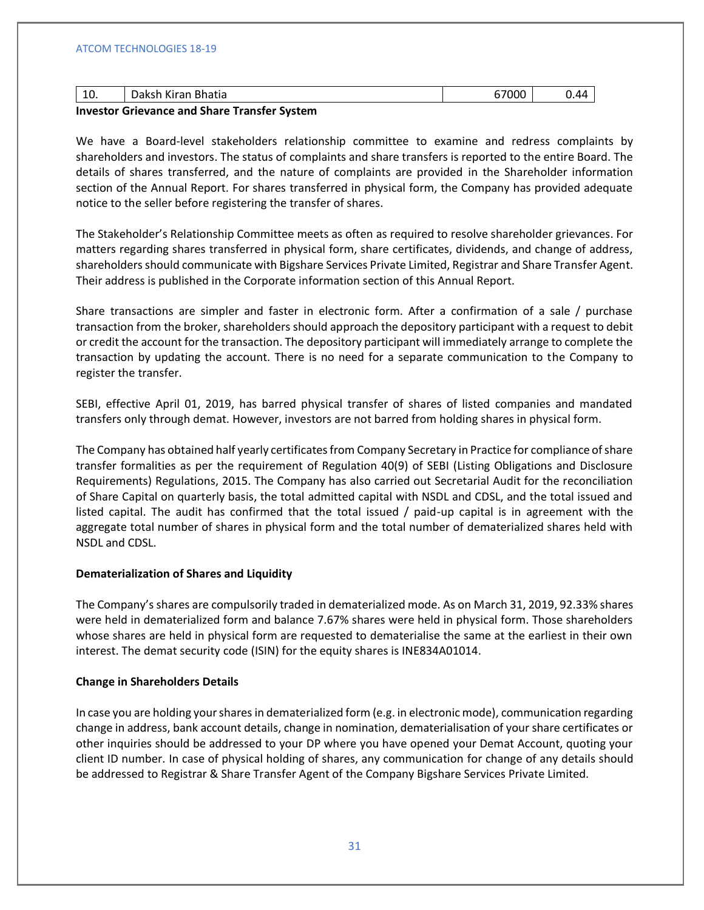| Bhatia<br><b>NILAIL</b><br>τv. | Δ4 |
|--------------------------------|----|
|                                |    |

## **Investor Grievance and Share Transfer System**

We have a Board-level stakeholders relationship committee to examine and redress complaints by shareholders and investors. The status of complaints and share transfers is reported to the entire Board. The details of shares transferred, and the nature of complaints are provided in the Shareholder information section of the Annual Report. For shares transferred in physical form, the Company has provided adequate notice to the seller before registering the transfer of shares.

The Stakeholder's Relationship Committee meets as often as required to resolve shareholder grievances. For matters regarding shares transferred in physical form, share certificates, dividends, and change of address, shareholders should communicate with Bigshare Services Private Limited, Registrar and Share Transfer Agent. Their address is published in the Corporate information section of this Annual Report.

Share transactions are simpler and faster in electronic form. After a confirmation of a sale / purchase transaction from the broker, shareholders should approach the depository participant with a request to debit or credit the account for the transaction. The depository participant will immediately arrange to complete the transaction by updating the account. There is no need for a separate communication to the Company to register the transfer.

SEBI, effective April 01, 2019, has barred physical transfer of shares of listed companies and mandated transfers only through demat. However, investors are not barred from holding shares in physical form.

The Company has obtained half yearly certificates from Company Secretary in Practice for compliance of share transfer formalities as per the requirement of Regulation 40(9) of SEBI (Listing Obligations and Disclosure Requirements) Regulations, 2015. The Company has also carried out Secretarial Audit for the reconciliation of Share Capital on quarterly basis, the total admitted capital with NSDL and CDSL, and the total issued and listed capital. The audit has confirmed that the total issued / paid-up capital is in agreement with the aggregate total number of shares in physical form and the total number of dematerialized shares held with NSDL and CDSL.

## **Dematerialization of Shares and Liquidity**

The Company's shares are compulsorily traded in dematerialized mode. As on March 31, 2019, 92.33% shares were held in dematerialized form and balance 7.67% shares were held in physical form. Those shareholders whose shares are held in physical form are requested to dematerialise the same at the earliest in their own interest. The demat security code (ISIN) for the equity shares is INE834A01014.

# **Change in Shareholders Details**

In case you are holding your shares in dematerialized form (e.g. in electronic mode), communication regarding change in address, bank account details, change in nomination, dematerialisation of your share certificates or other inquiries should be addressed to your DP where you have opened your Demat Account, quoting your client ID number. In case of physical holding of shares, any communication for change of any details should be addressed to Registrar & Share Transfer Agent of the Company Bigshare Services Private Limited.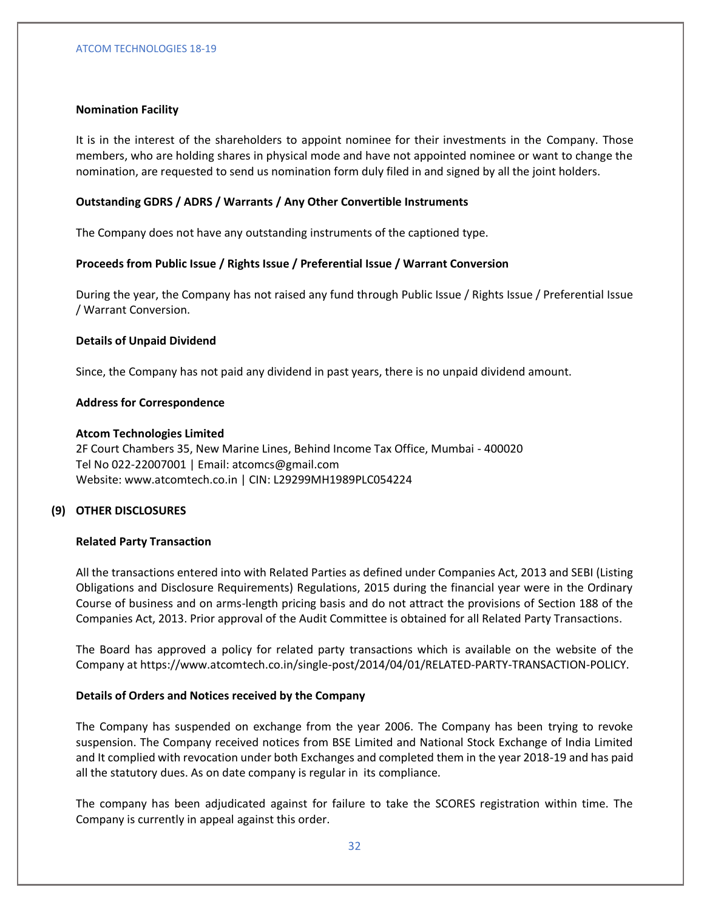# **Nomination Facility**

It is in the interest of the shareholders to appoint nominee for their investments in the Company. Those members, who are holding shares in physical mode and have not appointed nominee or want to change the nomination, are requested to send us nomination form duly filed in and signed by all the joint holders.

# **Outstanding GDRS / ADRS / Warrants / Any Other Convertible Instruments**

The Company does not have any outstanding instruments of the captioned type.

# **Proceeds from Public Issue / Rights Issue / Preferential Issue / Warrant Conversion**

During the year, the Company has not raised any fund through Public Issue / Rights Issue / Preferential Issue / Warrant Conversion.

## **Details of Unpaid Dividend**

Since, the Company has not paid any dividend in past years, there is no unpaid dividend amount.

## **Address for Correspondence**

# **Atcom Technologies Limited**

2F Court Chambers 35, New Marine Lines, Behind Income Tax Office, Mumbai - 400020 Tel No 022-22007001 | Email: atcomcs@gmail.com Website: www.atcomtech.co.in | CIN: L29299MH1989PLC054224

# **(9) OTHER DISCLOSURES**

## **Related Party Transaction**

All the transactions entered into with Related Parties as defined under Companies Act, 2013 and SEBI (Listing Obligations and Disclosure Requirements) Regulations, 2015 during the financial year were in the Ordinary Course of business and on arms-length pricing basis and do not attract the provisions of Section 188 of the Companies Act, 2013. Prior approval of the Audit Committee is obtained for all Related Party Transactions.

The Board has approved a policy for related party transactions which is available on the website of the Company at https://www.atcomtech.co.in/single-post/2014/04/01/RELATED-PARTY-TRANSACTION-POLICY.

# **Details of Orders and Notices received by the Company**

The Company has suspended on exchange from the year 2006. The Company has been trying to revoke suspension. The Company received notices from BSE Limited and National Stock Exchange of India Limited and It complied with revocation under both Exchanges and completed them in the year 2018-19 and has paid all the statutory dues. As on date company is regular in its compliance.

The company has been adjudicated against for failure to take the SCORES registration within time. The Company is currently in appeal against this order.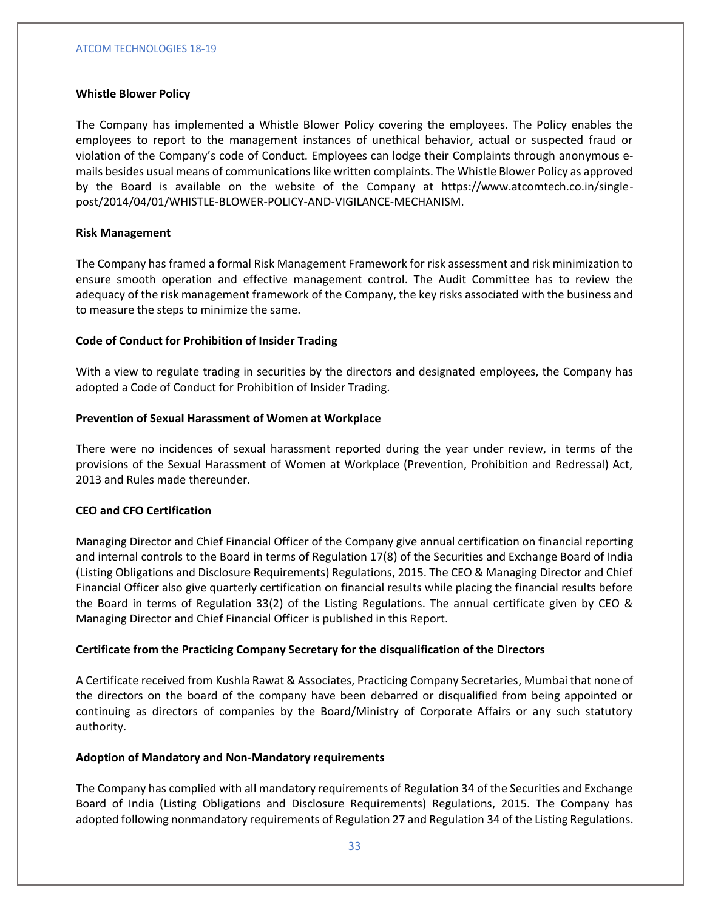## **Whistle Blower Policy**

The Company has implemented a Whistle Blower Policy covering the employees. The Policy enables the employees to report to the management instances of unethical behavior, actual or suspected fraud or violation of the Company's code of Conduct. Employees can lodge their Complaints through anonymous emails besides usual means of communications like written complaints. The Whistle Blower Policy as approved by the Board is available on the website of the Company at https://www.atcomtech.co.in/singlepost/2014/04/01/WHISTLE-BLOWER-POLICY-AND-VIGILANCE-MECHANISM.

## **Risk Management**

The Company has framed a formal Risk Management Framework for risk assessment and risk minimization to ensure smooth operation and effective management control. The Audit Committee has to review the adequacy of the risk management framework of the Company, the key risks associated with the business and to measure the steps to minimize the same.

## **Code of Conduct for Prohibition of Insider Trading**

With a view to regulate trading in securities by the directors and designated employees, the Company has adopted a Code of Conduct for Prohibition of Insider Trading.

## **Prevention of Sexual Harassment of Women at Workplace**

There were no incidences of sexual harassment reported during the year under review, in terms of the provisions of the Sexual Harassment of Women at Workplace (Prevention, Prohibition and Redressal) Act, 2013 and Rules made thereunder.

## **CEO and CFO Certification**

Managing Director and Chief Financial Officer of the Company give annual certification on financial reporting and internal controls to the Board in terms of Regulation 17(8) of the Securities and Exchange Board of India (Listing Obligations and Disclosure Requirements) Regulations, 2015. The CEO & Managing Director and Chief Financial Officer also give quarterly certification on financial results while placing the financial results before the Board in terms of Regulation 33(2) of the Listing Regulations. The annual certificate given by CEO & Managing Director and Chief Financial Officer is published in this Report.

## **Certificate from the Practicing Company Secretary for the disqualification of the Directors**

A Certificate received from Kushla Rawat & Associates, Practicing Company Secretaries, Mumbai that none of the directors on the board of the company have been debarred or disqualified from being appointed or continuing as directors of companies by the Board/Ministry of Corporate Affairs or any such statutory authority.

## **Adoption of Mandatory and Non-Mandatory requirements**

The Company has complied with all mandatory requirements of Regulation 34 of the Securities and Exchange Board of India (Listing Obligations and Disclosure Requirements) Regulations, 2015. The Company has adopted following nonmandatory requirements of Regulation 27 and Regulation 34 of the Listing Regulations.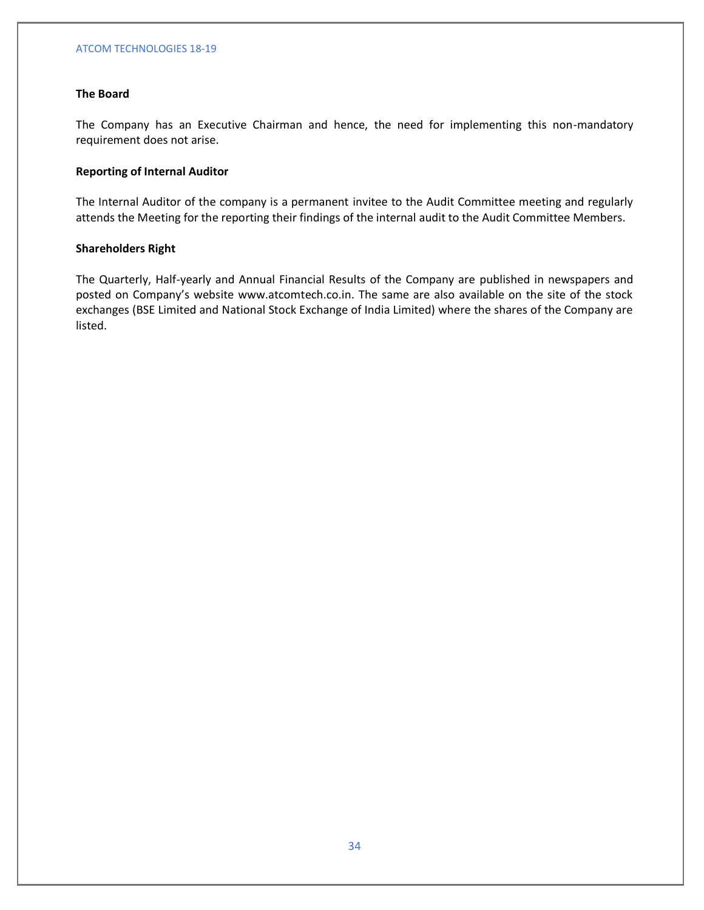# **The Board**

The Company has an Executive Chairman and hence, the need for implementing this non-mandatory requirement does not arise.

# **Reporting of Internal Auditor**

The Internal Auditor of the company is a permanent invitee to the Audit Committee meeting and regularly attends the Meeting for the reporting their findings of the internal audit to the Audit Committee Members.

## **Shareholders Right**

The Quarterly, Half-yearly and Annual Financial Results of the Company are published in newspapers and posted on Company's website www.atcomtech.co.in. The same are also available on the site of the stock exchanges (BSE Limited and National Stock Exchange of India Limited) where the shares of the Company are listed.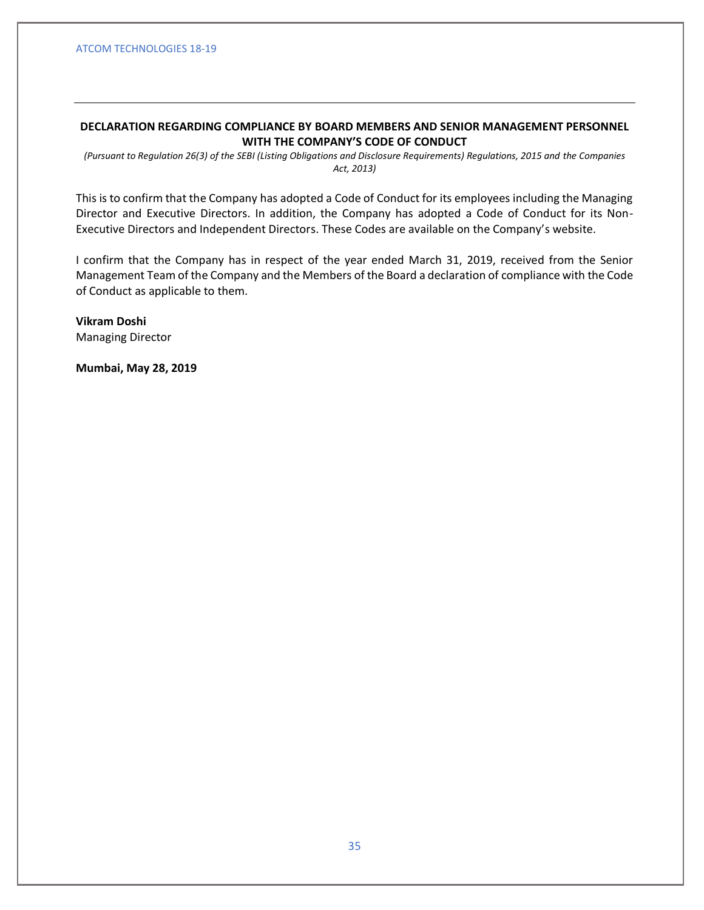# **DECLARATION REGARDING COMPLIANCE BY BOARD MEMBERS AND SENIOR MANAGEMENT PERSONNEL WITH THE COMPANY'S CODE OF CONDUCT**

*(Pursuant to Regulation 26(3) of the SEBI (Listing Obligations and Disclosure Requirements) Regulations, 2015 and the Companies Act, 2013)*

This is to confirm that the Company has adopted a Code of Conduct for its employees including the Managing Director and Executive Directors. In addition, the Company has adopted a Code of Conduct for its Non-Executive Directors and Independent Directors. These Codes are available on the Company's website.

I confirm that the Company has in respect of the year ended March 31, 2019, received from the Senior Management Team of the Company and the Members of the Board a declaration of compliance with the Code of Conduct as applicable to them.

**Vikram Doshi** Managing Director

**Mumbai, May 28, 2019**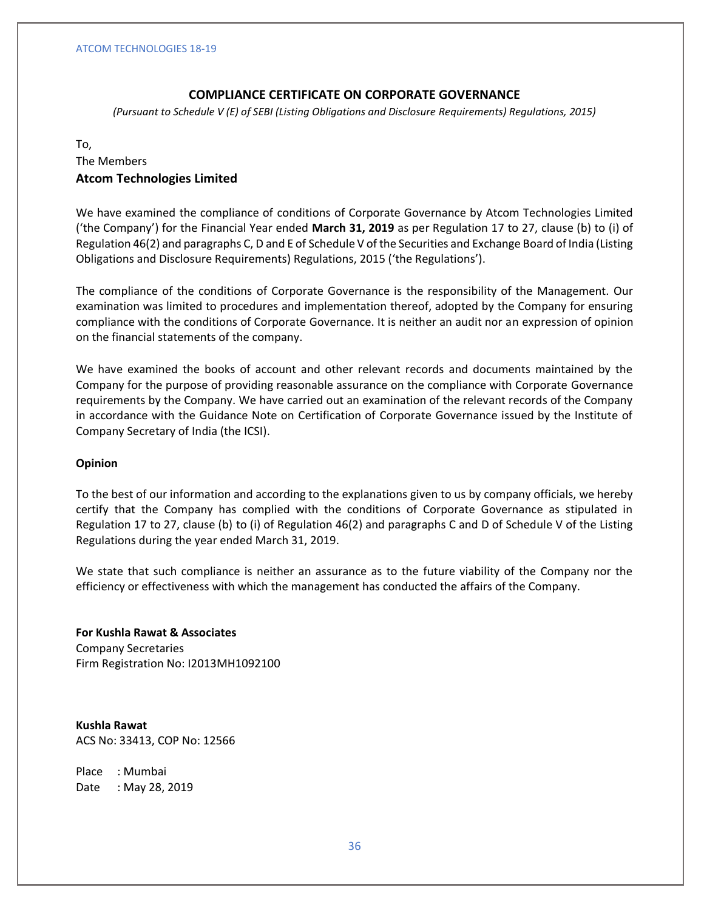# **COMPLIANCE CERTIFICATE ON CORPORATE GOVERNANCE**

*(Pursuant to Schedule V (E) of SEBI (Listing Obligations and Disclosure Requirements) Regulations, 2015)*

## To,

# The Members **Atcom Technologies Limited**

We have examined the compliance of conditions of Corporate Governance by Atcom Technologies Limited ('the Company') for the Financial Year ended **March 31, 2019** as per Regulation 17 to 27, clause (b) to (i) of Regulation 46(2) and paragraphs C, D and E of Schedule V of the Securities and Exchange Board of India (Listing Obligations and Disclosure Requirements) Regulations, 2015 ('the Regulations').

The compliance of the conditions of Corporate Governance is the responsibility of the Management. Our examination was limited to procedures and implementation thereof, adopted by the Company for ensuring compliance with the conditions of Corporate Governance. It is neither an audit nor an expression of opinion on the financial statements of the company.

We have examined the books of account and other relevant records and documents maintained by the Company for the purpose of providing reasonable assurance on the compliance with Corporate Governance requirements by the Company. We have carried out an examination of the relevant records of the Company in accordance with the Guidance Note on Certification of Corporate Governance issued by the Institute of Company Secretary of India (the ICSI).

## **Opinion**

To the best of our information and according to the explanations given to us by company officials, we hereby certify that the Company has complied with the conditions of Corporate Governance as stipulated in Regulation 17 to 27, clause (b) to (i) of Regulation 46(2) and paragraphs C and D of Schedule V of the Listing Regulations during the year ended March 31, 2019.

We state that such compliance is neither an assurance as to the future viability of the Company nor the efficiency or effectiveness with which the management has conducted the affairs of the Company.

**For Kushla Rawat & Associates** Company Secretaries Firm Registration No: I2013MH1092100

**Kushla Rawat** ACS No: 33413, COP No: 12566

Place : Mumbai Date : May 28, 2019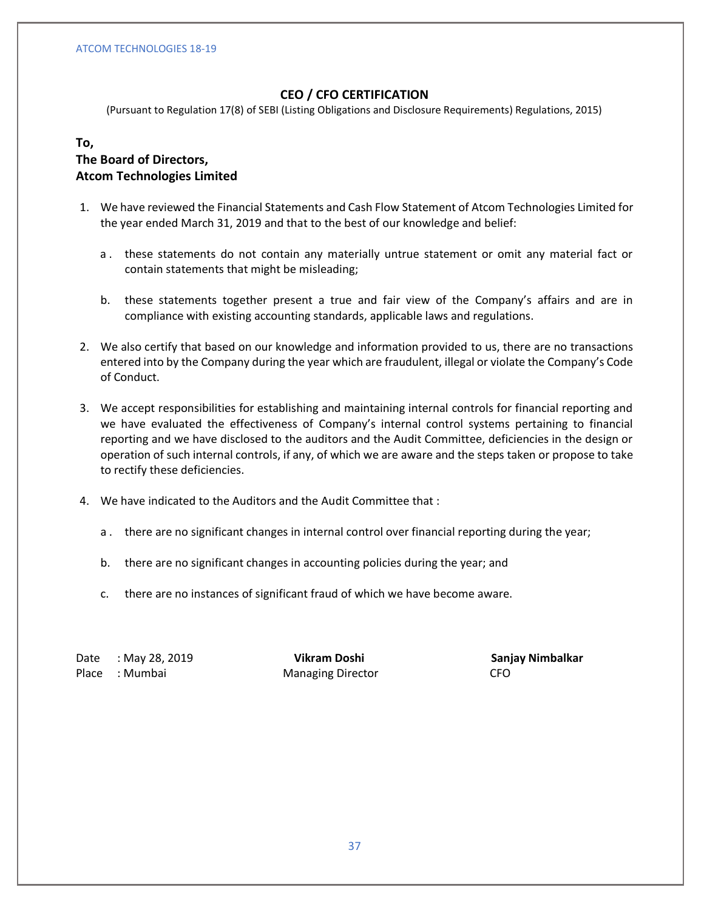# **CEO / CFO CERTIFICATION**

(Pursuant to Regulation 17(8) of SEBI (Listing Obligations and Disclosure Requirements) Regulations, 2015)

# **To,**

# **The Board of Directors, Atcom Technologies Limited**

- 1. We have reviewed the Financial Statements and Cash Flow Statement of Atcom Technologies Limited for the year ended March 31, 2019 and that to the best of our knowledge and belief:
	- a . these statements do not contain any materially untrue statement or omit any material fact or contain statements that might be misleading;
	- b. these statements together present a true and fair view of the Company's affairs and are in compliance with existing accounting standards, applicable laws and regulations.
- 2. We also certify that based on our knowledge and information provided to us, there are no transactions entered into by the Company during the year which are fraudulent, illegal or violate the Company's Code of Conduct.
- 3. We accept responsibilities for establishing and maintaining internal controls for financial reporting and we have evaluated the effectiveness of Company's internal control systems pertaining to financial reporting and we have disclosed to the auditors and the Audit Committee, deficiencies in the design or operation of such internal controls, if any, of which we are aware and the steps taken or propose to take to rectify these deficiencies.
- 4. We have indicated to the Auditors and the Audit Committee that :
	- a . there are no significant changes in internal control over financial reporting during the year;
	- b. there are no significant changes in accounting policies during the year; and
	- c. there are no instances of significant fraud of which we have become aware.

Date : May 28, 2019 **The Contract Contract Vikram Doshi Sanjay Nimbalkar** Place : Mumbai **Managing Director** CFO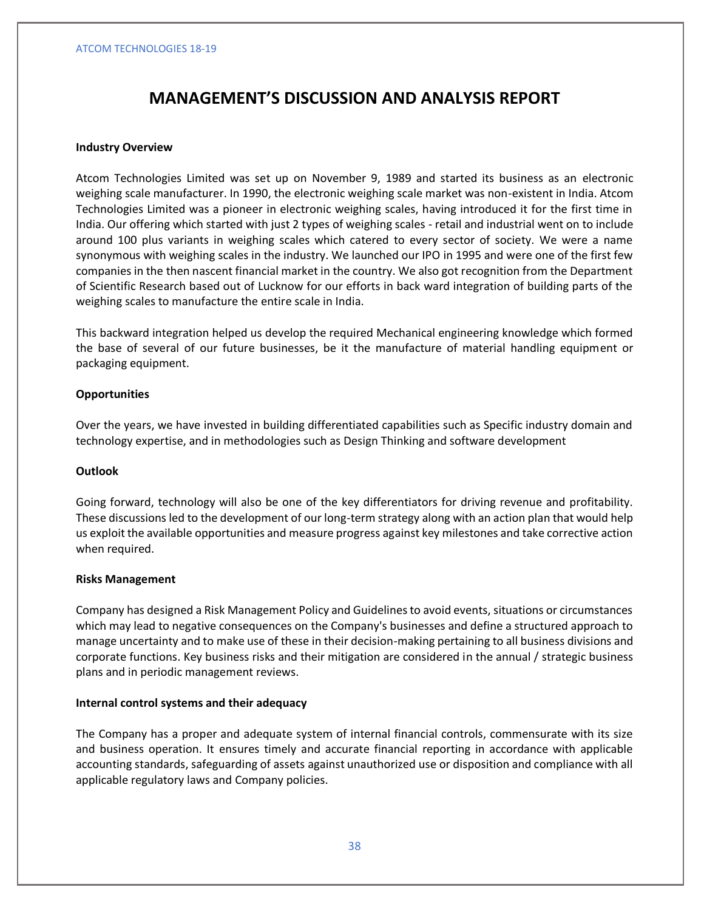# **MANAGEMENT'S DISCUSSION AND ANALYSIS REPORT**

### **Industry Overview**

Atcom Technologies Limited was set up on November 9, 1989 and started its business as an electronic weighing scale manufacturer. In 1990, the electronic weighing scale market was non-existent in India. Atcom Technologies Limited was a pioneer in electronic weighing scales, having introduced it for the first time in India. Our offering which started with just 2 types of weighing scales - retail and industrial went on to include around 100 plus variants in weighing scales which catered to every sector of society. We were a name synonymous with weighing scales in the industry. We launched our IPO in 1995 and were one of the first few companies in the then nascent financial market in the country. We also got recognition from the Department of Scientific Research based out of Lucknow for our efforts in back ward integration of building parts of the weighing scales to manufacture the entire scale in India.

This backward integration helped us develop the required Mechanical engineering knowledge which formed the base of several of our future businesses, be it the manufacture of material handling equipment or packaging equipment.

### **Opportunities**

Over the years, we have invested in building differentiated capabilities such as Specific industry domain and technology expertise, and in methodologies such as Design Thinking and software development

### **Outlook**

Going forward, technology will also be one of the key differentiators for driving revenue and profitability. These discussions led to the development of our long-term strategy along with an action plan that would help us exploit the available opportunities and measure progress against key milestones and take corrective action when required.

### **Risks Management**

Company has designed a Risk Management Policy and Guidelines to avoid events, situations or circumstances which may lead to negative consequences on the Company's businesses and define a structured approach to manage uncertainty and to make use of these in their decision-making pertaining to all business divisions and corporate functions. Key business risks and their mitigation are considered in the annual / strategic business plans and in periodic management reviews.

### **Internal control systems and their adequacy**

The Company has a proper and adequate system of internal financial controls, commensurate with its size and business operation. It ensures timely and accurate financial reporting in accordance with applicable accounting standards, safeguarding of assets against unauthorized use or disposition and compliance with all applicable regulatory laws and Company policies.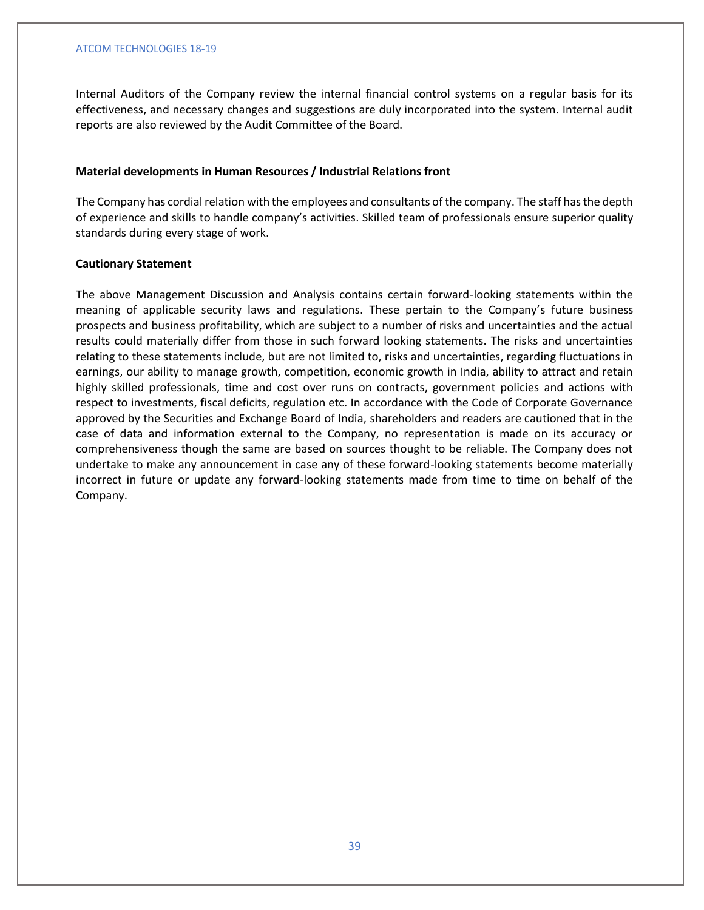Internal Auditors of the Company review the internal financial control systems on a regular basis for its effectiveness, and necessary changes and suggestions are duly incorporated into the system. Internal audit reports are also reviewed by the Audit Committee of the Board.

### **Material developments in Human Resources / Industrial Relations front**

The Company has cordial relation with the employees and consultants of the company. The staff has the depth of experience and skills to handle company's activities. Skilled team of professionals ensure superior quality standards during every stage of work.

## **Cautionary Statement**

The above Management Discussion and Analysis contains certain forward-looking statements within the meaning of applicable security laws and regulations. These pertain to the Company's future business prospects and business profitability, which are subject to a number of risks and uncertainties and the actual results could materially differ from those in such forward looking statements. The risks and uncertainties relating to these statements include, but are not limited to, risks and uncertainties, regarding fluctuations in earnings, our ability to manage growth, competition, economic growth in India, ability to attract and retain highly skilled professionals, time and cost over runs on contracts, government policies and actions with respect to investments, fiscal deficits, regulation etc. In accordance with the Code of Corporate Governance approved by the Securities and Exchange Board of India, shareholders and readers are cautioned that in the case of data and information external to the Company, no representation is made on its accuracy or comprehensiveness though the same are based on sources thought to be reliable. The Company does not undertake to make any announcement in case any of these forward-looking statements become materially incorrect in future or update any forward-looking statements made from time to time on behalf of the Company.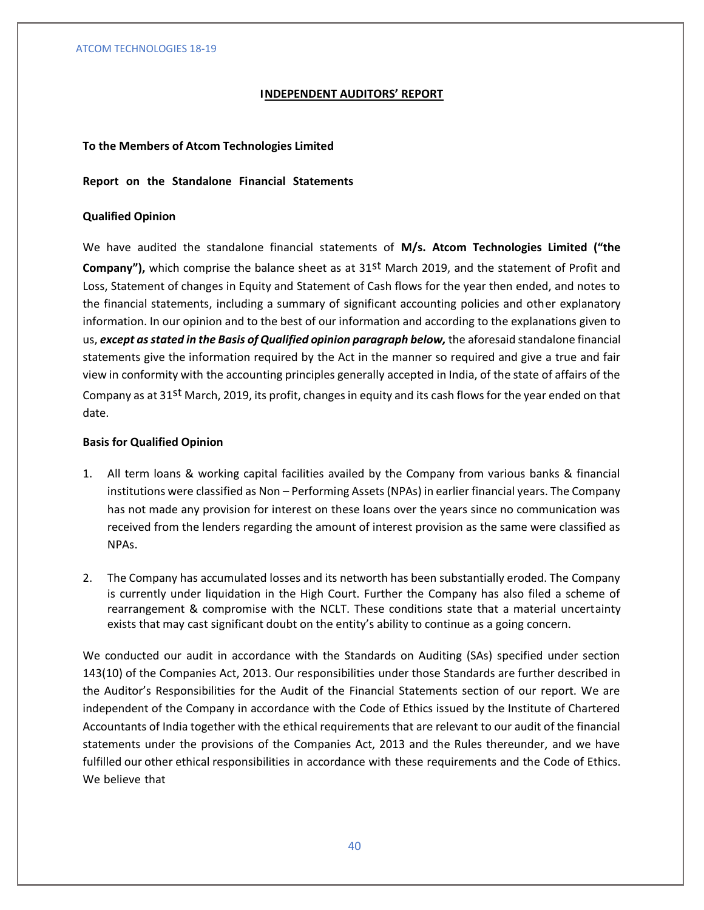# **INDEPENDENT AUDITORS' REPORT**

### **To the Members of Atcom Technologies Limited**

### **Report on the Standalone Financial Statements**

### **Qualified Opinion**

We have audited the standalone financial statements of **M/s. Atcom Technologies Limited ("the Company"),** which comprise the balance sheet as at 31<sup>st</sup> March 2019, and the statement of Profit and Loss, Statement of changes in Equity and Statement of Cash flows for the year then ended, and notes to the financial statements, including a summary of significant accounting policies and other explanatory information. In our opinion and to the best of our information and according to the explanations given to us, *except as stated in the Basis of Qualified opinion paragraph below,* the aforesaid standalone financial statements give the information required by the Act in the manner so required and give a true and fair view in conformity with the accounting principles generally accepted in India, of the state of affairs of the Company as at 31st March, 2019, its profit, changes in equity and its cash flows for the year ended on that date.

### **Basis for Qualified Opinion**

- 1. All term loans & working capital facilities availed by the Company from various banks & financial institutions were classified as Non – Performing Assets (NPAs) in earlier financial years. The Company has not made any provision for interest on these loans over the years since no communication was received from the lenders regarding the amount of interest provision as the same were classified as NPAs.
- 2. The Company has accumulated losses and its networth has been substantially eroded. The Company is currently under liquidation in the High Court. Further the Company has also filed a scheme of rearrangement & compromise with the NCLT. These conditions state that a material uncertainty exists that may cast significant doubt on the entity's ability to continue as a going concern.

We conducted our audit in accordance with the Standards on Auditing (SAs) specified under section 143(10) of the Companies Act, 2013. Our responsibilities under those Standards are further described in the Auditor's Responsibilities for the Audit of the Financial Statements section of our report. We are independent of the Company in accordance with the Code of Ethics issued by the Institute of Chartered Accountants of India together with the ethical requirements that are relevant to our audit of the financial statements under the provisions of the Companies Act, 2013 and the Rules thereunder, and we have fulfilled our other ethical responsibilities in accordance with these requirements and the Code of Ethics. We believe that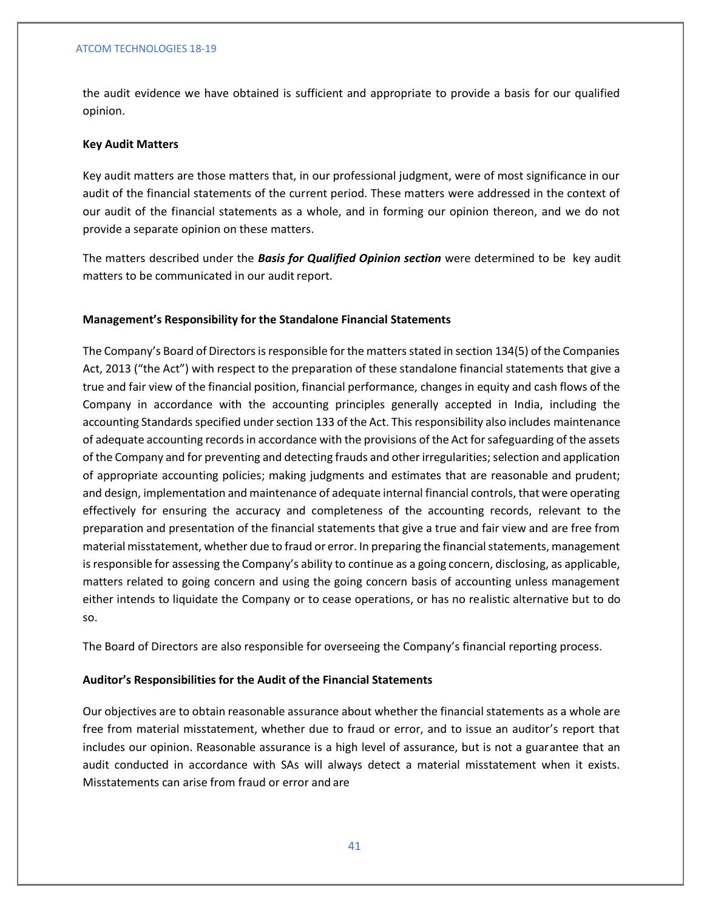the audit evidence we have obtained is sufficient and appropriate to provide a basis for our qualified opinion.

### **Key Audit Matters**

Key audit matters are those matters that, in our professional judgment, were of most significance in our audit of the financial statements of the current period. These matters were addressed in the context of our audit of the financial statements as a whole, and in forming our opinion thereon, and we do not provide a separate opinion on these matters.

The matters described under the *Basis for Qualified Opinion section* were determined to be key audit matters to be communicated in our audit report.

### **Management's Responsibility for the Standalone Financial Statements**

The Company's Board of Directors is responsible for the matters stated in section 134(5) of the Companies Act, 2013 ("the Act") with respect to the preparation of these standalone financial statements that give a true and fair view of the financial position, financial performance, changes in equity and cash flows of the Company in accordance with the accounting principles generally accepted in India, including the accounting Standards specified under section 133 of the Act. This responsibility also includes maintenance of adequate accounting records in accordance with the provisions of the Act for safeguarding of the assets of the Company and for preventing and detecting frauds and other irregularities; selection and application of appropriate accounting policies; making judgments and estimates that are reasonable and prudent; and design, implementation and maintenance of adequate internal financial controls, that were operating effectively for ensuring the accuracy and completeness of the accounting records, relevant to the preparation and presentation of the financial statements that give a true and fair view and are free from material misstatement, whether due to fraud or error. In preparing the financial statements, management is responsible for assessing the Company's ability to continue as a going concern, disclosing, as applicable, matters related to going concern and using the going concern basis of accounting unless management either intends to liquidate the Company or to cease operations, or has no realistic alternative but to do so.

The Board of Directors are also responsible for overseeing the Company's financial reporting process.

### **Auditor's Responsibilities for the Audit of the Financial Statements**

Our objectives are to obtain reasonable assurance about whether the financial statements as a whole are free from material misstatement, whether due to fraud or error, and to issue an auditor's report that includes our opinion. Reasonable assurance is a high level of assurance, but is not a guarantee that an audit conducted in accordance with SAs will always detect a material misstatement when it exists. Misstatements can arise from fraud or error and are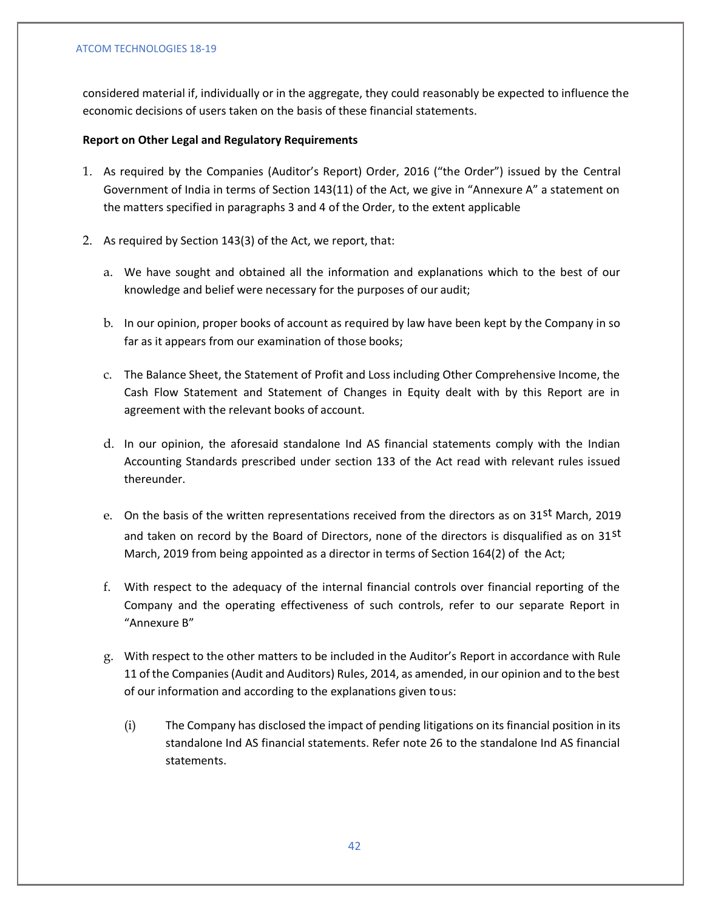considered material if, individually or in the aggregate, they could reasonably be expected to influence the economic decisions of users taken on the basis of these financial statements.

# **Report on Other Legal and Regulatory Requirements**

- 1. As required by the Companies (Auditor's Report) Order, 2016 ("the Order") issued by the Central Government of India in terms of Section 143(11) of the Act, we give in "Annexure A" a statement on the matters specified in paragraphs 3 and 4 of the Order, to the extent applicable
- 2. As required by Section 143(3) of the Act, we report, that:
	- a. We have sought and obtained all the information and explanations which to the best of our knowledge and belief were necessary for the purposes of our audit;
	- b. In our opinion, proper books of account as required by law have been kept by the Company in so far as it appears from our examination of those books;
	- c. The Balance Sheet, the Statement of Profit and Loss including Other Comprehensive Income, the Cash Flow Statement and Statement of Changes in Equity dealt with by this Report are in agreement with the relevant books of account.
	- d. In our opinion, the aforesaid standalone Ind AS financial statements comply with the Indian Accounting Standards prescribed under section 133 of the Act read with relevant rules issued thereunder.
	- e. On the basis of the written representations received from the directors as on 31st March, 2019 and taken on record by the Board of Directors, none of the directors is disqualified as on 31st March, 2019 from being appointed as a director in terms of Section 164(2) of the Act;
	- f. With respect to the adequacy of the internal financial controls over financial reporting of the Company and the operating effectiveness of such controls, refer to our separate Report in "Annexure B"
	- g. With respect to the other matters to be included in the Auditor's Report in accordance with Rule 11 of the Companies (Audit and Auditors) Rules, 2014, as amended, in our opinion and to the best of our information and according to the explanations given tous:
		- (i) The Company has disclosed the impact of pending litigations on its financial position in its standalone Ind AS financial statements. Refer note 26 to the standalone Ind AS financial statements.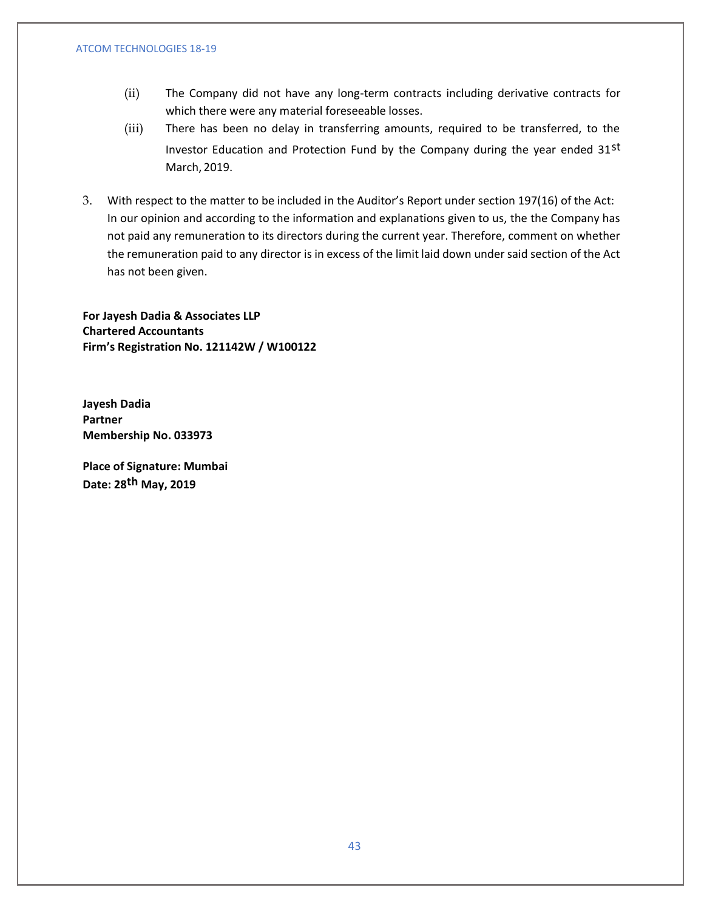- (ii) The Company did not have any long-term contracts including derivative contracts for which there were any material foreseeable losses.
- (iii) There has been no delay in transferring amounts, required to be transferred, to the Investor Education and Protection Fund by the Company during the year ended 31st March, 2019.
- 3. With respect to the matter to be included in the Auditor's Report under section 197(16) of the Act: In our opinion and according to the information and explanations given to us, the the Company has not paid any remuneration to its directors during the current year. Therefore, comment on whether the remuneration paid to any director is in excess of the limit laid down under said section of the Act has not been given.

**For Jayesh Dadia & Associates LLP Chartered Accountants Firm's Registration No. 121142W / W100122**

**Jayesh Dadia Partner Membership No. 033973**

**Place of Signature: Mumbai Date: 28th May, 2019**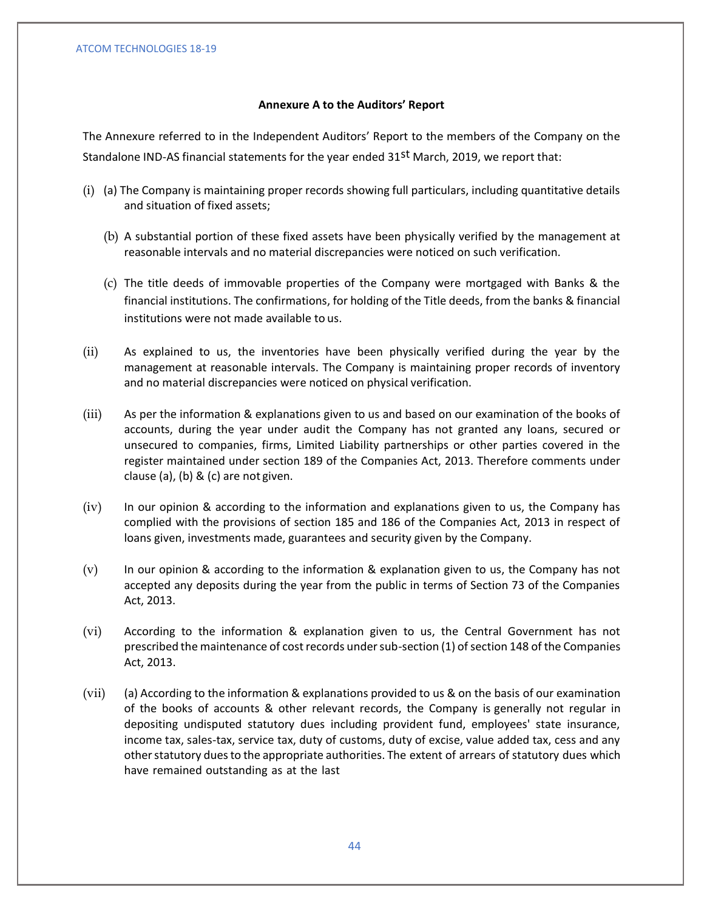# **Annexure A to the Auditors' Report**

The Annexure referred to in the Independent Auditors' Report to the members of the Company on the Standalone IND-AS financial statements for the year ended 31st March, 2019, we report that:

- (i) (a) The Company is maintaining proper records showing full particulars, including quantitative details and situation of fixed assets;
	- (b) A substantial portion of these fixed assets have been physically verified by the management at reasonable intervals and no material discrepancies were noticed on such verification.
	- (c) The title deeds of immovable properties of the Company were mortgaged with Banks & the financial institutions. The confirmations, for holding of the Title deeds, from the banks & financial institutions were not made available to us.
- (ii) As explained to us, the inventories have been physically verified during the year by the management at reasonable intervals. The Company is maintaining proper records of inventory and no material discrepancies were noticed on physical verification.
- (iii) As per the information & explanations given to us and based on our examination of the books of accounts, during the year under audit the Company has not granted any loans, secured or unsecured to companies, firms, Limited Liability partnerships or other parties covered in the register maintained under section 189 of the Companies Act, 2013. Therefore comments under clause (a), (b) & (c) are not given.
- (iv) In our opinion & according to the information and explanations given to us, the Company has complied with the provisions of section 185 and 186 of the Companies Act, 2013 in respect of loans given, investments made, guarantees and security given by the Company.
- (v) In our opinion & according to the information & explanation given to us, the Company has not accepted any deposits during the year from the public in terms of Section 73 of the Companies Act, 2013.
- (vi) According to the information & explanation given to us, the Central Government has not prescribed the maintenance of cost records under sub-section (1) of section 148 of the Companies Act, 2013.
- (vii) (a) According to the information & explanations provided to us & on the basis of our examination of the books of accounts & other relevant records, the Company is generally not regular in depositing undisputed statutory dues including provident fund, employees' state insurance, income tax, sales-tax, service tax, duty of customs, duty of excise, value added tax, cess and any other statutory dues to the appropriate authorities. The extent of arrears of statutory dues which have remained outstanding as at the last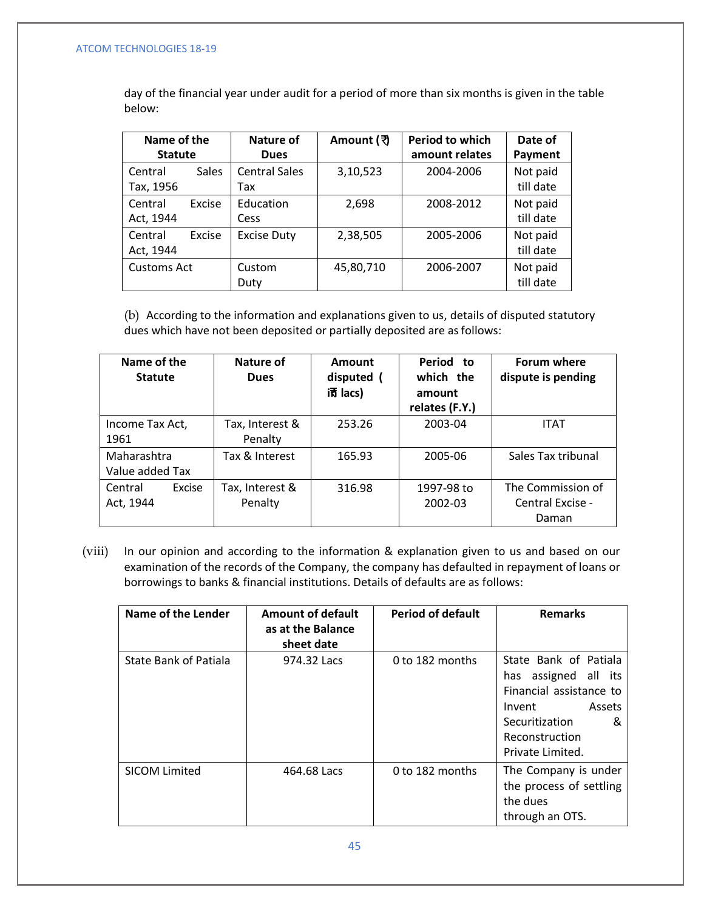day of the financial year under audit for a period of more than six months is given in the table below:

| Name of the<br><b>Statute</b> |              | Nature of<br><b>Dues</b>    | Amount (रे | Period to which<br>amount relates | Date of<br>Payment    |
|-------------------------------|--------------|-----------------------------|------------|-----------------------------------|-----------------------|
| Central<br>Tax, 1956          | <b>Sales</b> | <b>Central Sales</b><br>Tax | 3,10,523   | 2004-2006                         | Not paid<br>till date |
| Central<br>Act, 1944          | Excise       | Education<br>Cess           | 2,698      | 2008-2012                         | Not paid<br>till date |
| Central<br>Act, 1944          | Excise       | <b>Excise Duty</b>          | 2,38,505   | 2005-2006                         | Not paid<br>till date |
| <b>Customs Act</b>            |              | Custom<br>Duty              | 45,80,710  | 2006-2007                         | Not paid<br>till date |

(b) According to the information and explanations given to us, details of disputed statutory dues which have not been deposited or partially deposited are asfollows:

| Name of the<br><b>Statute</b>  | Nature of<br><b>Dues</b>   | Amount<br>disputed (<br>$i\bar{\uparrow}$ lacs) | Period to<br>which the<br>amount<br>relates (F.Y.) | <b>Forum where</b><br>dispute is pending       |
|--------------------------------|----------------------------|-------------------------------------------------|----------------------------------------------------|------------------------------------------------|
| Income Tax Act,<br>1961        | Tax, Interest &<br>Penalty | 253.26                                          | 2003-04                                            | <b>ITAT</b>                                    |
| Maharashtra<br>Value added Tax | Tax & Interest             | 165.93                                          | 2005-06                                            | Sales Tax tribunal                             |
| Excise<br>Central<br>Act, 1944 | Tax, Interest &<br>Penalty | 316.98                                          | 1997-98 to<br>2002-03                              | The Commission of<br>Central Excise -<br>Daman |

(viii) In our opinion and according to the information & explanation given to us and based on our examination of the records of the Company, the company has defaulted in repayment of loans or borrowings to banks & financial institutions. Details of defaults are as follows:

| Name of the Lender    | <b>Amount of default</b><br>as at the Balance<br>sheet date | <b>Period of default</b> | <b>Remarks</b>                                                                                                                                               |
|-----------------------|-------------------------------------------------------------|--------------------------|--------------------------------------------------------------------------------------------------------------------------------------------------------------|
| State Bank of Patiala | 974.32 Lacs                                                 | 0 to 182 months          | State Bank of Patiala<br>assigned all its<br>has<br>Financial assistance to<br>Assets<br>Invent<br>Securitization<br>&<br>Reconstruction<br>Private Limited. |
| <b>SICOM Limited</b>  | 464.68 Lacs                                                 | 0 to 182 months          | The Company is under<br>the process of settling<br>the dues<br>through an OTS.                                                                               |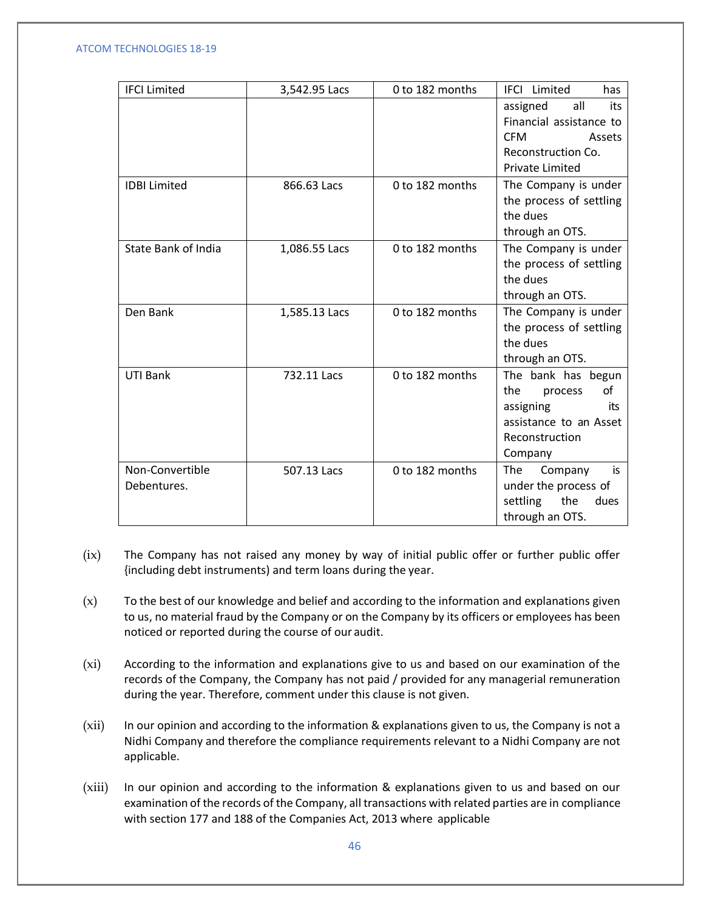| <b>IFCI Limited</b>        | 3,542.95 Lacs | 0 to 182 months | IFCI Limited<br>has                               |
|----------------------------|---------------|-----------------|---------------------------------------------------|
|                            |               |                 | assigned<br>all<br>its<br>Financial assistance to |
|                            |               |                 | <b>CFM</b><br>Assets                              |
|                            |               |                 | Reconstruction Co.<br><b>Private Limited</b>      |
| <b>IDBI Limited</b>        | 866.63 Lacs   | 0 to 182 months | The Company is under                              |
|                            |               |                 | the process of settling<br>the dues               |
|                            |               |                 | through an OTS.                                   |
| <b>State Bank of India</b> | 1,086.55 Lacs | 0 to 182 months | The Company is under                              |
|                            |               |                 | the process of settling                           |
|                            |               |                 | the dues                                          |
|                            |               |                 | through an OTS.                                   |
| Den Bank                   | 1,585.13 Lacs | 0 to 182 months | The Company is under                              |
|                            |               |                 | the process of settling<br>the dues               |
|                            |               |                 | through an OTS.                                   |
| UTI Bank                   | 732.11 Lacs   | 0 to 182 months | The bank has begun                                |
|                            |               |                 | the<br>of<br>process                              |
|                            |               |                 | assigning<br>its                                  |
|                            |               |                 | assistance to an Asset                            |
|                            |               |                 | Reconstruction                                    |
|                            |               |                 | Company                                           |
| Non-Convertible            | 507.13 Lacs   | 0 to 182 months | The<br>Company<br>is                              |
| Debentures.                |               |                 | under the process of                              |
|                            |               |                 | settling<br>the<br>dues                           |
|                            |               |                 | through an OTS.                                   |

- (ix) The Company has not raised any money by way of initial public offer or further public offer {including debt instruments) and term loans during the year.
- (x) To the best of our knowledge and belief and according to the information and explanations given to us, no material fraud by the Company or on the Company by its officers or employees has been noticed or reported during the course of our audit.
- (xi) According to the information and explanations give to us and based on our examination of the records of the Company, the Company has not paid / provided for any managerial remuneration during the year. Therefore, comment under this clause is not given.
- (xii) In our opinion and according to the information & explanations given to us, the Company is not a Nidhi Company and therefore the compliance requirements relevant to a Nidhi Company are not applicable.
- (xiii) In our opinion and according to the information & explanations given to us and based on our examination of the records of the Company, all transactions with related parties are in compliance with section 177 and 188 of the Companies Act, 2013 where applicable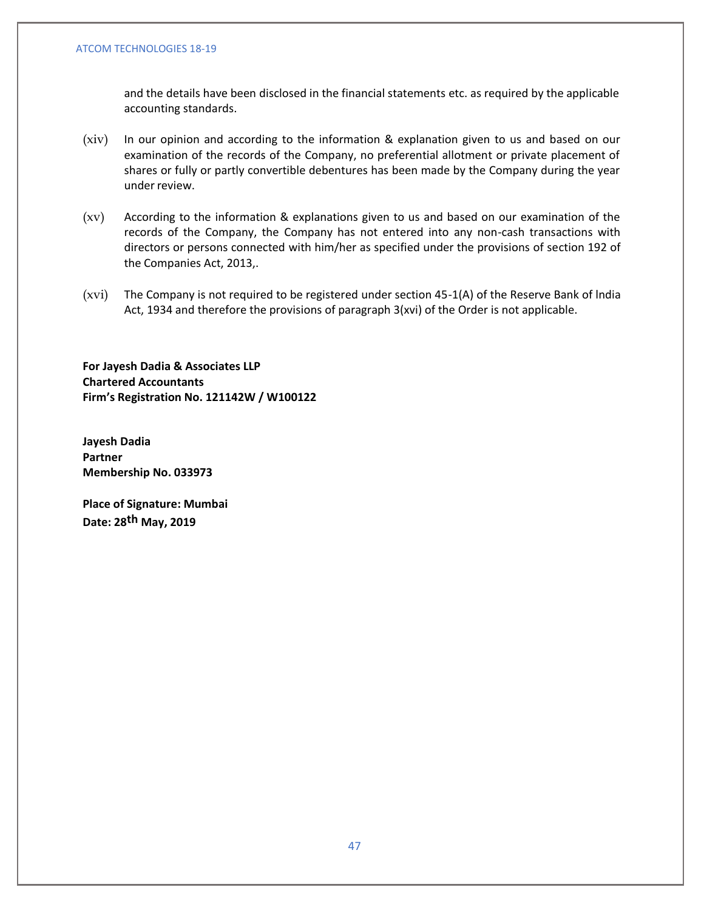and the details have been disclosed in the financial statements etc. as required by the applicable accounting standards.

- (xiv) In our opinion and according to the information & explanation given to us and based on our examination of the records of the Company, no preferential allotment or private placement of shares or fully or partly convertible debentures has been made by the Company during the year under review.
- (xv) According to the information & explanations given to us and based on our examination of the records of the Company, the Company has not entered into any non-cash transactions with directors or persons connected with him/her as specified under the provisions of section 192 of the Companies Act, 2013,.
- (xvi) The Company is not required to be registered under section 45-1(A) of the Reserve Bank of lndia Act, 1934 and therefore the provisions of paragraph 3(xvi) of the Order is not applicable.

**For Jayesh Dadia & Associates LLP Chartered Accountants Firm's Registration No. 121142W / W100122**

**Jayesh Dadia Partner Membership No. 033973**

**Place of Signature: Mumbai Date: 28th May, 2019**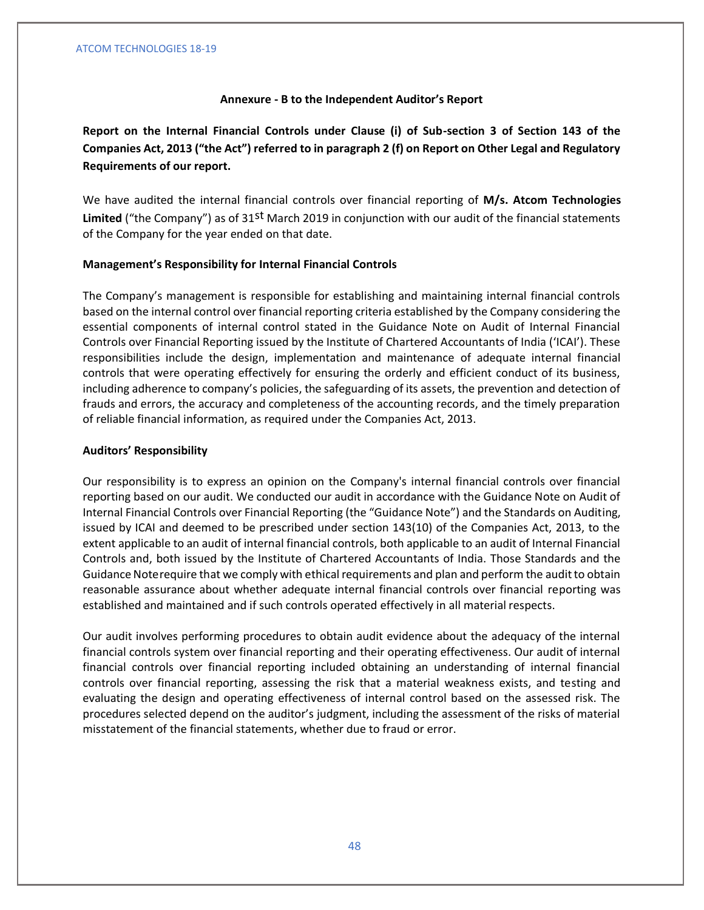### **Annexure - B to the Independent Auditor's Report**

**Report on the Internal Financial Controls under Clause (i) of Sub-section 3 of Section 143 of the Companies Act, 2013 ("the Act") referred to in paragraph 2 (f) on Report on Other Legal and Regulatory Requirements of our report.**

We have audited the internal financial controls over financial reporting of **M/s. Atcom Technologies Limited** ("the Company") as of 31st March 2019 in conjunction with our audit of the financial statements of the Company for the year ended on that date.

### **Management's Responsibility for Internal Financial Controls**

The Company's management is responsible for establishing and maintaining internal financial controls based on the internal control over financial reporting criteria established by the Company considering the essential components of internal control stated in the Guidance Note on Audit of Internal Financial Controls over Financial Reporting issued by the Institute of Chartered Accountants of India ('ICAI'). These responsibilities include the design, implementation and maintenance of adequate internal financial controls that were operating effectively for ensuring the orderly and efficient conduct of its business, including adherence to company's policies, the safeguarding of its assets, the prevention and detection of frauds and errors, the accuracy and completeness of the accounting records, and the timely preparation of reliable financial information, as required under the Companies Act, 2013.

### **Auditors' Responsibility**

Our responsibility is to express an opinion on the Company's internal financial controls over financial reporting based on our audit. We conducted our audit in accordance with the Guidance Note on Audit of Internal Financial Controls over Financial Reporting (the "Guidance Note") and the Standards on Auditing, issued by ICAI and deemed to be prescribed under section 143(10) of the Companies Act, 2013, to the extent applicable to an audit of internal financial controls, both applicable to an audit of Internal Financial Controls and, both issued by the Institute of Chartered Accountants of India. Those Standards and the Guidance Noterequire that we comply with ethical requirements and plan and perform the audit to obtain reasonable assurance about whether adequate internal financial controls over financial reporting was established and maintained and if such controls operated effectively in all material respects.

Our audit involves performing procedures to obtain audit evidence about the adequacy of the internal financial controls system over financial reporting and their operating effectiveness. Our audit of internal financial controls over financial reporting included obtaining an understanding of internal financial controls over financial reporting, assessing the risk that a material weakness exists, and testing and evaluating the design and operating effectiveness of internal control based on the assessed risk. The procedures selected depend on the auditor's judgment, including the assessment of the risks of material misstatement of the financial statements, whether due to fraud or error.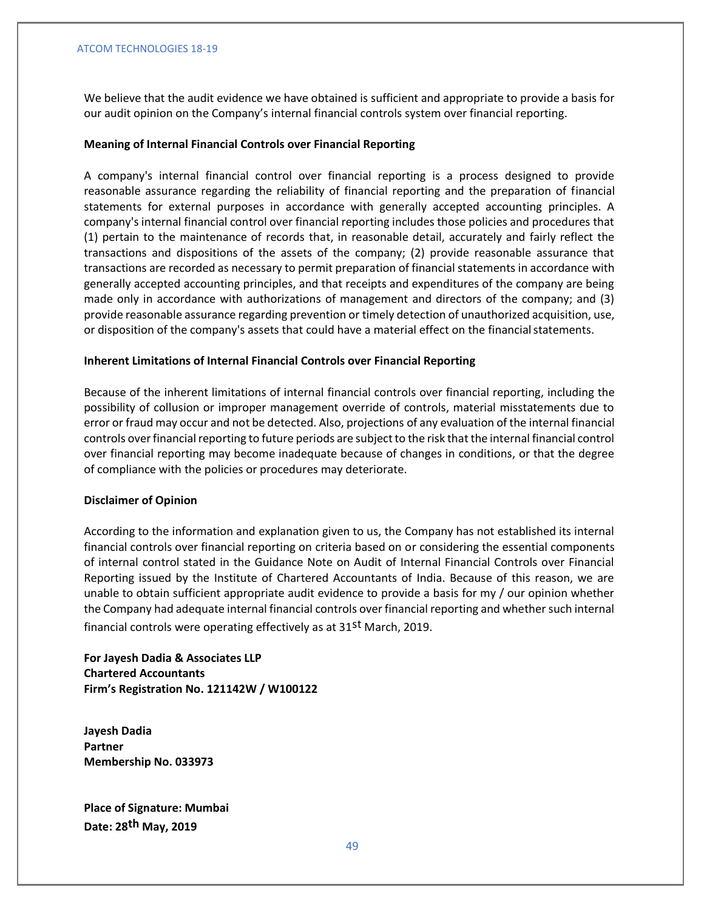We believe that the audit evidence we have obtained is sufficient and appropriate to provide a basis for our audit opinion on the Company's internal financial controls system over financial reporting.

# **Meaning of Internal Financial Controls over Financial Reporting**

A company's internal financial control over financial reporting is a process designed to provide reasonable assurance regarding the reliability of financial reporting and the preparation of financial statements for external purposes in accordance with generally accepted accounting principles. A company's internal financial control over financial reporting includes those policies and procedures that (1) pertain to the maintenance of records that, in reasonable detail, accurately and fairly reflect the transactions and dispositions of the assets of the company; (2) provide reasonable assurance that transactions are recorded as necessary to permit preparation of financial statements in accordance with generally accepted accounting principles, and that receipts and expenditures of the company are being made only in accordance with authorizations of management and directors of the company; and (3) provide reasonable assurance regarding prevention or timely detection of unauthorized acquisition, use, or disposition of the company's assets that could have a material effect on the financialstatements.

# **Inherent Limitations of Internal Financial Controls over Financial Reporting**

Because of the inherent limitations of internal financial controls over financial reporting, including the possibility of collusion or improper management override of controls, material misstatements due to error or fraud may occur and not be detected. Also, projections of any evaluation of the internal financial controls over financial reporting to future periods are subject to the risk that the internal financial control over financial reporting may become inadequate because of changes in conditions, or that the degree of compliance with the policies or procedures may deteriorate.

### **Disclaimer of Opinion**

According to the information and explanation given to us, the Company has not established its internal financial controls over financial reporting on criteria based on or considering the essential components of internal control stated in the Guidance Note on Audit of Internal Financial Controls over Financial Reporting issued by the Institute of Chartered Accountants of India. Because of this reason, we are unable to obtain sufficient appropriate audit evidence to provide a basis for my / our opinion whether the Company had adequate internal financial controls over financial reporting and whether such internal financial controls were operating effectively as at 31<sup>st</sup> March, 2019.

**For Jayesh Dadia & Associates LLP Chartered Accountants Firm's Registration No. 121142W / W100122**

**Jayesh Dadia Partner Membership No. 033973**

**Place of Signature: Mumbai Date: 28th May, 2019**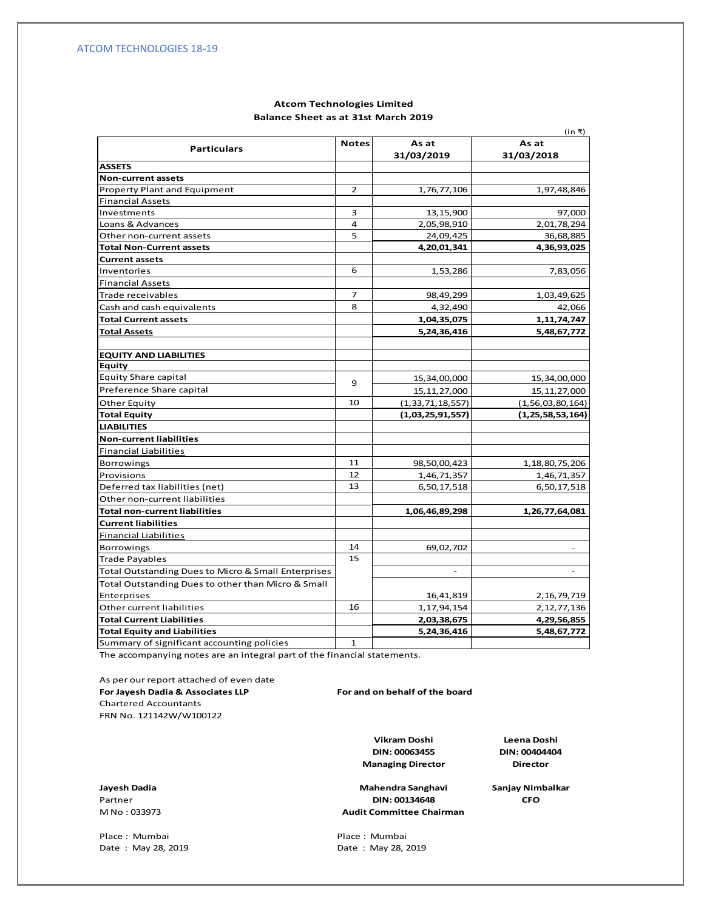### **Balance Sheet as at 31st March 2019 Atcom Technologies Limited**

|                                                     |                |                      | (in ₹)               |
|-----------------------------------------------------|----------------|----------------------|----------------------|
| <b>Particulars</b>                                  | <b>Notes</b>   | As at                | As at                |
|                                                     |                | 31/03/2019           | 31/03/2018           |
| <b>ASSETS</b>                                       |                |                      |                      |
| Non-current assets                                  |                |                      |                      |
| Property Plant and Equipment                        | $\overline{2}$ | 1,76,77,106          | 1,97,48,846          |
| <b>Financial Assets</b>                             |                |                      |                      |
| Investments                                         | 3              | 13,15,900            | 97,000               |
| Loans & Advances                                    | 4              | 2,05,98,910          | 2,01,78,294          |
| Other non-current assets                            | 5              | 24,09,425            | 36,68,885            |
| <b>Total Non-Current assets</b>                     |                | 4,20,01,341          | 4,36,93,025          |
| <b>Current assets</b>                               |                |                      |                      |
| Inventories                                         | 6              | 1,53,286             | 7,83,056             |
| <b>Financial Assets</b>                             |                |                      |                      |
| Trade receivables                                   | 7              | 98,49,299            | 1,03,49,625          |
| Cash and cash equivalents                           | 8              | 4,32,490             | 42,066               |
| <b>Total Current assets</b>                         |                | 1,04,35,075          | 1, 11, 74, 747       |
| <b>Total Assets</b>                                 |                | 5,24,36,416          | 5,48,67,772          |
|                                                     |                |                      |                      |
| <b>EQUITY AND LIABILITIES</b>                       |                |                      |                      |
| Equity                                              |                |                      |                      |
| <b>Equity Share capital</b>                         | 9              | 15,34,00,000         | 15,34,00,000         |
| Preference Share capital                            |                | 15, 11, 27, 000      | 15, 11, 27, 000      |
| Other Equity                                        | 10             | (1, 33, 71, 18, 557) | (1, 56, 03, 80, 164) |
| <b>Total Equity</b>                                 |                | (1,03,25,91,557)     | (1, 25, 58, 53, 164) |
| <b>LIABILITIES</b>                                  |                |                      |                      |
| <b>Non-current liabilities</b>                      |                |                      |                      |
| <b>Financial Liabilities</b>                        |                |                      |                      |
| Borrowings                                          | 11             | 98,50,00,423         | 1, 18, 80, 75, 206   |
| Provisions                                          | 12             | 1,46,71,357          | 1,46,71,357          |
| Deferred tax liabilities (net)                      | 13             | 6,50,17,518          | 6,50,17,518          |
| Other non-current liabilities                       |                |                      |                      |
| <b>Total non-current liabilities</b>                |                | 1,06,46,89,298       | 1,26,77,64,081       |
| <b>Current liabilities</b>                          |                |                      |                      |
| <b>Financial Liabilities</b>                        |                |                      |                      |
| <b>Borrowings</b>                                   | 14             | 69,02,702            |                      |
| <b>Trade Payables</b>                               | 15             |                      |                      |
| Total Outstanding Dues to Micro & Small Enterprises |                |                      |                      |
| Total Outstanding Dues to other than Micro & Small  |                |                      |                      |
| <b>Enterprises</b>                                  |                | 16,41,819            | 2,16,79,719          |
| Other current liabilities                           | 16             | 1, 17, 94, 154       | 2, 12, 77, 136       |
| <b>Total Current Liabilities</b>                    |                | 2,03,38,675          | 4,29,56,855          |
| <b>Total Equity and Liabilities</b>                 |                | 5,24,36,416          | 5,48,67,772          |
| Summary of significant accounting policies          | $\mathbf{1}$   |                      |                      |
|                                                     |                |                      |                      |

The accompanying notes are an integral part of the financial statements.

As per our report attached of even date **For Jayesh Dadia & Associates LLP For and on behalf of the board** Chartered Accountants FRN No. 121142W/W100122

**Managing Director DIN: 00063455 Vikram Doshi**

**Leena Doshi DIN: 00404404 Director**

M No : 033973

50 Date : May 28, 2019 Date : May 28, 2019 Place : Mumbai **Place : Mumbai** 

**Jayesh Dadia Sanjay Nimbalkar Mahendra Sanghavi** Partner **CFO DIN: 00134648 Audit Committee Chairman**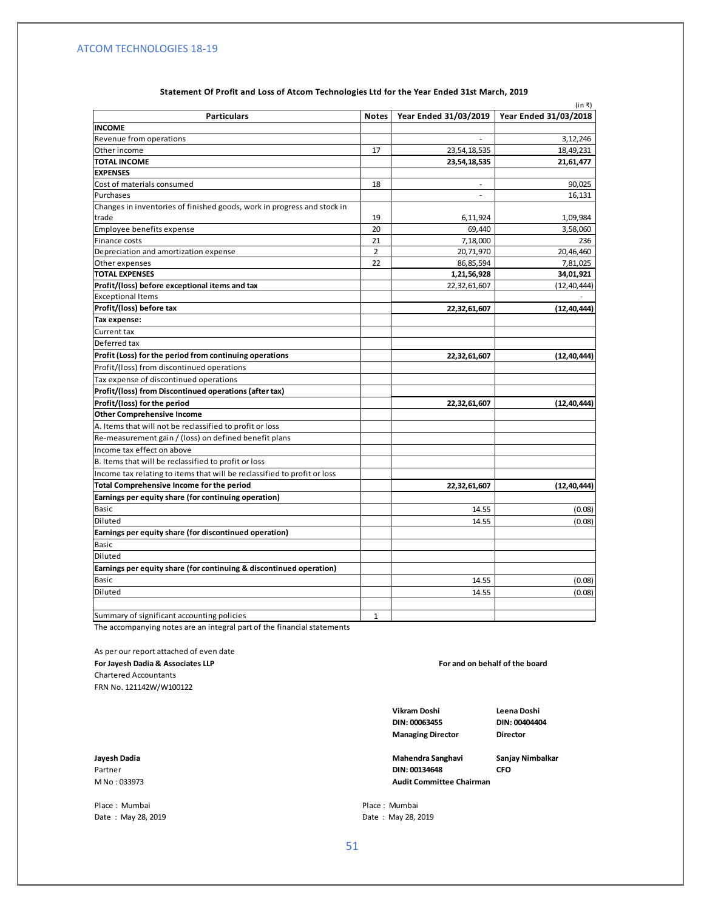|                                                                          |                |                          | (in ₹)                                        |
|--------------------------------------------------------------------------|----------------|--------------------------|-----------------------------------------------|
| <b>Particulars</b>                                                       | <b>Notes</b>   |                          | Year Ended 31/03/2019   Year Ended 31/03/2018 |
| <b>INCOME</b>                                                            |                |                          |                                               |
| Revenue from operations                                                  |                |                          | 3,12,246                                      |
| Other income                                                             | 17             | 23, 54, 18, 535          | 18,49,231                                     |
| <b>TOTAL INCOME</b>                                                      |                | 23,54,18,535             | 21,61,477                                     |
| <b>EXPENSES</b>                                                          |                |                          |                                               |
| Cost of materials consumed                                               | 18             |                          | 90,025                                        |
| Purchases                                                                |                | $\overline{\phantom{a}}$ | 16,131                                        |
| Changes in inventories of finished goods, work in progress and stock in  |                |                          |                                               |
| trade                                                                    | 19             | 6,11,924                 | 1,09,984                                      |
| Employee benefits expense                                                | 20             | 69,440                   | 3,58,060                                      |
| Finance costs                                                            | 21             | 7,18,000                 | 236                                           |
| Depreciation and amortization expense                                    | $\overline{2}$ | 20,71,970                | 20,46,460                                     |
| Other expenses                                                           | 22             | 86,85,594                | 7,81,025                                      |
| <b>TOTAL EXPENSES</b>                                                    |                | 1,21,56,928              | 34,01,921                                     |
| Profit/(loss) before exceptional items and tax                           |                | 22,32,61,607             | (12, 40, 444)                                 |
| <b>Exceptional Items</b>                                                 |                |                          | ×.                                            |
| Profit/(loss) before tax                                                 |                | 22,32,61,607             | (12, 40, 444)                                 |
| Tax expense:                                                             |                |                          |                                               |
| Current tax                                                              |                |                          |                                               |
| Deferred tax                                                             |                |                          |                                               |
| Profit (Loss) for the period from continuing operations                  |                | 22,32,61,607             | (12, 40, 444)                                 |
| Profit/(loss) from discontinued operations                               |                |                          |                                               |
| Tax expense of discontinued operations                                   |                |                          |                                               |
| Profit/(loss) from Discontinued operations (after tax)                   |                |                          |                                               |
| Profit/(loss) for the period                                             |                | 22,32,61,607             | (12, 40, 444)                                 |
| <b>Other Comprehensive Income</b>                                        |                |                          |                                               |
| A. Items that will not be reclassified to profit or loss                 |                |                          |                                               |
| Re-measurement gain / (loss) on defined benefit plans                    |                |                          |                                               |
| Income tax effect on above                                               |                |                          |                                               |
| B. Items that will be reclassified to profit or loss                     |                |                          |                                               |
| Income tax relating to items that will be reclassified to profit or loss |                |                          |                                               |
| Total Comprehensive Income for the period                                |                | 22,32,61,607             | (12, 40, 444)                                 |
| Earnings per equity share (for continuing operation)                     |                |                          |                                               |
| Basic                                                                    |                | 14.55                    | (0.08)                                        |
| Diluted                                                                  |                | 14.55                    | (0.08)                                        |
| Earnings per equity share (for discontinued operation)                   |                |                          |                                               |
| <b>Basic</b>                                                             |                |                          |                                               |
| Diluted                                                                  |                |                          |                                               |
|                                                                          |                |                          |                                               |
| Earnings per equity share (for continuing & discontinued operation)      |                |                          |                                               |
| Basic                                                                    |                | 14.55                    | (0.08)                                        |
| <b>Diluted</b>                                                           |                | 14.55                    | (0.08)                                        |
| Summary of significant accounting policies                               | 1              |                          |                                               |

### **Statement Of Profit and Loss of Atcom Technologies Ltd for the Year Ended 31st March, 2019**

The accompanying notes are an integral part of the financial statements

As per our report attached of even date **For Jayesh Dadia & Associates LLP** Chartered Accountants FRN No. 121142W/W100122

Date : May 28, 2019 **Date : May 28, 2019** 

**For and on behalf of the board**

**DIN: 00063455 DIN: 00404404 Managing Director Director**

**Vikram Doshi Leena Doshi**

Partner **DIN: 00134648 CFO** M No : 033973 **Audit Committee Chairman**

**Jayesh Dadia Mahendra Sanghavi Sanjay Nimbalkar**

Place : Mumbai **Place** : Mumbai **Place** : Mumbai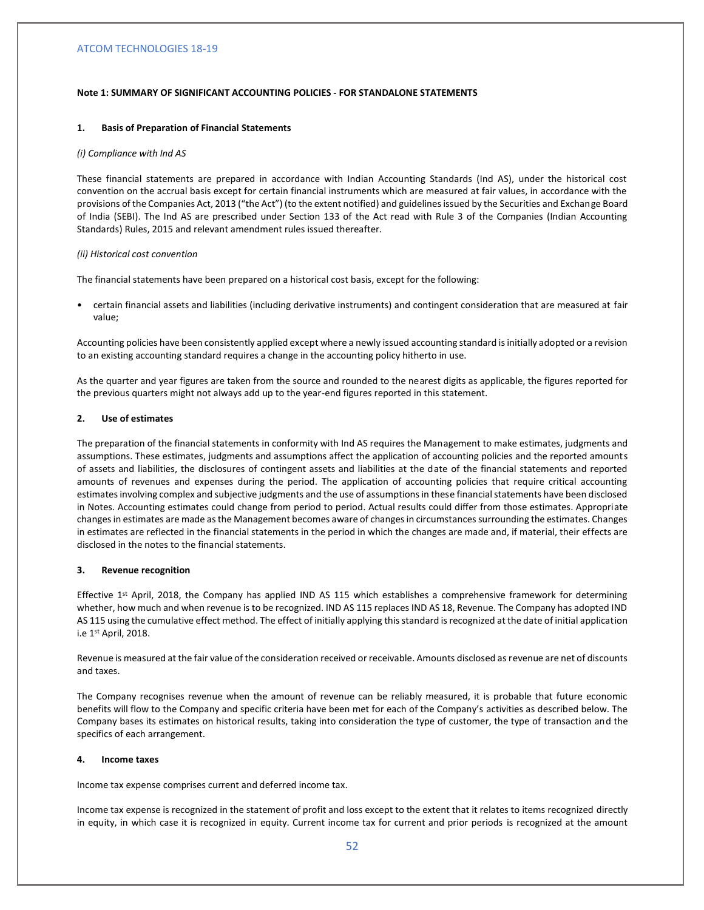#### **Note 1: SUMMARY OF SIGNIFICANT ACCOUNTING POLICIES - FOR STANDALONE STATEMENTS**

#### **1. Basis of Preparation of Financial Statements**

#### *(i) Compliance with Ind AS*

These financial statements are prepared in accordance with Indian Accounting Standards (Ind AS), under the historical cost convention on the accrual basis except for certain financial instruments which are measured at fair values, in accordance with the provisions of the Companies Act, 2013 ("the Act") (to the extent notified) and guidelines issued by the Securities and Exchange Board of India (SEBI). The Ind AS are prescribed under Section 133 of the Act read with Rule 3 of the Companies (Indian Accounting Standards) Rules, 2015 and relevant amendment rules issued thereafter.

#### *(ii) Historical cost convention*

The financial statements have been prepared on a historical cost basis, except for the following:

• certain financial assets and liabilities (including derivative instruments) and contingent consideration that are measured at fair value;

Accounting policies have been consistently applied except where a newly issued accounting standard is initially adopted or a revision to an existing accounting standard requires a change in the accounting policy hitherto in use.

As the quarter and year figures are taken from the source and rounded to the nearest digits as applicable, the figures reported for the previous quarters might not always add up to the year-end figures reported in this statement.

### **2. Use of estimates**

The preparation of the financial statements in conformity with Ind AS requires the Management to make estimates, judgments and assumptions. These estimates, judgments and assumptions affect the application of accounting policies and the reported amounts of assets and liabilities, the disclosures of contingent assets and liabilities at the date of the financial statements and reported amounts of revenues and expenses during the period. The application of accounting policies that require critical accounting estimates involving complex and subjective judgments and the use of assumptions in these financial statements have been disclosed in Notes. Accounting estimates could change from period to period. Actual results could differ from those estimates. Appropriate changes in estimates are made as the Management becomes aware of changes in circumstances surrounding the estimates. Changes in estimates are reflected in the financial statements in the period in which the changes are made and, if material, their effects are disclosed in the notes to the financial statements.

### **3. Revenue recognition**

Effective 1<sup>st</sup> April, 2018, the Company has applied IND AS 115 which establishes a comprehensive framework for determining whether, how much and when revenue is to be recognized. IND AS 115 replaces IND AS 18, Revenue. The Company has adopted IND AS 115 using the cumulative effect method. The effect of initially applying this standard is recognized at the date of initial application i.e 1st April, 2018.

Revenue is measured at the fair value of the consideration received or receivable. Amounts disclosed as revenue are net of discounts and taxes.

The Company recognises revenue when the amount of revenue can be reliably measured, it is probable that future economic benefits will flow to the Company and specific criteria have been met for each of the Company's activities as described below. The Company bases its estimates on historical results, taking into consideration the type of customer, the type of transaction and the specifics of each arrangement.

### **4. Income taxes**

Income tax expense comprises current and deferred income tax.

Income tax expense is recognized in the statement of profit and loss except to the extent that it relates to items recognized directly in equity, in which case it is recognized in equity. Current income tax for current and prior periods is recognized at the amount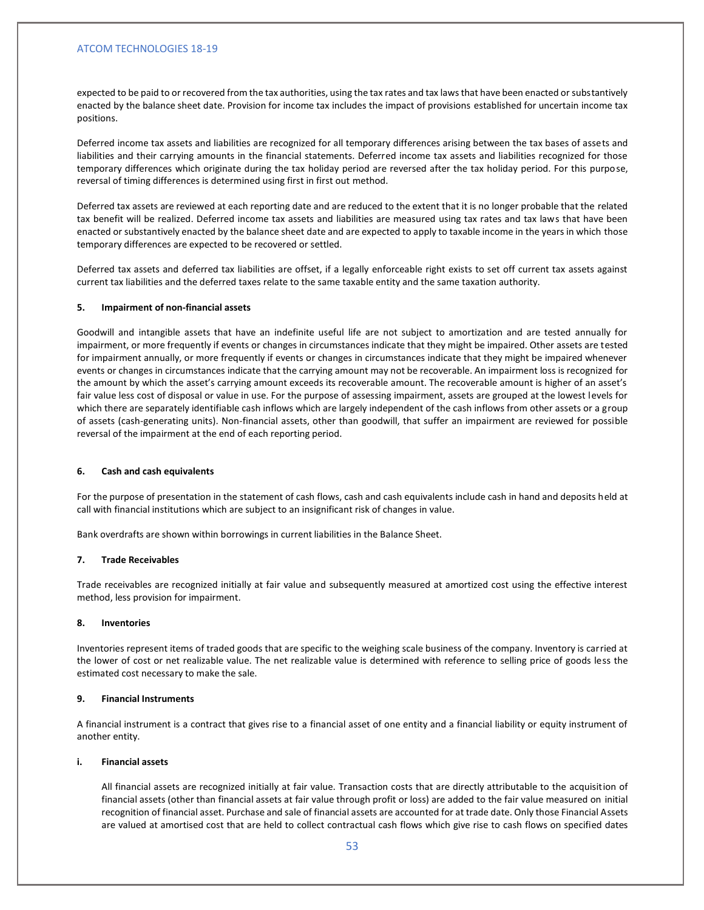expected to be paid to or recovered from the tax authorities, using the tax rates and tax laws that have been enacted or substantively enacted by the balance sheet date. Provision for income tax includes the impact of provisions established for uncertain income tax positions.

Deferred income tax assets and liabilities are recognized for all temporary differences arising between the tax bases of assets and liabilities and their carrying amounts in the financial statements. Deferred income tax assets and liabilities recognized for those temporary differences which originate during the tax holiday period are reversed after the tax holiday period. For this purpose, reversal of timing differences is determined using first in first out method.

Deferred tax assets are reviewed at each reporting date and are reduced to the extent that it is no longer probable that the related tax benefit will be realized. Deferred income tax assets and liabilities are measured using tax rates and tax laws that have been enacted or substantively enacted by the balance sheet date and are expected to apply to taxable income in the years in which those temporary differences are expected to be recovered or settled.

Deferred tax assets and deferred tax liabilities are offset, if a legally enforceable right exists to set off current tax assets against current tax liabilities and the deferred taxes relate to the same taxable entity and the same taxation authority.

#### **5. Impairment of non-financial assets**

Goodwill and intangible assets that have an indefinite useful life are not subject to amortization and are tested annually for impairment, or more frequently if events or changes in circumstances indicate that they might be impaired. Other assets are tested for impairment annually, or more frequently if events or changes in circumstances indicate that they might be impaired whenever events or changes in circumstances indicate that the carrying amount may not be recoverable. An impairment loss is recognized for the amount by which the asset's carrying amount exceeds its recoverable amount. The recoverable amount is higher of an asset's fair value less cost of disposal or value in use. For the purpose of assessing impairment, assets are grouped at the lowest levels for which there are separately identifiable cash inflows which are largely independent of the cash inflows from other assets or a group of assets (cash-generating units). Non-financial assets, other than goodwill, that suffer an impairment are reviewed for possible reversal of the impairment at the end of each reporting period.

### **6. Cash and cash equivalents**

For the purpose of presentation in the statement of cash flows, cash and cash equivalents include cash in hand and deposits held at call with financial institutions which are subject to an insignificant risk of changes in value.

Bank overdrafts are shown within borrowings in current liabilities in the Balance Sheet.

### **7. Trade Receivables**

Trade receivables are recognized initially at fair value and subsequently measured at amortized cost using the effective interest method, less provision for impairment.

### **8. Inventories**

Inventories represent items of traded goods that are specific to the weighing scale business of the company. Inventory is carried at the lower of cost or net realizable value. The net realizable value is determined with reference to selling price of goods less the estimated cost necessary to make the sale.

### **9. Financial Instruments**

A financial instrument is a contract that gives rise to a financial asset of one entity and a financial liability or equity instrument of another entity.

### **i. Financial assets**

All financial assets are recognized initially at fair value. Transaction costs that are directly attributable to the acquisition of financial assets (other than financial assets at fair value through profit or loss) are added to the fair value measured on initial recognition of financial asset. Purchase and sale of financial assets are accounted for at trade date. Only those Financial Assets are valued at amortised cost that are held to collect contractual cash flows which give rise to cash flows on specified dates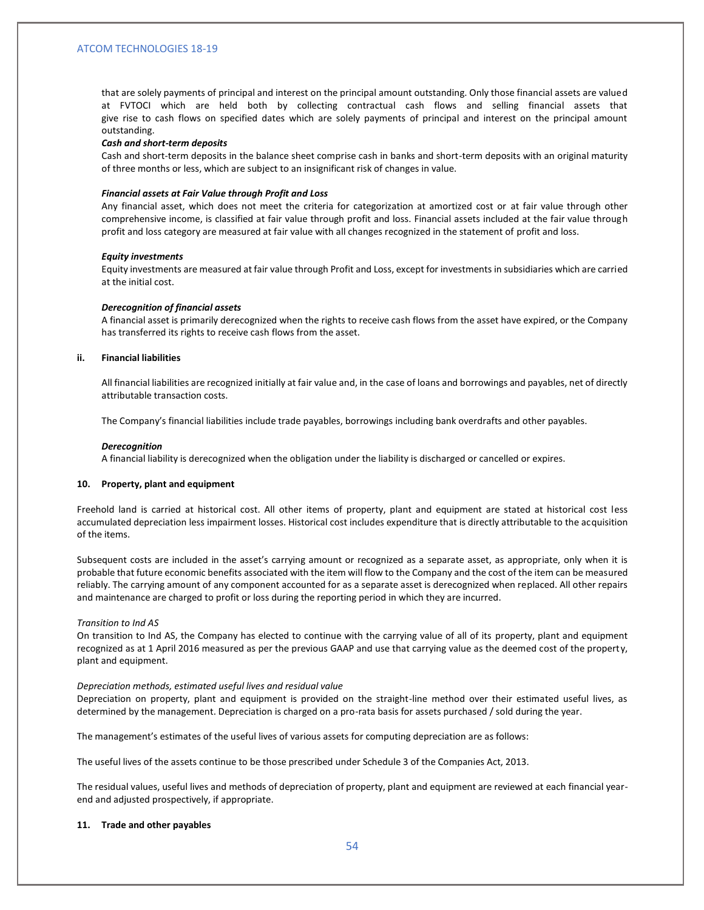that are solely payments of principal and interest on the principal amount outstanding. Only those financial assets are valued at FVTOCI which are held both by collecting contractual cash flows and selling financial assets that give rise to cash flows on specified dates which are solely payments of principal and interest on the principal amount outstanding.

#### *Cash and short-term deposits*

Cash and short-term deposits in the balance sheet comprise cash in banks and short-term deposits with an original maturity of three months or less, which are subject to an insignificant risk of changes in value.

#### *Financial assets at Fair Value through Profit and Loss*

Any financial asset, which does not meet the criteria for categorization at amortized cost or at fair value through other comprehensive income, is classified at fair value through profit and loss. Financial assets included at the fair value through profit and loss category are measured at fair value with all changes recognized in the statement of profit and loss.

#### *Equity investments*

Equity investments are measured at fair value through Profit and Loss, except for investments in subsidiaries which are carried at the initial cost.

#### *Derecognition of financial assets*

A financial asset is primarily derecognized when the rights to receive cash flows from the asset have expired, or the Company has transferred its rights to receive cash flows from the asset.

#### **ii. Financial liabilities**

All financial liabilities are recognized initially at fair value and, in the case of loans and borrowings and payables, net of directly attributable transaction costs.

The Company's financial liabilities include trade payables, borrowings including bank overdrafts and other payables.

#### *Derecognition*

A financial liability is derecognized when the obligation under the liability is discharged or cancelled or expires.

### **10. Property, plant and equipment**

Freehold land is carried at historical cost. All other items of property, plant and equipment are stated at historical cost less accumulated depreciation less impairment losses. Historical cost includes expenditure that is directly attributable to the acquisition of the items.

Subsequent costs are included in the asset's carrying amount or recognized as a separate asset, as appropriate, only when it is probable that future economic benefits associated with the item will flow to the Company and the cost of the item can be measured reliably. The carrying amount of any component accounted for as a separate asset is derecognized when replaced. All other repairs and maintenance are charged to profit or loss during the reporting period in which they are incurred.

#### *Transition to Ind AS*

On transition to Ind AS, the Company has elected to continue with the carrying value of all of its property, plant and equipment recognized as at 1 April 2016 measured as per the previous GAAP and use that carrying value as the deemed cost of the property, plant and equipment.

#### *Depreciation methods, estimated useful lives and residual value*

Depreciation on property, plant and equipment is provided on the straight-line method over their estimated useful lives, as determined by the management. Depreciation is charged on a pro-rata basis for assets purchased / sold during the year.

The management's estimates of the useful lives of various assets for computing depreciation are as follows:

The useful lives of the assets continue to be those prescribed under Schedule 3 of the Companies Act, 2013.

The residual values, useful lives and methods of depreciation of property, plant and equipment are reviewed at each financial yearend and adjusted prospectively, if appropriate.

### **11. Trade and other payables**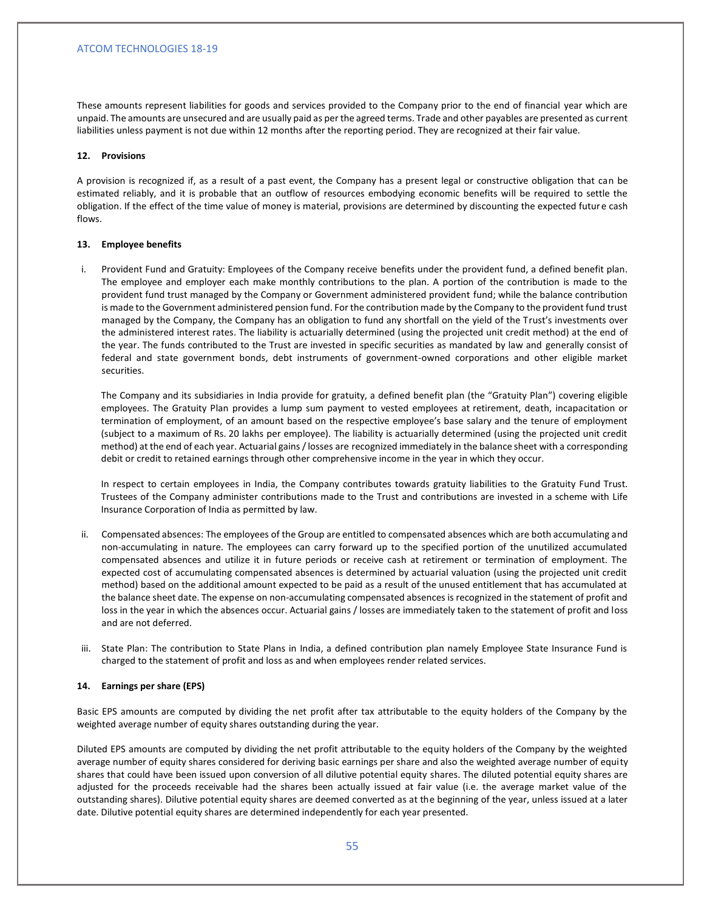These amounts represent liabilities for goods and services provided to the Company prior to the end of financial year which are unpaid. The amounts are unsecured and are usually paid as per the agreed terms. Trade and other payables are presented as current liabilities unless payment is not due within 12 months after the reporting period. They are recognized at their fair value.

#### **12. Provisions**

A provision is recognized if, as a result of a past event, the Company has a present legal or constructive obligation that can be estimated reliably, and it is probable that an outflow of resources embodying economic benefits will be required to settle the obligation. If the effect of the time value of money is material, provisions are determined by discounting the expected future cash flows.

#### **13. Employee benefits**

i. Provident Fund and Gratuity: Employees of the Company receive benefits under the provident fund, a defined benefit plan. The employee and employer each make monthly contributions to the plan. A portion of the contribution is made to the provident fund trust managed by the Company or Government administered provident fund; while the balance contribution is made to the Government administered pension fund. For the contribution made by the Company to the provident fund trust managed by the Company, the Company has an obligation to fund any shortfall on the yield of the Trust's investments over the administered interest rates. The liability is actuarially determined (using the projected unit credit method) at the end of the year. The funds contributed to the Trust are invested in specific securities as mandated by law and generally consist of federal and state government bonds, debt instruments of government-owned corporations and other eligible market securities.

The Company and its subsidiaries in India provide for gratuity, a defined benefit plan (the "Gratuity Plan") covering eligible employees. The Gratuity Plan provides a lump sum payment to vested employees at retirement, death, incapacitation or termination of employment, of an amount based on the respective employee's base salary and the tenure of employment (subject to a maximum of Rs. 20 lakhs per employee). The liability is actuarially determined (using the projected unit credit method) at the end of each year. Actuarial gains / losses are recognized immediately in the balance sheet with a corresponding debit or credit to retained earnings through other comprehensive income in the year in which they occur.

In respect to certain employees in India, the Company contributes towards gratuity liabilities to the Gratuity Fund Trust. Trustees of the Company administer contributions made to the Trust and contributions are invested in a scheme with Life Insurance Corporation of India as permitted by law.

- ii. Compensated absences: The employees of the Group are entitled to compensated absences which are both accumulating and non-accumulating in nature. The employees can carry forward up to the specified portion of the unutilized accumulated compensated absences and utilize it in future periods or receive cash at retirement or termination of employment. The expected cost of accumulating compensated absences is determined by actuarial valuation (using the projected unit credit method) based on the additional amount expected to be paid as a result of the unused entitlement that has accumulated at the balance sheet date. The expense on non-accumulating compensated absences is recognized in the statement of profit and loss in the year in which the absences occur. Actuarial gains / losses are immediately taken to the statement of profit and loss and are not deferred.
- iii. State Plan: The contribution to State Plans in India, a defined contribution plan namely Employee State Insurance Fund is charged to the statement of profit and loss as and when employees render related services.

#### **14. Earnings per share (EPS)**

Basic EPS amounts are computed by dividing the net profit after tax attributable to the equity holders of the Company by the weighted average number of equity shares outstanding during the year.

Diluted EPS amounts are computed by dividing the net profit attributable to the equity holders of the Company by the weighted average number of equity shares considered for deriving basic earnings per share and also the weighted average number of equity shares that could have been issued upon conversion of all dilutive potential equity shares. The diluted potential equity shares are adjusted for the proceeds receivable had the shares been actually issued at fair value (i.e. the average market value of the outstanding shares). Dilutive potential equity shares are deemed converted as at the beginning of the year, unless issued at a later date. Dilutive potential equity shares are determined independently for each year presented.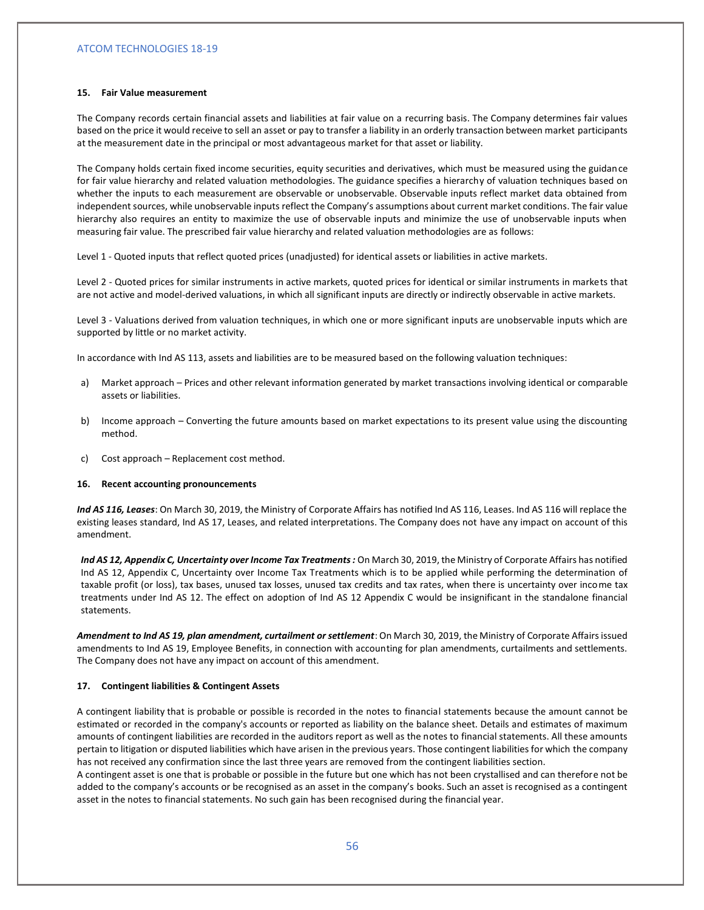#### **15. Fair Value measurement**

The Company records certain financial assets and liabilities at fair value on a recurring basis. The Company determines fair values based on the price it would receive to sell an asset or pay to transfer a liability in an orderly transaction between market participants at the measurement date in the principal or most advantageous market for that asset or liability.

The Company holds certain fixed income securities, equity securities and derivatives, which must be measured using the guidance for fair value hierarchy and related valuation methodologies. The guidance specifies a hierarchy of valuation techniques based on whether the inputs to each measurement are observable or unobservable. Observable inputs reflect market data obtained from independent sources, while unobservable inputs reflect the Company's assumptions about current market conditions. The fair value hierarchy also requires an entity to maximize the use of observable inputs and minimize the use of unobservable inputs when measuring fair value. The prescribed fair value hierarchy and related valuation methodologies are as follows:

Level 1 - Quoted inputs that reflect quoted prices (unadjusted) for identical assets or liabilities in active markets.

Level 2 - Quoted prices for similar instruments in active markets, quoted prices for identical or similar instruments in markets that are not active and model-derived valuations, in which all significant inputs are directly or indirectly observable in active markets.

Level 3 - Valuations derived from valuation techniques, in which one or more significant inputs are unobservable inputs which are supported by little or no market activity.

In accordance with Ind AS 113, assets and liabilities are to be measured based on the following valuation techniques:

- a) Market approach Prices and other relevant information generated by market transactions involving identical or comparable assets or liabilities.
- b) Income approach Converting the future amounts based on market expectations to its present value using the discounting method.
- c) Cost approach Replacement cost method.

#### **16. Recent accounting pronouncements**

*Ind AS 116, Leases*: On March 30, 2019, the Ministry of Corporate Affairs has notified Ind AS 116, Leases. Ind AS 116 will replace the existing leases standard, Ind AS 17, Leases, and related interpretations. The Company does not have any impact on account of this amendment.

Ind AS 12, Appendix C, Uncertainty over Income Tax Treatments : On March 30, 2019, the Ministry of Corporate Affairs has notified Ind AS 12, Appendix C, Uncertainty over Income Tax Treatments which is to be applied while performing the determination of taxable profit (or loss), tax bases, unused tax losses, unused tax credits and tax rates, when there is uncertainty over income tax treatments under Ind AS 12. The effect on adoption of Ind AS 12 Appendix C would be insignificant in the standalone financial statements.

*Amendment to Ind AS 19, plan amendment, curtailment or settlement*: On March 30, 2019, the Ministry of Corporate Affairs issued amendments to Ind AS 19, Employee Benefits, in connection with accounting for plan amendments, curtailments and settlements. The Company does not have any impact on account of this amendment.

#### **17. Contingent liabilities & Contingent Assets**

A contingent liability that is probable or possible is recorded in the notes to financial statements because the amount cannot be estimated or recorded in the company's accounts or reported as liability on the balance sheet. Details and estimates of maximum amounts of contingent liabilities are recorded in the auditors report as well as the notes to financial statements. All these amounts pertain to litigation or disputed liabilities which have arisen in the previous years. Those contingent liabilities for which the company has not received any confirmation since the last three years are removed from the contingent liabilities section.

A contingent asset is one that is probable or possible in the future but one which has not been crystallised and can therefore not be added to the company's accounts or be recognised as an asset in the company's books. Such an asset is recognised as a contingent asset in the notes to financial statements. No such gain has been recognised during the financial year.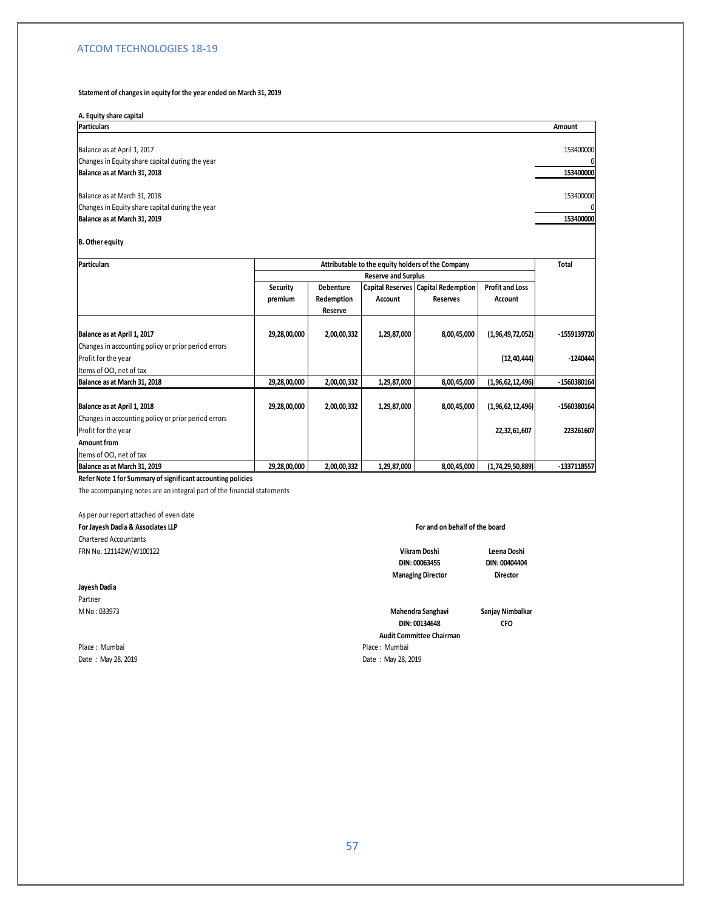#### **Statement of changes in equity for the year ended on March 31, 2019**

### **A. Equity share capital**

**Particulars Amount** Balance as at April 1, 2017 153400000 Changes in Equity share capital during the year 0 **Balance as at March 31, 2018 153400000** Balance as at March 31, 2018 153400000 153400000 153400000 153400000 153400000 153400000 1535400000 1535400000 Changes in Equity share capital during the year **Balance as at March 31, 2019 153400000**

#### **B. Other equity**

| <b>Particulars</b>                                  |              |                            |                | Attributable to the equity holders of the Company |                        | Total       |  |
|-----------------------------------------------------|--------------|----------------------------|----------------|---------------------------------------------------|------------------------|-------------|--|
|                                                     |              | <b>Reserve and Surplus</b> |                |                                                   |                        |             |  |
|                                                     | Security     | <b>Debenture</b>           |                | <b>Capital Reserves   Capital Redemption  </b>    | <b>Profit and Loss</b> |             |  |
|                                                     | premium      | Redemption                 | <b>Account</b> | <b>Reserves</b>                                   | Account                |             |  |
|                                                     |              | Reserve                    |                |                                                   |                        |             |  |
|                                                     |              |                            |                |                                                   |                        |             |  |
| Balance as at April 1, 2017                         | 29,28,00,000 | 2,00,00,332                | 1,29,87,000    | 8,00,45,000                                       | (1, 96, 49, 72, 052)   | -1559139720 |  |
| Changes in accounting policy or prior period errors |              |                            |                |                                                   |                        |             |  |
| Profit for the year                                 |              |                            |                |                                                   | (12, 40, 444)          | $-1240444$  |  |
| Items of OCI, net of tax                            |              |                            |                |                                                   |                        |             |  |
| Balance as at March 31, 2018                        | 29,28,00,000 | 2,00,00,332                | 1,29,87,000    | 8,00,45,000                                       | (1,96,62,12,496)       | -1560380164 |  |
| Balance as at April 1, 2018                         | 29,28,00,000 | 2,00,00,332                | 1,29,87,000    | 8,00,45,000                                       | (1, 96, 62, 12, 496)   | -1560380164 |  |
| Changes in accounting policy or prior period errors |              |                            |                |                                                   |                        |             |  |
| Profit for the year                                 |              |                            |                |                                                   | 22,32,61,607           | 223261607   |  |
| Amount from                                         |              |                            |                |                                                   |                        |             |  |
| Items of OCI, net of tax                            |              |                            |                |                                                   |                        |             |  |
| Balance as at March 31, 2019                        | 29,28,00,000 | 2,00,00,332                | 1,29,87,000    | 8,00,45,000                                       | (1,74,29,50,889)       | -1337118557 |  |

**Refer Note 1 for Summary of significant accounting policies**

The accompanying notes are an integral part of the financial statements

# As per our report attached of even date

**For Jayesh Dadia & Associates LLP** Chartered Accountants FRN No. 121142W/W100122 **Leena Doshi**

### **Jayesh Dadia**

Partner

Place : Mumbai Place : Mumbai Date : May 28, 2019 **Date : May 28, 2019** 

#### **For and on behalf of the board**

**Vikram Doshi DIN: 00063455**

**Managing Director**

**Director**

**CFO**

**DIN: 00404404**

M No : 033973 **Sanjay Nimbalkar Mahendra Sanghavi Audit Committee Chairman DIN: 00134648**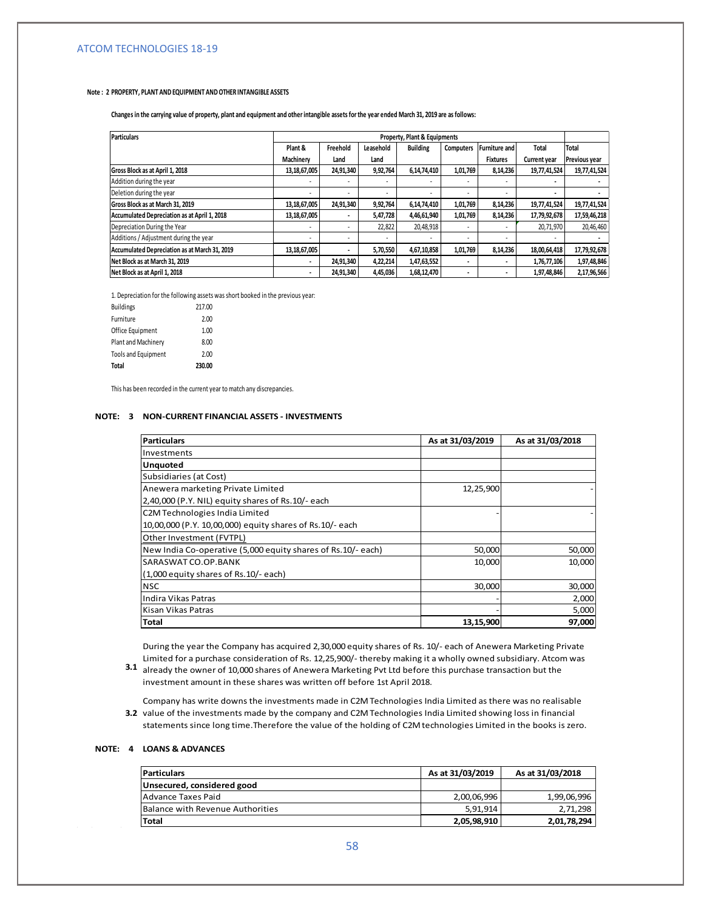#### **Note : 2 PROPERTY, PLANT AND EQUIPMENT AND OTHER INTANGIBLE ASSETS**

**Changes in the carrying value of property, plant and equipment and other intangible assets for the year ended March 31, 2019 are as follows:**

| Particulars                                   | <b>Property, Plant &amp; Equipments</b> |           |           |                          |           |                      |                     |                      |
|-----------------------------------------------|-----------------------------------------|-----------|-----------|--------------------------|-----------|----------------------|---------------------|----------------------|
|                                               | Plant &                                 | Freehold  | Leasehold | <b>Building</b>          | Computers | <b>Furniture and</b> | Total               | <b>Total</b>         |
|                                               | Machinery                               | Land      | Land      |                          |           | <b>Fixtures</b>      | <b>Current year</b> | <b>Previous year</b> |
| Gross Block as at April 1, 2018               | 13,18,67,005                            | 24,91,340 | 9,92,764  | 6,14,74,410              | 1,01,769  | 8,14,236             | 19,77,41,524        | 19,77,41,524         |
| Addition during the year                      | ۰                                       |           | ٠         | ۰.                       |           | ٠                    |                     |                      |
| Deletion during the year                      | ۰                                       |           | ٠         | $\overline{\phantom{a}}$ |           | ٠                    |                     |                      |
| Gross Block as at March 31, 2019              | 13,18,67,005                            | 24,91,340 | 9,92,764  | 6,14,74,410              | 1,01,769  | 8,14,236             | 19,77,41,524        | 19,77,41,524         |
| Accumulated Depreciation as at April 1, 2018  | 13,18,67,005                            |           | 5,47,728  | 4,46,61,940              | 1,01,769  | 8,14,236             | 17,79,92,678        | 17,59,46,218         |
| Depreciation During the Year                  |                                         |           | 22,822    | 20,48,918                |           |                      | 20,71,970           | 20,46,460            |
| Additions / Adjustment during the year        |                                         |           |           | $\overline{\phantom{a}}$ |           | ٠                    |                     |                      |
| Accumulated Depreciation as at March 31, 2019 | 13,18,67,005                            |           | 5,70,550  | 4,67,10,858              | 1,01,769  | 8,14,236             | 18,00,64,418        | 17,79,92,678         |
| Net Block as at March 31, 2019                | ٠                                       | 24,91,340 | 4,22,214  | 1,47,63,552              |           | ۰                    | 1,76,77,106         | 1,97,48,846          |
| Net Block as at April 1, 2018                 |                                         | 24,91,340 | 4,45,036  | 1,68,12,470              |           |                      | 1,97,48,846         | 2,17,96,566          |

1. Depreciation for the following assets was short booked in the previous year:

| <b>Buildings</b>           | 217.00 |
|----------------------------|--------|
| Furniture                  | 2.00   |
| Office Equipment           | 1.00   |
| Plant and Machinery        | 8.00   |
| <b>Tools and Equipment</b> | 2.00   |
| Total                      | 230.00 |

This has been recorded in the current year to match any discrepancies.

### **NOTE: 3 NON-CURRENT FINANCIAL ASSETS - INVESTMENTS**

| Particulars                                                  | As at 31/03/2019 | As at 31/03/2018 |
|--------------------------------------------------------------|------------------|------------------|
| Investments                                                  |                  |                  |
| <b>Unquoted</b>                                              |                  |                  |
| Subsidiaries (at Cost)                                       |                  |                  |
| Anewera marketing Private Limited                            | 12,25,900        |                  |
| 2,40,000 (P.Y. NIL) equity shares of Rs.10/- each            |                  |                  |
| C2M Technologies India Limited                               |                  |                  |
| 10,00,000 (P.Y. 10,00,000) equity shares of Rs.10/- each     |                  |                  |
| Other Investment (FVTPL)                                     |                  |                  |
| New India Co-operative (5,000 equity shares of Rs.10/- each) | 50,000           | 50,000           |
| SARASWAT CO.OP.BANK                                          | 10,000           | 10,000           |
| (1,000 equity shares of Rs.10/- each)                        |                  |                  |
| <b>NSC</b>                                                   | 30,000           | 30,000           |
| Indira Vikas Patras                                          |                  | 2,000            |
| Kisan Vikas Patras                                           |                  | 5,000            |
| <b>Total</b>                                                 | 13,15,900        | 97,000           |

During the year the Company has acquired 2,30,000 equity shares of Rs. 10/- each of Anewera Marketing Private Limited for a purchase consideration of Rs. 12,25,900/- thereby making it a wholly owned subsidiary. Atcom was

- **3.1** already the owner of 10,000 shares of Anewera Marketing Pvt Ltd before this purchase transaction but the investment amount in these shares was written off before 1st April 2018.
- **3.2** value of the investments made by the company and C2M Technologies India Limited showing loss in financial Company has write downs the investments made in C2M Technologies India Limited as there was no realisable statements since long time.Therefore the value of the holding of C2M technologies Limited in the books is zero.

#### **NOTE: 4 LOANS & ADVANCES**

| <b>Particulars</b>               | As at 31/03/2019 | As at 31/03/2018 |
|----------------------------------|------------------|------------------|
| Unsecured, considered good       |                  |                  |
| Advance Taxes Paid               | 2,00,06,996      | 1,99,06,996      |
| Balance with Revenue Authorities | 5,91,914         | 2,71,298         |
| <b>Total</b>                     | 2,05,98,910      | 2,01,78,294      |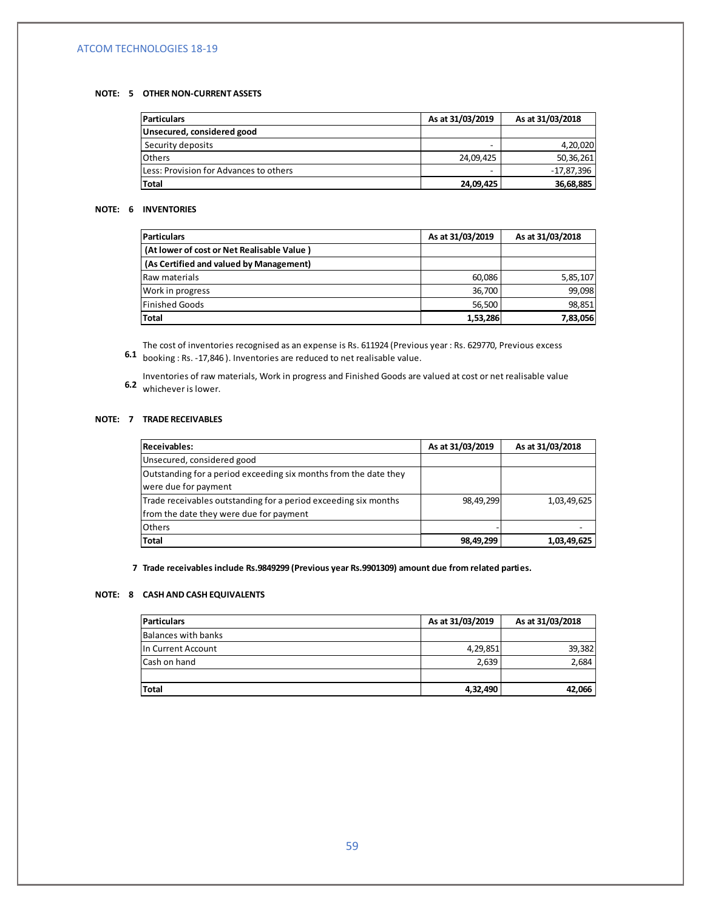#### **NOTE: 5 OTHER NON-CURRENT ASSETS**

| <b>Particulars</b>                     | As at 31/03/2019 | As at 31/03/2018 |
|----------------------------------------|------------------|------------------|
| Unsecured, considered good             |                  |                  |
| Security deposits                      | -                | 4,20,020         |
| <b>Others</b>                          | 24,09,425        | 50,36,261        |
| Less: Provision for Advances to others | -                | -17,87,396       |
| <b>Total</b>                           | 24,09,425        | 36,68,885        |

#### **NOTE: 6 INVENTORIES**

| <b>Particulars</b>                         | As at 31/03/2019 | As at 31/03/2018 |
|--------------------------------------------|------------------|------------------|
| (At lower of cost or Net Realisable Value) |                  |                  |
| (As Certified and valued by Management)    |                  |                  |
| Raw materials                              | 60,086           | 5,85,107         |
| Work in progress                           | 36,700           | 99,098           |
| <b>Finished Goods</b>                      | 56,500           | 98,851           |
| Total                                      | 1,53,286         | 7,83,056         |

 **6.1**  booking : Rs. -17,846 ). Inventories are reduced to net realisable value.The cost of inventories recognised as an expense is Rs. 611924 (Previous year : Rs. 629770, Previous excess

 **6.2**  whichever is lower. Inventories of raw materials, Work in progress and Finished Goods are valued at cost or net realisable value

#### **NOTE: 7 TRADE RECEIVABLES**

| <b>Receivables:</b>                                              | As at 31/03/2019 | As at 31/03/2018 |
|------------------------------------------------------------------|------------------|------------------|
| Unsecured, considered good                                       |                  |                  |
| Outstanding for a period exceeding six months from the date they |                  |                  |
| were due for payment                                             |                  |                  |
| Trade receivables outstanding for a period exceeding six months  | 98,49,299        | 1,03,49,625      |
| from the date they were due for payment                          |                  |                  |
| <b>Others</b>                                                    |                  |                  |
| Total                                                            | 98,49,299        | 1,03,49,625      |

 **7 Trade receivables include Rs.9849299 (Previous year Rs.9901309) amount due from related parties.**

### **NOTE: 8 CASH AND CASH EQUIVALENTS**

 $\mathcal{L}^{\text{max}}(\mathcal{L}^{\text{max}})$  .

| <b>Particulars</b>  | As at 31/03/2019 | As at 31/03/2018 |
|---------------------|------------------|------------------|
| Balances with banks |                  |                  |
| In Current Account  | 4,29,851         | 39,382           |
| Cash on hand        | 2,639            | 2,684            |
|                     |                  |                  |
| <b>Total</b>        | 4,32,490         | 42,066           |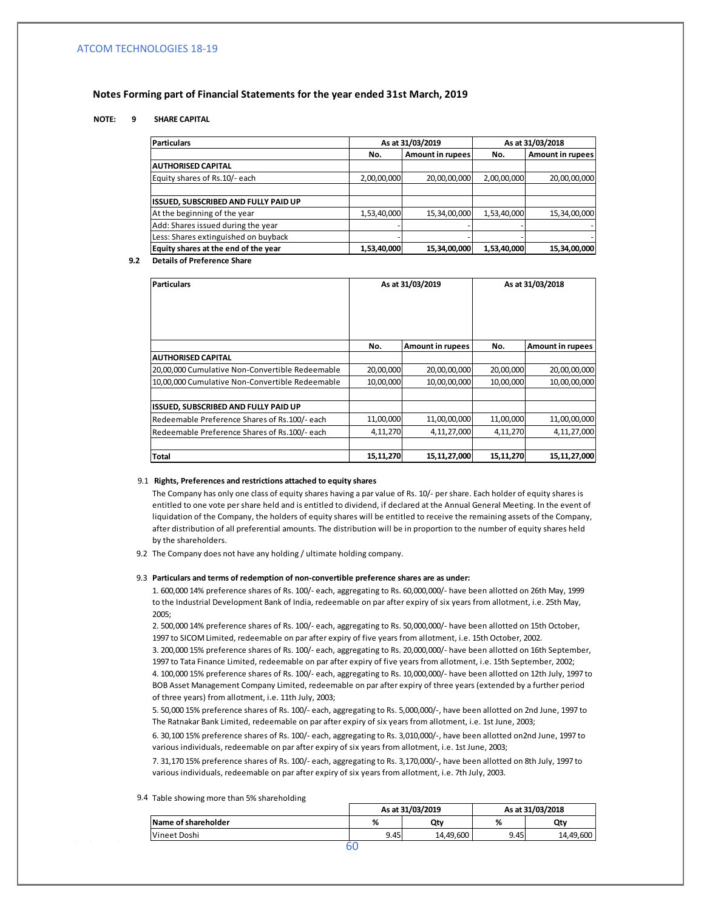### **Notes Forming part of Financial Statements for the year ended 31st March, 2019**

### **NOTE: 9 SHARE CAPITAL**

| <b>Particulars</b>                   |             | As at 31/03/2019 |             | As at 31/03/2018        |
|--------------------------------------|-------------|------------------|-------------|-------------------------|
|                                      | No.         | Amount in rupees | No.         | <b>Amount in rupees</b> |
| <b>AUTHORISED CAPITAL</b>            |             |                  |             |                         |
| Equity shares of Rs.10/- each        | 2,00,00,000 | 20,00,00,000     | 2,00,00,000 | 20,00,00,000            |
|                                      |             |                  |             |                         |
| ISSUED, SUBSCRIBED AND FULLY PAID UP |             |                  |             |                         |
| At the beginning of the year         | 1,53,40,000 | 15,34,00,000     | 1,53,40,000 | 15,34,00,000            |
| Add: Shares issued during the year   |             |                  |             |                         |
| Less: Shares extinguished on buyback |             |                  |             |                         |
| Equity shares at the end of the year | 1,53,40,000 | 15,34,00,000     | 1,53,40,000 | 15,34,00,000            |

#### **9.2 Details of Preference Share**

| <b>Particulars</b>                              | As at 31/03/2019 |                         |           | As at 31/03/2018 |
|-------------------------------------------------|------------------|-------------------------|-----------|------------------|
|                                                 | No.              | <b>Amount in rupees</b> | No.       | Amount in rupees |
| AUTHORISED CAPITAL                              |                  |                         |           |                  |
| 20,00,000 Cumulative Non-Convertible Redeemable | 20,00,000        | 20,00,00,000            | 20,00,000 | 20,00,00,000     |
| 10,00,000 Cumulative Non-Convertible Redeemable | 10,00,000        | 10,00,00,000            | 10,00,000 | 10,00,00,000     |
| ISSUED, SUBSCRIBED AND FULLY PAID UP            |                  |                         |           |                  |
| Redeemable Preference Shares of Rs.100/- each   | 11,00,000        | 11,00,00,000            | 11,00,000 | 11,00,00,000     |
| Redeemable Preference Shares of Rs.100/- each   | 4, 11, 270       | 4,11,27,000             | 4,11,270  | 4, 11, 27, 000   |
| <b>Total</b>                                    | 15, 11, 270      | 15,11,27,000            | 15,11,270 | 15, 11, 27, 000  |

#### 9.1  **Rights, Preferences and restrictions attached to equity shares**

The Company has only one class of equity shares having a par value of Rs. 10/- per share. Each holder of equity shares is entitled to one vote per share held and is entitled to dividend, if declared at the Annual General Meeting. In the event of liquidation of the Company, the holders of equity shares will be entitled to receive the remaining assets of the Company, after distribution of all preferential amounts. The distribution will be in proportion to the number of equity shares held by the shareholders.

9.2 The Company does not have any holding / ultimate holding company.

#### 9.3 **Particulars and terms of redemption of non-convertible preference shares are as under:**

1. 600,000 14% preference shares of Rs. 100/- each, aggregating to Rs. 60,000,000/- have been allotted on 26th May, 1999 to the Industrial Development Bank of India, redeemable on par after expiry of six years from allotment, i.e. 25th May, 2005;

2. 500,000 14% preference shares of Rs. 100/- each, aggregating to Rs. 50,000,000/- have been allotted on 15th October, 1997 to SICOM Limited, redeemable on par after expiry of five years from allotment, i.e. 15th October, 2002.

3. 200,000 15% preference shares of Rs. 100/- each, aggregating to Rs. 20,000,000/- have been allotted on 16th September, 1997 to Tata Finance Limited, redeemable on par after expiry of five years from allotment, i.e. 15th September, 2002; 4. 100,000 15% preference shares of Rs. 100/- each, aggregating to Rs. 10,000,000/- have been allotted on 12th July, 1997 to BOB Asset Management Company Limited, redeemable on par after expiry of three years (extended by a further period of three years) from allotment, i.e. 11th July, 2003;

5. 50,000 15% preference shares of Rs. 100/- each, aggregating to Rs. 5,000,000/-, have been allotted on 2nd June, 1997 to The Ratnakar Bank Limited, redeemable on par after expiry of six years from allotment, i.e. 1st June, 2003;

6. 30,100 15% preference shares of Rs. 100/- each, aggregating to Rs. 3,010,000/-, have been allotted on2nd June, 1997 to various individuals, redeemable on par after expiry of six years from allotment, i.e. 1st June, 2003;

7. 31,170 15% preference shares of Rs. 100/- each, aggregating to Rs. 3,170,000/-, have been allotted on 8th July, 1997 to various individuals, redeemable on par after expiry of six years from allotment, i.e. 7th July, 2003.

#### 9.4 Table showing more than 5% shareholding

|                     | As at 31/03/2019 |           | As at 31/03/2018 |           |
|---------------------|------------------|-----------|------------------|-----------|
| Name of shareholder | %                | Qty       | %                | Qty       |
| Vineet Doshi        | 9.45             | 14.49.600 | 9.45             | 14.49.600 |
|                     |                  |           |                  |           |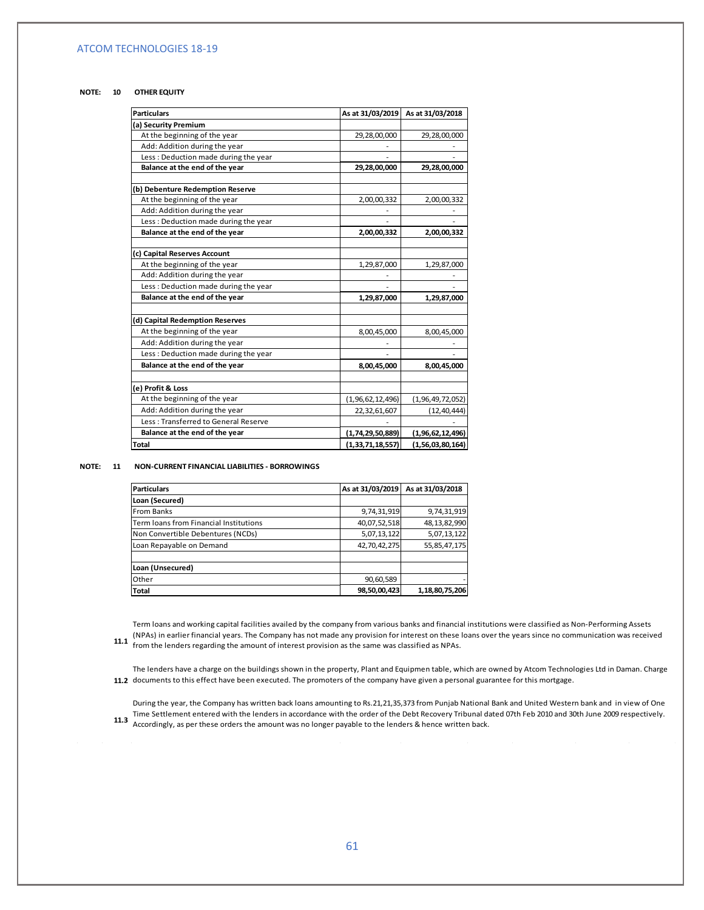#### **NOTE: 10 OTHER EQUITY**

| <b>Particulars</b>                   | As at 31/03/2019     | As at 31/03/2018 |
|--------------------------------------|----------------------|------------------|
| (a) Security Premium                 |                      |                  |
| At the beginning of the year         | 29,28,00,000         | 29,28,00,000     |
| Add: Addition during the year        |                      |                  |
| Less: Deduction made during the year |                      |                  |
| Balance at the end of the year       | 29,28,00,000         | 29,28,00,000     |
| (b) Debenture Redemption Reserve     |                      |                  |
| At the beginning of the year         | 2,00,00,332          | 2,00,00,332      |
| Add: Addition during the year        |                      |                  |
| Less: Deduction made during the year |                      |                  |
| Balance at the end of the year       | 2,00,00,332          | 2,00,00,332      |
| (c) Capital Reserves Account         |                      |                  |
| At the beginning of the year         | 1,29,87,000          | 1,29,87,000      |
| Add: Addition during the year        |                      |                  |
| Less: Deduction made during the year |                      |                  |
| Balance at the end of the year       | 1,29,87,000          | 1,29,87,000      |
| (d) Capital Redemption Reserves      |                      |                  |
| At the beginning of the year         | 8,00,45,000          | 8,00,45,000      |
| Add: Addition during the year        |                      |                  |
| Less: Deduction made during the year |                      |                  |
| Balance at the end of the year       | 8,00,45,000          | 8,00,45,000      |
| (e) Profit & Loss                    |                      |                  |
| At the beginning of the year         | (1,96,62,12,496)     | (1,96,49,72,052) |
| Add: Addition during the year        | 22,32,61,607         | (12, 40, 444)    |
| Less: Transferred to General Reserve |                      |                  |
| Balance at the end of the year       | (1, 74, 29, 50, 889) | (1,96,62,12,496) |
| <b>Total</b>                         | (1, 33, 71, 18, 557) | (1,56,03,80,164) |

#### **NOTE: 11 NON-CURRENT FINANCIAL LIABILITIES - BORROWINGS**

| <b>Particulars</b>                     | As at 31/03/2019 | As at 31/03/2018 |
|----------------------------------------|------------------|------------------|
| Loan (Secured)                         |                  |                  |
| From Banks                             | 9,74,31,919      | 9,74,31,919      |
| Term loans from Financial Institutions | 40,07,52,518     | 48,13,82,990     |
| Non Convertible Debentures (NCDs)      | 5,07,13,122      | 5,07,13,122      |
| Loan Repayable on Demand               | 42,70,42,275     | 55,85,47,175     |
|                                        |                  |                  |
| Loan (Unsecured)                       |                  |                  |
| Other                                  | 90,60,589        |                  |
| Total                                  | 98,50,00,423     | 1,18,80,75,206   |

(NPAs) in earlier financial years. The Company has not made any provision for interest on these loans over the years since no communication was received<br>**11.1 from the londer regarding the amount of interest provision as** Term loans and working capital facilities availed by the company from various banks and financial institutions were classified as Non-Performing Assets from the lenders regarding the amount of interest provision as the same was classified as NPAs.

 **11.2**  documents to this effect have been executed. The promoters of the company have given a personal guarantee for this mortgage. The lenders have a charge on the buildings shown in the property, Plant and Equipmen table, which are owned by Atcom Technologies Ltd in Daman. Charge

Time Settlement entered with the lenders in accordance with the order of the Debt Recovery Tribunal dated 07th Feb 2010 and 30th June 2009 respectively.<br>11.3 Accordingly as postbose orders the amount was no longer payable During the year, the Company has written back loans amounting to Rs.21,21,35,373 from Punjab National Bank and United Western bank and in view of One Accordingly, as per these orders the amount was no longer payable to the lenders & hence written back.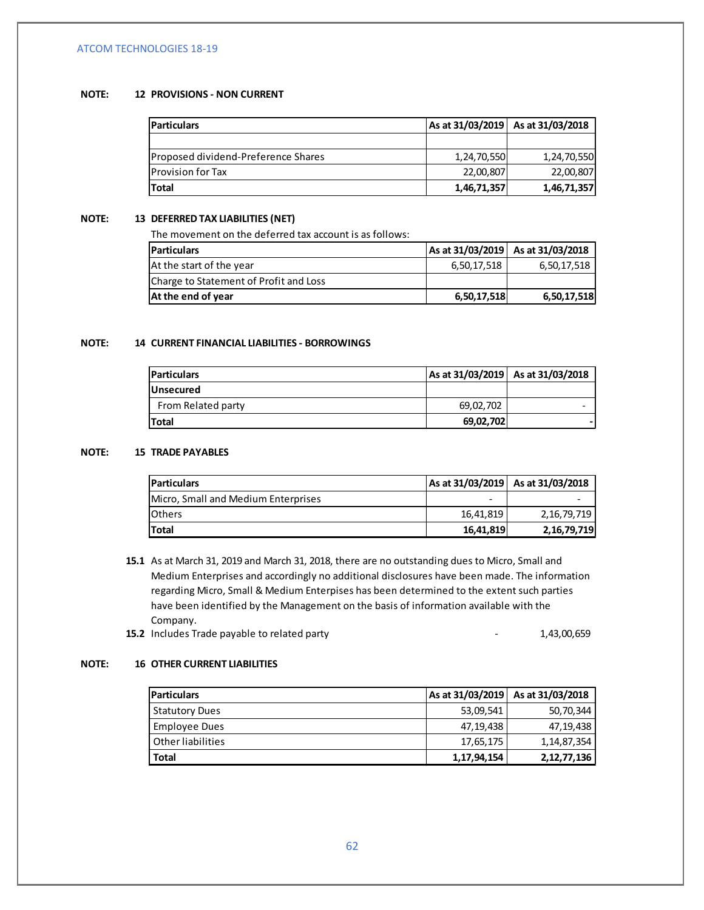### **NOTE: 12 PROVISIONS - NON CURRENT**

| Particulars                         |             | As at 31/03/2019   As at 31/03/2018 |
|-------------------------------------|-------------|-------------------------------------|
|                                     |             |                                     |
| Proposed dividend-Preference Shares | 1,24,70,550 | 1,24,70,550                         |
| Provision for Tax                   | 22,00,807   | 22,00,807                           |
| Total                               | 1,46,71,357 | 1,46,71,357                         |

### **NOTE: 13 DEFERRED TAX LIABILITIES (NET)**

The movement on the deferred tax account is as follows:

| <b>Particulars</b>                     |             | As at 31/03/2019 As at 31/03/2018 |
|----------------------------------------|-------------|-----------------------------------|
| At the start of the year               | 6,50,17,518 | 6,50,17,518                       |
| Charge to Statement of Profit and Loss |             |                                   |
| At the end of year                     | 6,50,17,518 | 6,50,17,518                       |

### **NOTE: 14 CURRENT FINANCIAL LIABILITIES - BORROWINGS**

| <b>Particulars</b> |           | As at 31/03/2019 As at 31/03/2018 |
|--------------------|-----------|-----------------------------------|
| <b>Unsecured</b>   |           |                                   |
| From Related party | 69,02,702 | -                                 |
| <b>Total</b>       | 69,02,702 |                                   |

### **NOTE: 15 TRADE PAYABLES**

| <b>Particulars</b>                  |           | As at 31/03/2019 As at 31/03/2018 |
|-------------------------------------|-----------|-----------------------------------|
| Micro, Small and Medium Enterprises |           |                                   |
| <b>I</b> Others                     | 16,41,819 | 2, 16, 79, 719                    |
| <b>Total</b>                        | 16,41,819 | 2, 16, 79, 719                    |

- **15.1**  As at March 31, 2019 and March 31, 2018, there are no outstanding dues to Micro, Small and Medium Enterprises and accordingly no additional disclosures have been made. The information regarding Micro, Small & Medium Enterpises has been determined to the extent such parties have been identified by the Management on the basis of information available with the Company.
	- **15.2** Includes Trade payable to related party **15.2** Includes Trade payable to related party

### **NOTE: 16 OTHER CURRENT LIABILITIES**

| <b>Particulars</b>    |             | As at 31/03/2019   As at 31/03/2018 |
|-----------------------|-------------|-------------------------------------|
| <b>Statutory Dues</b> | 53,09,541   | 50,70,344                           |
| Employee Dues         | 47,19,438   | 47,19,438                           |
| Other liabilities     | 17,65,175   | 1,14,87,354                         |
| Total                 | 1,17,94,154 | 2, 12, 77, 136                      |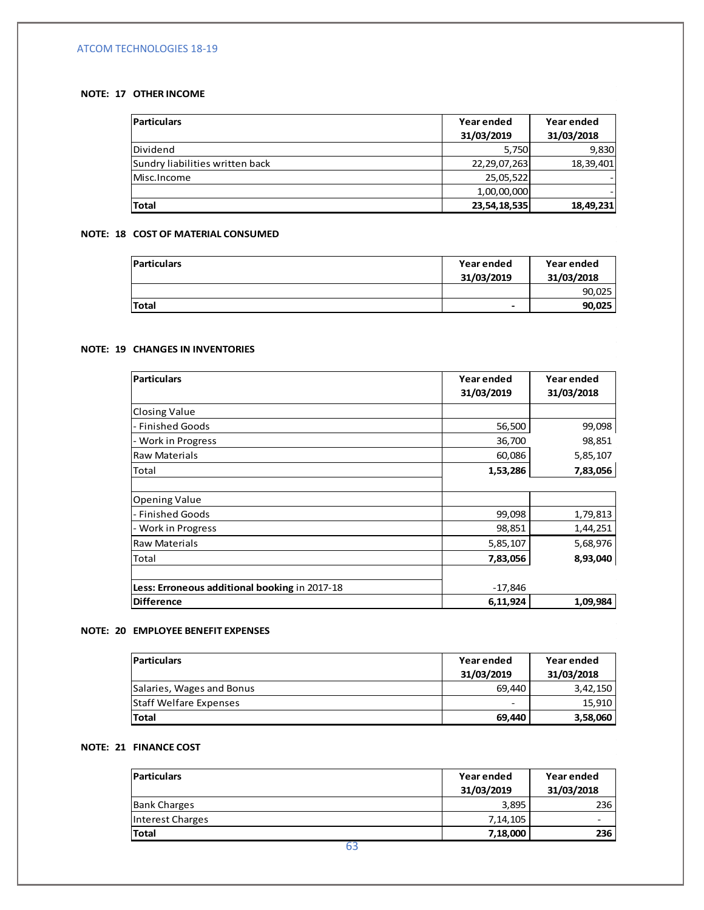### **NOTE: 17 OTHER INCOME**

| <b>Particulars</b>              | Year ended   | Year ended |
|---------------------------------|--------------|------------|
|                                 | 31/03/2019   | 31/03/2018 |
| Dividend                        | 5,750        | 9,830      |
| Sundry liabilities written back | 22,29,07,263 | 18,39,401  |
| Misc.Income                     | 25,05,522    |            |
|                                 | 1,00,00,000  |            |
| Total                           | 23,54,18,535 | 18,49,231  |

# **NOTE: 18 COST OF MATERIAL CONSUMED**

| <b>Particulars</b> | Year ended<br>31/03/2019 | Year ended<br>31/03/2018 |
|--------------------|--------------------------|--------------------------|
|                    |                          | 90,025                   |
| Total              | -                        | 90,025                   |

#### **NOTE: 19 CHANGES IN INVENTORIES**

| Particulars                                   | Year ended<br>31/03/2019 | Year ended<br>31/03/2018 |
|-----------------------------------------------|--------------------------|--------------------------|
| Closing Value                                 |                          |                          |
| l- Finished Goods                             | 56,500                   | 99,098                   |
| - Work in Progress                            | 36,700                   | 98,851                   |
| Raw Materials                                 | 60,086                   | 5,85,107                 |
| <b>Total</b>                                  | 1,53,286                 | 7,83,056                 |
|                                               |                          |                          |
| Opening Value                                 |                          |                          |
| l- Finished Goods                             | 99,098                   | 1,79,813                 |
| - Work in Progress                            | 98,851                   | 1,44,251                 |
| <b>Raw Materials</b>                          | 5,85,107                 | 5,68,976                 |
| Total                                         | 7,83,056                 | 8,93,040                 |
|                                               |                          |                          |
| Less: Erroneous additional booking in 2017-18 | $-17,846$                |                          |
| Difference                                    | 6,11,924                 | 1,09,984                 |

### **NOTE: 20 EMPLOYEE BENEFIT EXPENSES**

| <b>Particulars</b>            | Year ended<br>31/03/2019 | Year ended<br>31/03/2018 |
|-------------------------------|--------------------------|--------------------------|
| Salaries, Wages and Bonus     | 69.440                   | 3,42,150                 |
| <b>Staff Welfare Expenses</b> | -                        | 15.910                   |
| <b>Total</b>                  | 69.440                   | 3,58,060                 |

# **NOTE: 21 FINANCE COST**

 $\mathcal{L}^{\mathcal{L}}$ 

| <b>Particulars</b>  | Year ended<br>31/03/2019 | Year ended<br>31/03/2018 |
|---------------------|--------------------------|--------------------------|
| <b>Bank Charges</b> | 3,895                    | 236                      |
| Interest Charges    | 7, 14, 105               |                          |
| <b>Total</b>        | 7,18,000                 | 236                      |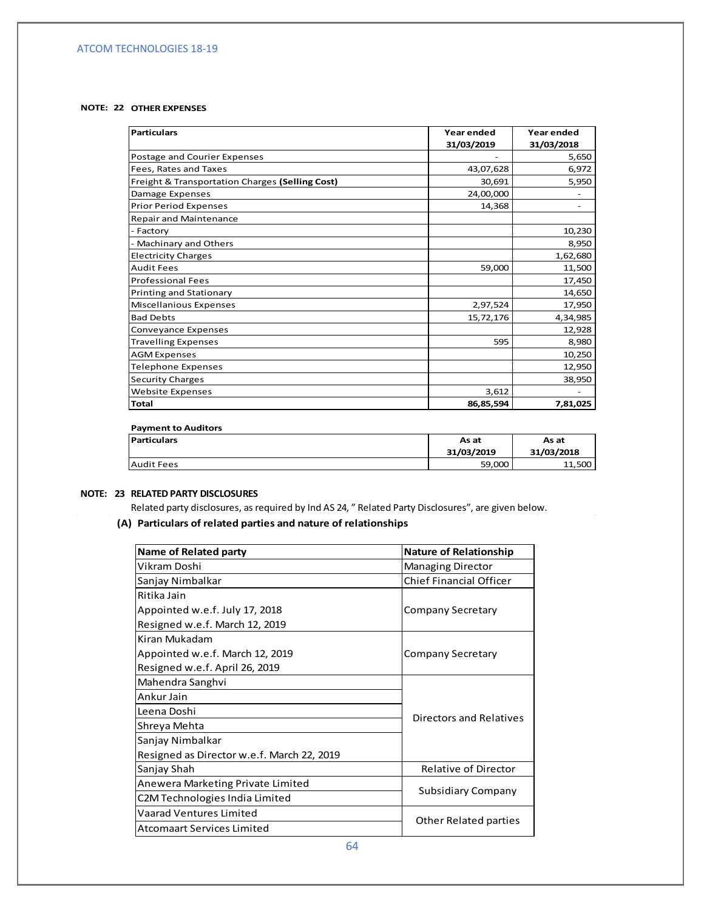### **NOTE: 22 OTHER EXPENSES**

| Particulars                                     | Year ended | Year ended |
|-------------------------------------------------|------------|------------|
|                                                 | 31/03/2019 | 31/03/2018 |
| Postage and Courier Expenses                    |            | 5,650      |
| Fees, Rates and Taxes                           | 43,07,628  | 6,972      |
| Freight & Transportation Charges (Selling Cost) | 30,691     | 5,950      |
| Damage Expenses                                 | 24,00,000  |            |
| <b>Prior Period Expenses</b>                    | 14,368     |            |
| <b>Repair and Maintenance</b>                   |            |            |
| - Factory                                       |            | 10,230     |
| - Machinary and Others                          |            | 8,950      |
| <b>Electricity Charges</b>                      |            | 1,62,680   |
| <b>Audit Fees</b>                               | 59,000     | 11,500     |
| <b>Professional Fees</b>                        |            | 17,450     |
| Printing and Stationary                         |            | 14,650     |
| Miscellanious Expenses                          | 2,97,524   | 17,950     |
| <b>Bad Debts</b>                                | 15,72,176  | 4,34,985   |
| Conveyance Expenses                             |            | 12,928     |
| <b>Travelling Expenses</b>                      | 595        | 8,980      |
| <b>AGM Expenses</b>                             |            | 10,250     |
| <b>Telephone Expenses</b>                       |            | 12,950     |
| <b>Security Charges</b>                         |            | 38,950     |
| <b>Website Expenses</b>                         | 3,612      |            |
| <b>Total</b>                                    | 86,85,594  | 7,81,025   |

#### **Payment to Auditors**

| <b>Particulars</b> | As at<br>As at |            |
|--------------------|----------------|------------|
|                    | 31/03/2019     | 31/03/2018 |
| <b>Audit Fees</b>  | 59.000         | 11,500     |

 $\bar{z}$ 

## **NOTE: 23 RELATED PARTY DISCLOSURES**

Related party disclosures, as required by Ind AS 24, " Related Party Disclosures", are given below.

### **(A) Particulars of related parties and nature of relationships**

| Name of Related party                      | <b>Nature of Relationship</b>  |  |  |
|--------------------------------------------|--------------------------------|--|--|
| Vikram Doshi                               | <b>Managing Director</b>       |  |  |
| Sanjay Nimbalkar                           | <b>Chief Financial Officer</b> |  |  |
| Ritika Jain                                |                                |  |  |
| Appointed w.e.f. July 17, 2018             | Company Secretary              |  |  |
| Resigned w.e.f. March 12, 2019             |                                |  |  |
| Kiran Mukadam                              |                                |  |  |
| Appointed w.e.f. March 12, 2019            | Company Secretary              |  |  |
| Resigned w.e.f. April 26, 2019             |                                |  |  |
| Mahendra Sanghvi                           |                                |  |  |
| Ankur Jain                                 |                                |  |  |
| Leena Doshi                                | Directors and Relatives        |  |  |
| Shreya Mehta                               |                                |  |  |
| Sanjay Nimbalkar                           |                                |  |  |
| Resigned as Director w.e.f. March 22, 2019 |                                |  |  |
| Sanjay Shah                                | <b>Relative of Director</b>    |  |  |
| Anewera Marketing Private Limited          |                                |  |  |
| C2M Technologies India Limited             | Subsidiary Company             |  |  |
| <b>Vaarad Ventures Limited</b>             |                                |  |  |
| <b>Atcomaart Services Limited</b>          | Other Related parties          |  |  |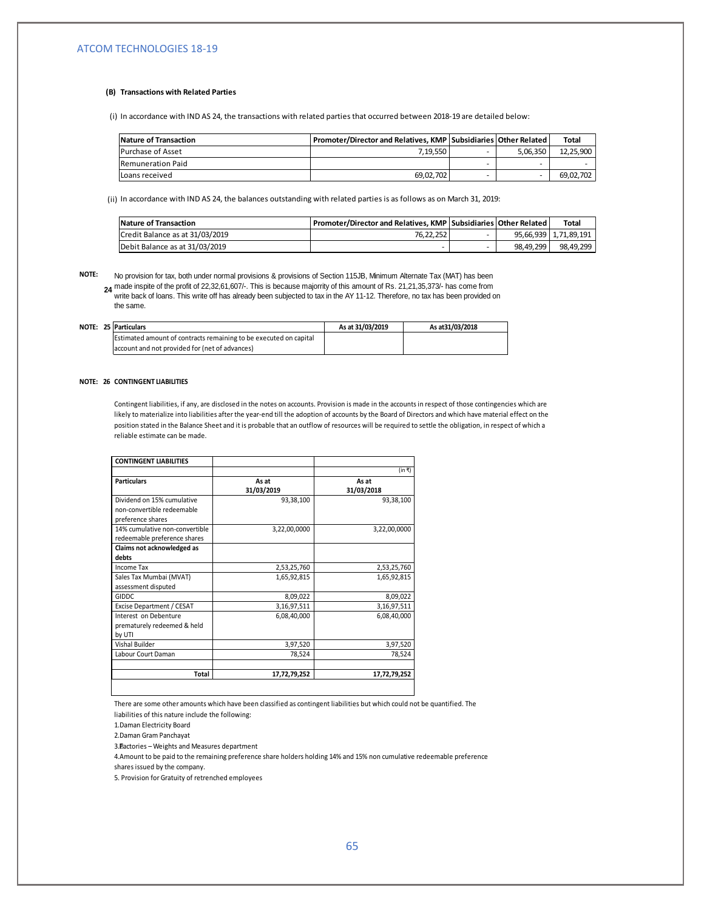#### **(B) Transactions with Related Parties**

(i) In accordance with IND AS 24, the transactions with related parties that occurred between 2018-19 are detailed below:

| Nature of Transaction    | Promoter/Director and Relatives, KMP   Subsidiaries   Other Related |                          |          | <b>Total</b> |
|--------------------------|---------------------------------------------------------------------|--------------------------|----------|--------------|
| <b>Purchase of Asset</b> | 7.19.550                                                            |                          | 5.06.350 | 12.25.900    |
| Remuneration Paid        |                                                                     | $\overline{\phantom{a}}$ |          |              |
| Loans received           | 69.02.702                                                           |                          |          | 69.02.702    |

(ii) In accordance with IND AS 24, the balances outstanding with related parties is as follows as on March 31, 2019:

| Nature of Transaction           | Promoter/Director and Relatives, KMP Subsidiaries Other Related |           | <b>Total</b>          |
|---------------------------------|-----------------------------------------------------------------|-----------|-----------------------|
| Credit Balance as at 31/03/2019 | 76.22.252                                                       |           | 95.66.939 1.71.89.191 |
| Debit Balance as at 31/03/2019  |                                                                 | 98.49.299 | 98.49.299             |

**NOTE:**

**24** made inspite of the profit of 22,32,61,607/-. This is because majorrity of this amount of Rs. 21,21,35,373/- has come from No provision for tax, both under normal provisions & provisions of Section 115JB, Minimum Alternate Tax (MAT) has been write back of loans. This write off has already been subjected to tax in the AY 11-12. Therefore, no tax has been provided on the same.

|  | <b>NOTE: 25 Particulars</b>                                       | As at 31/03/2019 | As at 31/03/2018 |
|--|-------------------------------------------------------------------|------------------|------------------|
|  | Estimated amount of contracts remaining to be executed on capital |                  |                  |
|  | account and not provided for (net of advances)                    |                  |                  |

#### **NOTE: 26 CONTINGENT LIABILITIES**

Contingent liabilities, if any, are disclosed in the notes on accounts. Provision is made in the accounts in respect of those contingencies which are likely to materialize into liabilities after the year-end till the adoption of accounts by the Board of Directors and which have material effect on the position stated in the Balance Sheet and it is probable that an outflow of resources will be required to settle the obligation, in respect of which a reliable estimate can be made.

| <b>CONTINGENT LIABILITIES</b>                                                 |                     |                     |
|-------------------------------------------------------------------------------|---------------------|---------------------|
|                                                                               |                     | (in ₹)              |
| <b>Particulars</b>                                                            | As at<br>31/03/2019 | As at<br>31/03/2018 |
| Dividend on 15% cumulative<br>non-convertible redeemable<br>preference shares | 93,38,100           | 93,38,100           |
| 14% cumulative non-convertible<br>redeemable preference shares                | 3,22,00,0000        | 3,22,00,0000        |
| Claims not acknowledged as<br>debts                                           |                     |                     |
| Income Tax                                                                    | 2,53,25,760         | 2,53,25,760         |
| Sales Tax Mumbai (MVAT)<br>assessment disputed                                | 1,65,92,815         | 1,65,92,815         |
| GIDDC.                                                                        | 8,09,022            | 8,09,022            |
| Excise Department / CESAT                                                     | 3,16,97,511         | 3,16,97,511         |
| Interest on Debenture<br>prematurely redeemed & held<br>by UTI                | 6,08,40,000         | 6,08,40,000         |
| Vishal Builder                                                                | 3,97,520            | 3,97,520            |
| Labour Court Daman                                                            | 78,524              | 78,524              |
| Total                                                                         | 17,72,79,252        | 17,72,79,252        |
|                                                                               |                     |                     |

There are some other amounts which have been classified as contingent liabilities but which could not be quantified. The liabilities of this nature include the following:

1. Daman Electricity Board

2. Daman Gram Panchayat

3. Factories – Weights and Measures department

4. Amount to be paid to the remaining preference share holders holding 14% and 15% non cumulative redeemable preference shares issued by the company.

5. Provision for Gratuity of retrenched employees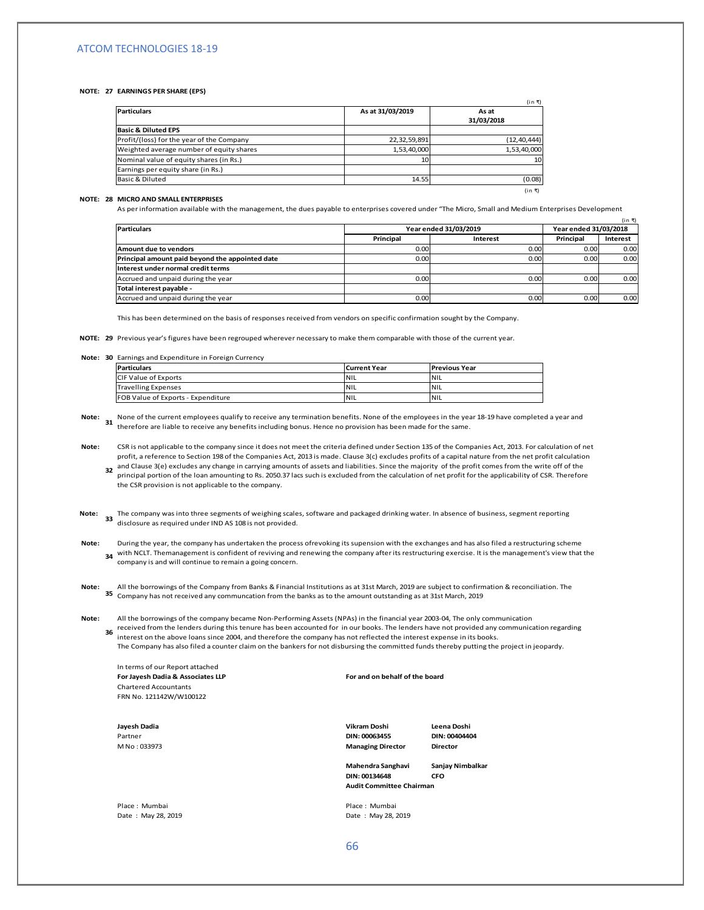#### **NOTE: 27 EARNINGS PER SHARE (EPS)**

| <b>Particulars</b>                        | As at 31/03/2019 | As at<br>31/03/2018 |
|-------------------------------------------|------------------|---------------------|
| <b>Basic &amp; Diluted EPS</b>            |                  |                     |
| Profit/(loss) for the year of the Company | 22,32,59,891     | (12, 40, 444)       |
| Weighted average number of equity shares  | 1,53,40,000      | 1,53,40,000         |
| Nominal value of equity shares (in Rs.)   | 10 <sup>1</sup>  | 10                  |
| Earnings per equity share (in Rs.)        |                  |                     |
| Basic & Diluted                           | 14.55            | (0.08)              |
|                                           |                  | (in ₹)              |

#### **NOTE: 28 MICRO AND SMALL ENTERPRISES**

As per information available with the management, the dues payable to enterprises covered under "The Micro, Small and Medium Enterprises Development

| <b>Particulars</b>                              |           | Year ended 31/03/2019 |           | (in ₹)<br>Year ended 31/03/2018 |  |
|-------------------------------------------------|-----------|-----------------------|-----------|---------------------------------|--|
|                                                 | Principal | Interest              | Principal | Interest                        |  |
| Amount due to vendors                           | 0.00      | 0.00                  | 0.00      | 0.00                            |  |
| Principal amount paid beyond the appointed date | 0.00      | 0.00                  | 0.00      | 0.00                            |  |
| Interest under normal credit terms              |           |                       |           |                                 |  |
| Accrued and unpaid during the year              | 0.00      | 0.00                  | 0.00      | 0.00                            |  |
| Total interest payable -                        |           |                       |           |                                 |  |
| Accrued and unpaid during the year              | 0.00      | 0.00                  | 0.00      | 0.00                            |  |

This has been determined on the basis of responses received from vendors on specific confirmation sought by the Company.

**NOTE: 29**  Previous year's figures have been regrouped wherever necessary to make them comparable with those of the current year.

#### **Note: 30** Earnings and Expenditure in Foreign Currency

the CSR provision is not applicable to the company.

| Particulars                        | <b>Current Year</b> | <b>Previous Year</b> |
|------------------------------------|---------------------|----------------------|
| CIF Value of Exports               | <b>NIL</b>          | INIL                 |
| <b>Travelling Expenses</b>         | <b>NIL</b>          | INIL                 |
| FOB Value of Exports - Expenditure | <b>INIL</b>         | INIL                 |

**Note:** None of the current employees qualify to receive any termination benefits. None of the employees in the year 18-19 have completed a year and<br>**31** therefore are liable to receive any benefits including beaus. Users as previ therefore are liable to receive any benefits including bonus. Hence no provision has been made for the same.

**Note: 32** and Clause 3(e) excludes any change in carrying amounts of assets and liabilities. Since the majority of the profit comes from the write off of the profit comes from the write of CD. The profit comes and including the CSR is not applicable to the company since it does not meet the criteria defined under Section 135 of the Companies Act, 2013. For calculation of net profit, a reference to Section 198 of the Companies Act, 2013 is made. Clause 3(c) excludes profits of a capital nature from the net profit calculation principal portion of the loan amounting to Rs. 2050.37 lacs such is excluded from the calculation of net profit for the applicability of CSR. Therefore

**Note:** 

The company was into three segments of weighing scales, software and packaged drinking water. In absence of business, segment reporting<br>disclosure as required under IND AS 109 is not provided disclosure as required under IND AS 108 is not provided.

**Note: 34** with NCLT. Themanagement is confident of reviving and renewing the company after its restructuring exercise. It is the management's view that the During the year, the company has undertaken the process ofrevoking its supension with the exchanges and has also filed a restructuring scheme company is and will continue to remain a going concern.

**Note: 35**  Company has not received any communcation from the banks as to the amount outstanding as at 31st March, 2019All the borrowings of the Company from Banks & Financial Institutions as at 31st March, 2019 are subject to confirmation & reconciliation. The

**Note:** All the borrowings of the company became Non-Performing Assets (NPAs) in the financial year 2003-04, The only communication

received from the lenders during this tenure has been accounted for in our books. The lenders have not provided any communication regarding<br>36 *interest on the change lenge ince* 2004, and therefore the expressive actual interest on the above loans since 2004, and therefore the company has not reflected the interest expense in its books.

The Company has also filed a counter claim on the bankers for not disbursing the committed funds thereby putting the project in jeopardy.

In terms of our Report attached **For Jayesh Dadia & Associates LLP For and on behalf of the board** Chartered Accountants FRN No. 121142W/W100122

**Jayesh Dadia Vikram Doshi Leena Doshi** Partner **DIN: 00063455 DIN: 00404404** M No : 033973 **Managing Director Director**

**Mahendra Sanghavi Sanjay Nimbalkar DIN: 00134648 CFO Audit Committee Chairman**

Place : Mumbai Place : Mumbai Place : Mumbai Place : Mumbai Place : Mumbai Place : Mumbai Place : Mumbai Place : Mumbai Place : May 28, 2019

Date: May 28, 2019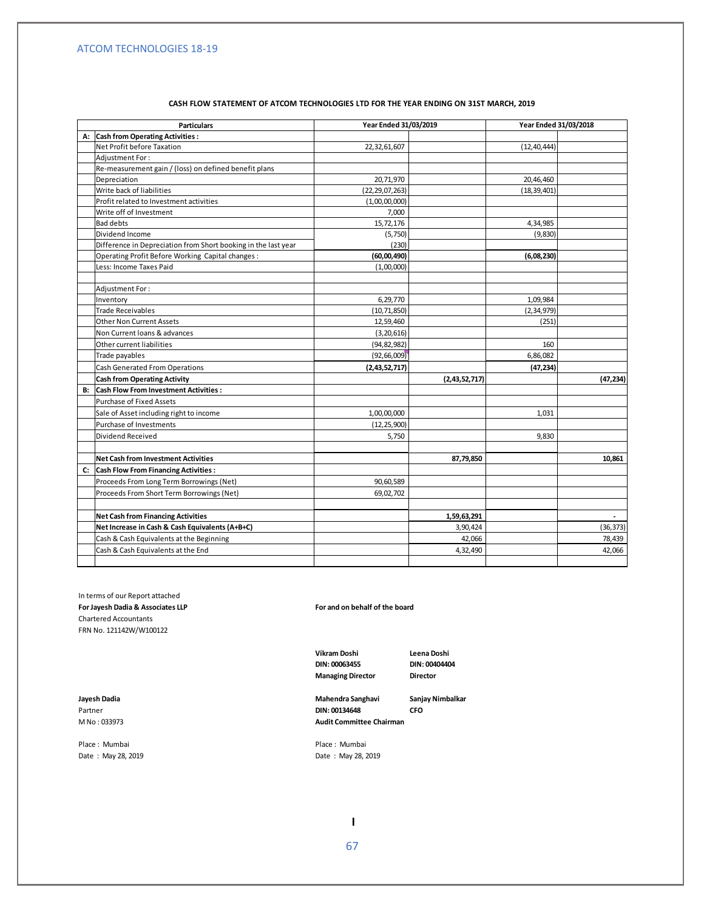| CASH FLOW STATEMENT OF ATCOM TECHNOLOGIES LTD FOR THE YEAR ENDING ON 31ST MARCH. 2019 |
|---------------------------------------------------------------------------------------|
|---------------------------------------------------------------------------------------|

|    | <b>Particulars</b>                                             | Year Ended 31/03/2019 |               | Year Ended 31/03/2018 |                          |
|----|----------------------------------------------------------------|-----------------------|---------------|-----------------------|--------------------------|
|    | A: Cash from Operating Activities :                            |                       |               |                       |                          |
|    | Net Profit before Taxation                                     | 22,32,61,607          |               | (12, 40, 444)         |                          |
|    | Adiustment For:                                                |                       |               |                       |                          |
|    | Re-measurement gain / (loss) on defined benefit plans          |                       |               |                       |                          |
|    | Depreciation                                                   | 20,71,970             |               | 20,46,460             |                          |
|    | Write back of liabilities                                      | (22, 29, 07, 263)     |               | (18, 39, 401)         |                          |
|    | Profit related to Investment activities                        | (1,00,00,000)         |               |                       |                          |
|    | Write off of Investment                                        | 7,000                 |               |                       |                          |
|    | <b>Bad debts</b>                                               | 15,72,176             |               | 4,34,985              |                          |
|    | Dividend Income                                                | (5,750)               |               | (9, 830)              |                          |
|    | Difference in Depreciation from Short booking in the last year | (230)                 |               |                       |                          |
|    | Operating Profit Before Working Capital changes:               | (60,00,490)           |               | (6,08,230)            |                          |
|    | Less: Income Taxes Paid                                        | (1,00,000)            |               |                       |                          |
|    |                                                                |                       |               |                       |                          |
|    | <b>Adjustment For:</b>                                         |                       |               |                       |                          |
|    | Inventory                                                      | 6,29,770              |               | 1,09,984              |                          |
|    | Trade Receivables                                              | (10, 71, 850)         |               | (2, 34, 979)          |                          |
|    | <b>Other Non Current Assets</b>                                | 12,59,460             |               | (251)                 |                          |
|    | Non Current loans & advances                                   | (3, 20, 616)          |               |                       |                          |
|    | Other current liabilities                                      | (94, 82, 982)         |               | 160                   |                          |
|    | Trade payables                                                 | (92, 66, 009)         |               | 6,86,082              |                          |
|    | <b>Cash Generated From Operations</b>                          | (2,43,52,717)         |               | (47, 234)             |                          |
|    | <b>Cash from Operating Activity</b>                            |                       | (2,43,52,717) |                       | (47, 234)                |
| B: | <b>Cash Flow From Investment Activities:</b>                   |                       |               |                       |                          |
|    | <b>Purchase of Fixed Assets</b>                                |                       |               |                       |                          |
|    | Sale of Asset including right to income                        | 1,00,00,000           |               | 1,031                 |                          |
|    | Purchase of Investments                                        | (12, 25, 900)         |               |                       |                          |
|    | Dividend Received                                              | 5,750                 |               | 9,830                 |                          |
|    |                                                                |                       |               |                       |                          |
|    | <b>Net Cash from Investment Activities</b>                     |                       | 87,79,850     |                       | 10.861                   |
|    | C: Cash Flow From Financing Activities :                       |                       |               |                       |                          |
|    | Proceeds From Long Term Borrowings (Net)                       | 90,60,589             |               |                       |                          |
|    | Proceeds From Short Term Borrowings (Net)                      | 69,02,702             |               |                       |                          |
|    |                                                                |                       |               |                       |                          |
|    | <b>Net Cash from Financing Activities</b>                      |                       | 1,59,63,291   |                       | $\overline{\phantom{a}}$ |
|    | Net Increase in Cash & Cash Equivalents (A+B+C)                |                       | 3,90,424      |                       | (36, 373)                |
|    | Cash & Cash Equivalents at the Beginning                       |                       | 42,066        |                       | 78,439                   |
|    | Cash & Cash Equivalents at the End                             |                       | 4,32,490      |                       | 42,066                   |
|    |                                                                |                       |               |                       |                          |
|    |                                                                |                       |               |                       |                          |

In terms of our Report attached **For Jayesh Dadia & Associates LLP** Chartered Accountants FRN No. 121142W/W100122

Place : Mumbai **Place** : Mumbai **Place** : Mumbai Date : May 28, 2019 Date : May 28, 2019

**For and on behalf of the board**

**Vikram Doshi Leena Doshi Managing Director Director**

**DIN: 00063455 DIN: 00404404**

**Jayesh Dadia Mahendra Sanghavi Sanjay Nimbalkar** Partner **DIN: 00134648 CFO** M No : 033973 **Audit Committee Chairman**

67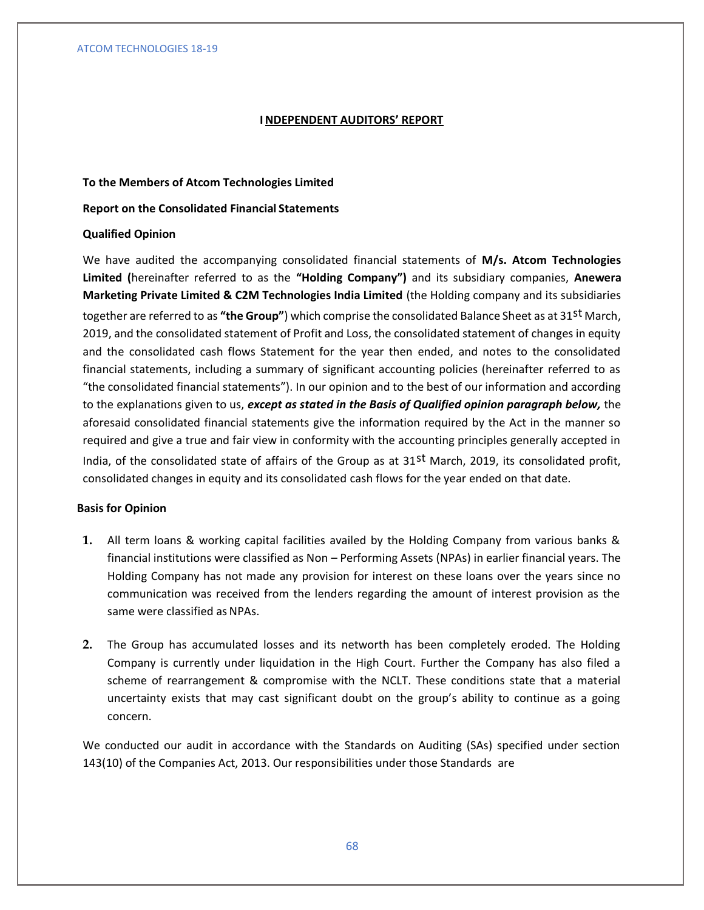### **INDEPENDENT AUDITORS' REPORT**

### **To the Members of Atcom Technologies Limited**

### **Report on the Consolidated Financial Statements**

### **Qualified Opinion**

We have audited the accompanying consolidated financial statements of **M/s. Atcom Technologies Limited (**hereinafter referred to as the **"Holding Company")** and its subsidiary companies, **Anewera Marketing Private Limited & C2M Technologies India Limited** (the Holding company and its subsidiaries together are referred to as **"the Group"**) which comprise the consolidated Balance Sheet as at 31st March, 2019, and the consolidated statement of Profit and Loss, the consolidated statement of changes in equity and the consolidated cash flows Statement for the year then ended, and notes to the consolidated financial statements, including a summary of significant accounting policies (hereinafter referred to as "the consolidated financial statements"). In our opinion and to the best of our information and according to the explanations given to us, *except as stated in the Basis of Qualified opinion paragraph below,* the aforesaid consolidated financial statements give the information required by the Act in the manner so required and give a true and fair view in conformity with the accounting principles generally accepted in India, of the consolidated state of affairs of the Group as at  $31<sup>st</sup>$  March, 2019, its consolidated profit, consolidated changes in equity and its consolidated cash flows for the year ended on that date.

### **Basis for Opinion**

- **1.** All term loans & working capital facilities availed by the Holding Company from various banks & financial institutions were classified as Non – Performing Assets (NPAs) in earlier financial years. The Holding Company has not made any provision for interest on these loans over the years since no communication was received from the lenders regarding the amount of interest provision as the same were classified as NPAs.
- **2.** The Group has accumulated losses and its networth has been completely eroded. The Holding Company is currently under liquidation in the High Court. Further the Company has also filed a scheme of rearrangement & compromise with the NCLT. These conditions state that a material uncertainty exists that may cast significant doubt on the group's ability to continue as a going concern.

We conducted our audit in accordance with the Standards on Auditing (SAs) specified under section 143(10) of the Companies Act, 2013. Our responsibilities under those Standards are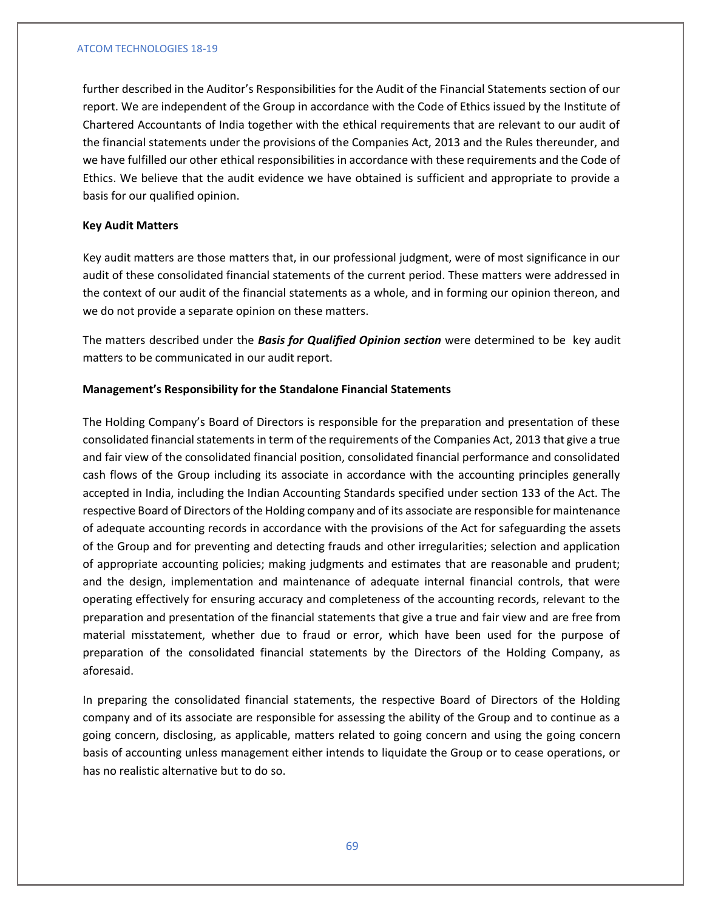further described in the Auditor's Responsibilities for the Audit of the Financial Statements section of our report. We are independent of the Group in accordance with the Code of Ethics issued by the Institute of Chartered Accountants of India together with the ethical requirements that are relevant to our audit of the financial statements under the provisions of the Companies Act, 2013 and the Rules thereunder, and we have fulfilled our other ethical responsibilities in accordance with these requirements and the Code of Ethics. We believe that the audit evidence we have obtained is sufficient and appropriate to provide a basis for our qualified opinion.

# **Key Audit Matters**

Key audit matters are those matters that, in our professional judgment, were of most significance in our audit of these consolidated financial statements of the current period. These matters were addressed in the context of our audit of the financial statements as a whole, and in forming our opinion thereon, and we do not provide a separate opinion on these matters.

The matters described under the *Basis for Qualified Opinion section* were determined to be key audit matters to be communicated in our audit report.

# **Management's Responsibility for the Standalone Financial Statements**

The Holding Company's Board of Directors is responsible for the preparation and presentation of these consolidated financial statements in term of the requirements of the Companies Act, 2013 that give a true and fair view of the consolidated financial position, consolidated financial performance and consolidated cash flows of the Group including its associate in accordance with the accounting principles generally accepted in India, including the Indian Accounting Standards specified under section 133 of the Act. The respective Board of Directors of the Holding company and of its associate are responsible for maintenance of adequate accounting records in accordance with the provisions of the Act for safeguarding the assets of the Group and for preventing and detecting frauds and other irregularities; selection and application of appropriate accounting policies; making judgments and estimates that are reasonable and prudent; and the design, implementation and maintenance of adequate internal financial controls, that were operating effectively for ensuring accuracy and completeness of the accounting records, relevant to the preparation and presentation of the financial statements that give a true and fair view and are free from material misstatement, whether due to fraud or error, which have been used for the purpose of preparation of the consolidated financial statements by the Directors of the Holding Company, as aforesaid.

In preparing the consolidated financial statements, the respective Board of Directors of the Holding company and of its associate are responsible for assessing the ability of the Group and to continue as a going concern, disclosing, as applicable, matters related to going concern and using the going concern basis of accounting unless management either intends to liquidate the Group or to cease operations, or has no realistic alternative but to do so.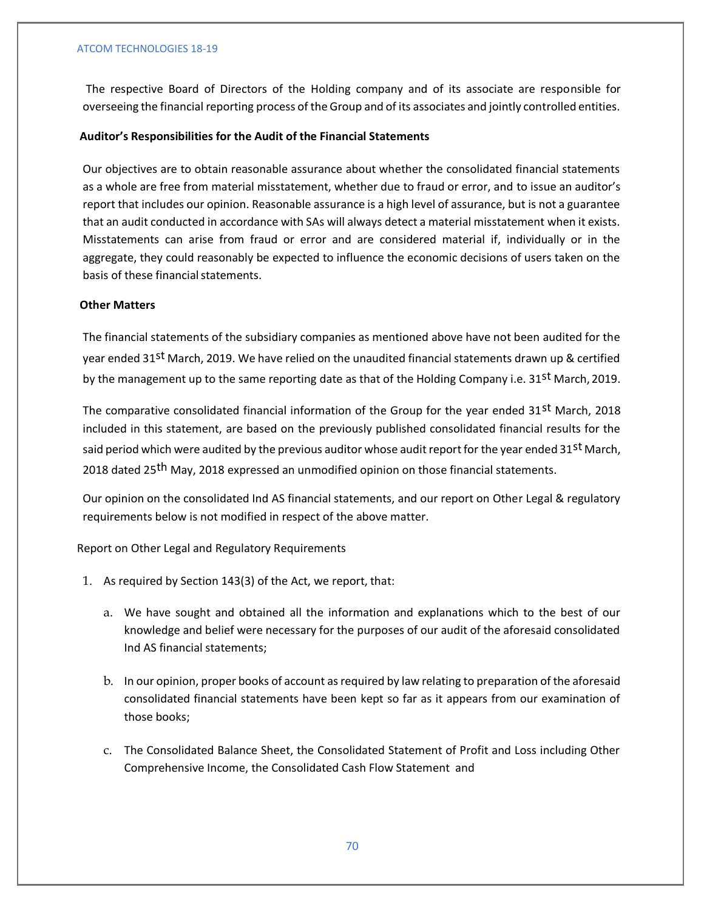The respective Board of Directors of the Holding company and of its associate are responsible for overseeing the financial reporting process of the Group and of its associates and jointly controlled entities.

# **Auditor's Responsibilities for the Audit of the Financial Statements**

Our objectives are to obtain reasonable assurance about whether the consolidated financial statements as a whole are free from material misstatement, whether due to fraud or error, and to issue an auditor's report that includes our opinion. Reasonable assurance is a high level of assurance, but is not a guarantee that an audit conducted in accordance with SAs will always detect a material misstatement when it exists. Misstatements can arise from fraud or error and are considered material if, individually or in the aggregate, they could reasonably be expected to influence the economic decisions of users taken on the basis of these financial statements.

# **Other Matters**

The financial statements of the subsidiary companies as mentioned above have not been audited for the year ended 31<sup>st</sup> March, 2019. We have relied on the unaudited financial statements drawn up & certified by the management up to the same reporting date as that of the Holding Company i.e. 31st March, 2019.

The comparative consolidated financial information of the Group for the year ended 31st March, 2018 included in this statement, are based on the previously published consolidated financial results for the said period which were audited by the previous auditor whose audit report for the year ended 31<sup>st</sup> March, 2018 dated 25<sup>th</sup> May, 2018 expressed an unmodified opinion on those financial statements.

Our opinion on the consolidated Ind AS financial statements, and our report on Other Legal & regulatory requirements below is not modified in respect of the above matter.

Report on Other Legal and Regulatory Requirements

- 1. As required by Section 143(3) of the Act, we report, that:
	- a. We have sought and obtained all the information and explanations which to the best of our knowledge and belief were necessary for the purposes of our audit of the aforesaid consolidated Ind AS financial statements;
	- b. In our opinion, proper books of account as required by law relating to preparation of the aforesaid consolidated financial statements have been kept so far as it appears from our examination of those books;
	- c. The Consolidated Balance Sheet, the Consolidated Statement of Profit and Loss including Other Comprehensive Income, the Consolidated Cash Flow Statement and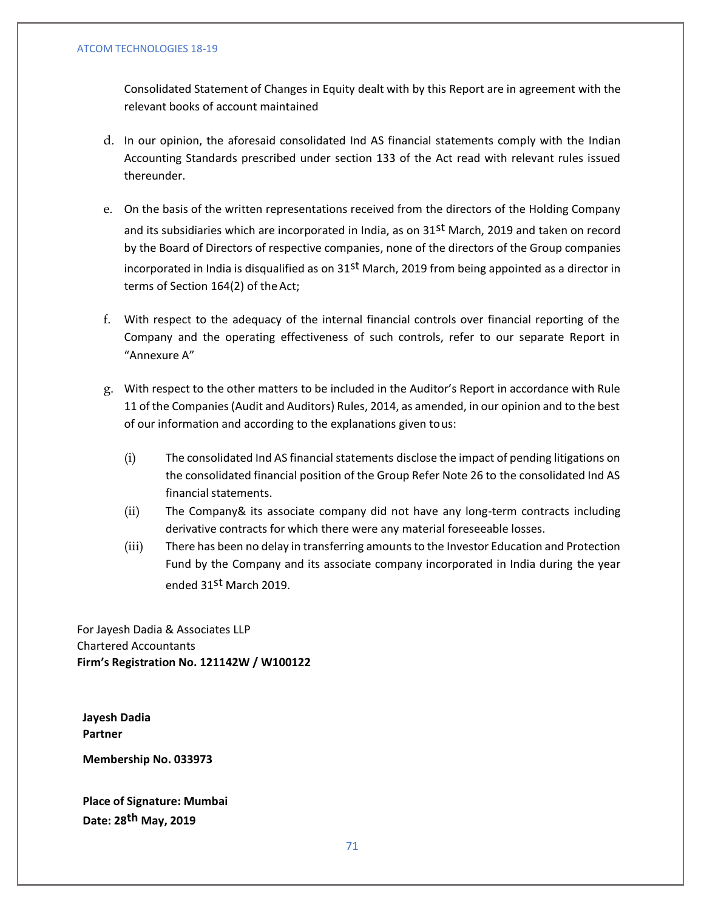Consolidated Statement of Changes in Equity dealt with by this Report are in agreement with the relevant books of account maintained

- d. In our opinion, the aforesaid consolidated Ind AS financial statements comply with the Indian Accounting Standards prescribed under section 133 of the Act read with relevant rules issued thereunder.
- e. On the basis of the written representations received from the directors of the Holding Company and its subsidiaries which are incorporated in India, as on 31<sup>st</sup> March, 2019 and taken on record by the Board of Directors of respective companies, none of the directors of the Group companies incorporated in India is disqualified as on 31<sup>st</sup> March, 2019 from being appointed as a director in terms of Section 164(2) of theAct;
- f. With respect to the adequacy of the internal financial controls over financial reporting of the Company and the operating effectiveness of such controls, refer to our separate Report in "Annexure A"
- g. With respect to the other matters to be included in the Auditor's Report in accordance with Rule 11 of the Companies (Audit and Auditors) Rules, 2014, as amended, in our opinion and to the best of our information and according to the explanations given tous:
	- (i) The consolidated Ind AS financial statements disclose the impact of pending litigations on the consolidated financial position of the Group Refer Note 26 to the consolidated Ind AS financial statements.
	- (ii) The Company& its associate company did not have any long-term contracts including derivative contracts for which there were any material foreseeable losses.
	- (iii) There has been no delay in transferring amounts to the Investor Education and Protection Fund by the Company and its associate company incorporated in India during the year ended 31st March 2019.

For Jayesh Dadia & Associates LLP Chartered Accountants **Firm's Registration No. 121142W / W100122**

**Jayesh Dadia Partner**

**Membership No. 033973**

**Place of Signature: Mumbai Date: 28th May, 2019**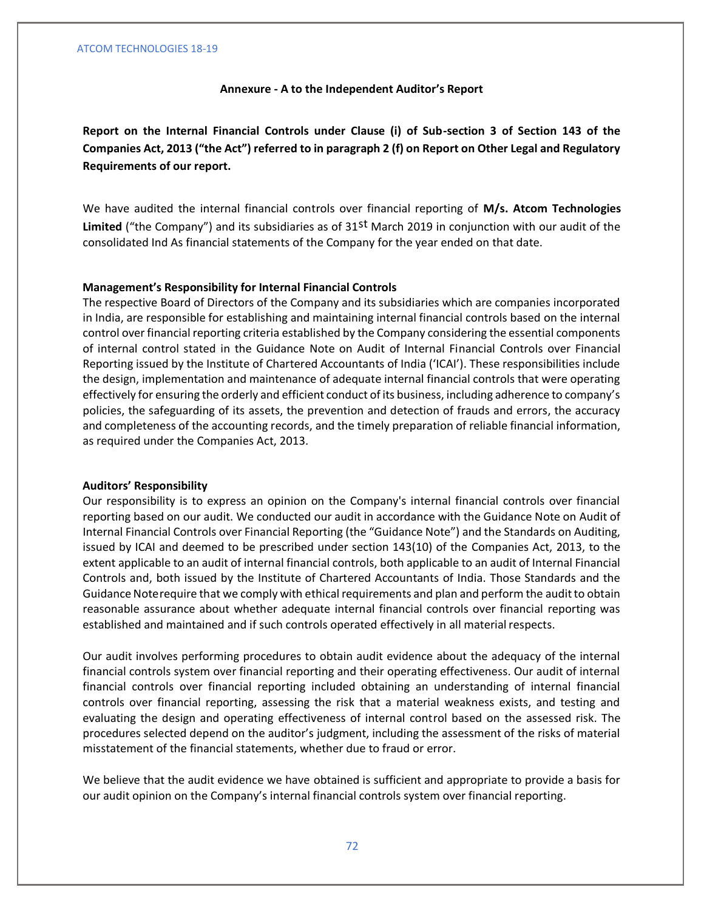### **Annexure - A to the Independent Auditor's Report**

**Report on the Internal Financial Controls under Clause (i) of Sub-section 3 of Section 143 of the Companies Act, 2013 ("the Act") referred to in paragraph 2 (f) on Report on Other Legal and Regulatory Requirements of our report.**

We have audited the internal financial controls over financial reporting of **M/s. Atcom Technologies Limited** ("the Company") and its subsidiaries as of 31st March 2019 in conjunction with our audit of the consolidated Ind As financial statements of the Company for the year ended on that date.

### **Management's Responsibility for Internal Financial Controls**

The respective Board of Directors of the Company and its subsidiaries which are companies incorporated in India, are responsible for establishing and maintaining internal financial controls based on the internal control over financial reporting criteria established by the Company considering the essential components of internal control stated in the Guidance Note on Audit of Internal Financial Controls over Financial Reporting issued by the Institute of Chartered Accountants of India ('ICAI'). These responsibilities include the design, implementation and maintenance of adequate internal financial controls that were operating effectively for ensuring the orderly and efficient conduct of its business, including adherence to company's policies, the safeguarding of its assets, the prevention and detection of frauds and errors, the accuracy and completeness of the accounting records, and the timely preparation of reliable financial information, as required under the Companies Act, 2013.

### **Auditors' Responsibility**

Our responsibility is to express an opinion on the Company's internal financial controls over financial reporting based on our audit. We conducted our audit in accordance with the Guidance Note on Audit of Internal Financial Controls over Financial Reporting (the "Guidance Note") and the Standards on Auditing, issued by ICAI and deemed to be prescribed under section 143(10) of the Companies Act, 2013, to the extent applicable to an audit of internal financial controls, both applicable to an audit of Internal Financial Controls and, both issued by the Institute of Chartered Accountants of India. Those Standards and the Guidance Noterequire that we comply with ethical requirements and plan and perform the audit to obtain reasonable assurance about whether adequate internal financial controls over financial reporting was established and maintained and if such controls operated effectively in all material respects.

Our audit involves performing procedures to obtain audit evidence about the adequacy of the internal financial controls system over financial reporting and their operating effectiveness. Our audit of internal financial controls over financial reporting included obtaining an understanding of internal financial controls over financial reporting, assessing the risk that a material weakness exists, and testing and evaluating the design and operating effectiveness of internal control based on the assessed risk. The procedures selected depend on the auditor's judgment, including the assessment of the risks of material misstatement of the financial statements, whether due to fraud or error.

We believe that the audit evidence we have obtained is sufficient and appropriate to provide a basis for our audit opinion on the Company's internal financial controls system over financial reporting.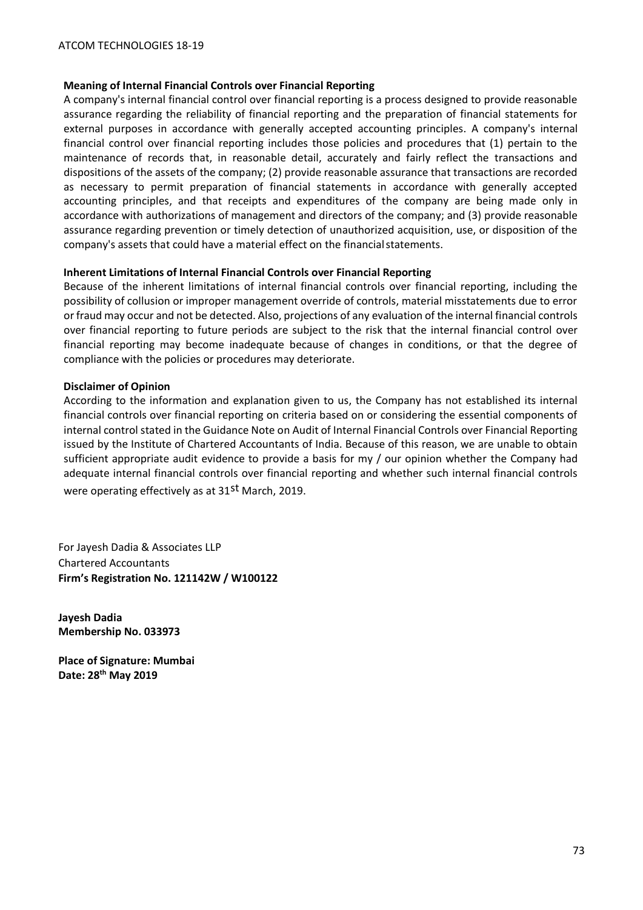# **Meaning of Internal Financial Controls over Financial Reporting**

A company's internal financial control over financial reporting is a process designed to provide reasonable assurance regarding the reliability of financial reporting and the preparation of financial statements for external purposes in accordance with generally accepted accounting principles. A company's internal financial control over financial reporting includes those policies and procedures that (1) pertain to the maintenance of records that, in reasonable detail, accurately and fairly reflect the transactions and dispositions of the assets of the company; (2) provide reasonable assurance that transactions are recorded as necessary to permit preparation of financial statements in accordance with generally accepted accounting principles, and that receipts and expenditures of the company are being made only in accordance with authorizations of management and directors of the company; and (3) provide reasonable assurance regarding prevention or timely detection of unauthorized acquisition, use, or disposition of the company's assets that could have a material effect on the financial statements.

# **Inherent Limitations of Internal Financial Controls over Financial Reporting**

Because of the inherent limitations of internal financial controls over financial reporting, including the possibility of collusion or improper management override of controls, material misstatements due to error or fraud may occur and not be detected. Also, projections of any evaluation of the internal financial controls over financial reporting to future periods are subject to the risk that the internal financial control over financial reporting may become inadequate because of changes in conditions, or that the degree of compliance with the policies or procedures may deteriorate.

# **Disclaimer of Opinion**

According to the information and explanation given to us, the Company has not established its internal financial controls over financial reporting on criteria based on or considering the essential components of internal control stated in the Guidance Note on Audit of Internal Financial Controls over Financial Reporting issued by the Institute of Chartered Accountants of India. Because of this reason, we are unable to obtain sufficient appropriate audit evidence to provide a basis for my / our opinion whether the Company had adequate internal financial controls over financial reporting and whether such internal financial controls were operating effectively as at 31<sup>st</sup> March, 2019.

For Jayesh Dadia & Associates LLP Chartered Accountants **Firm's Registration No. 121142W / W100122**

**Jayesh Dadia Membership No. 033973**

**Place of Signature: Mumbai Date: 28th May 2019**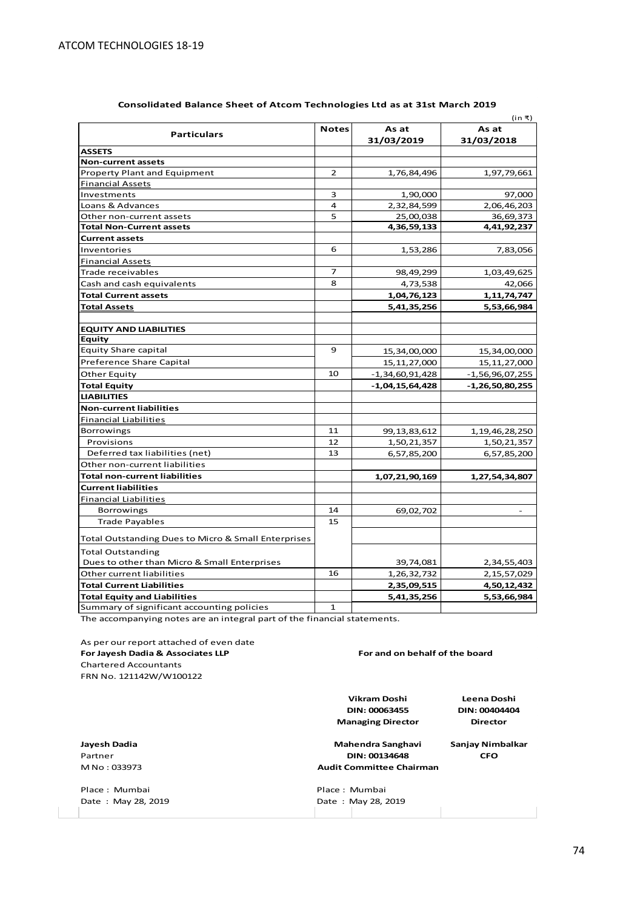|                                                     |                |                     | (in ₹)                   |
|-----------------------------------------------------|----------------|---------------------|--------------------------|
| <b>Particulars</b>                                  | <b>Notes</b>   | As at<br>31/03/2019 | As at<br>31/03/2018      |
| <b>ASSETS</b>                                       |                |                     |                          |
| <b>Non-current assets</b>                           |                |                     |                          |
| <b>Property Plant and Equipment</b>                 | $\overline{2}$ | 1,76,84,496         | 1,97,79,661              |
| <b>Financial Assets</b>                             |                |                     |                          |
| Investments                                         | 3              | 1,90,000            | 97,000                   |
| Loans & Advances                                    | 4              | 2,32,84,599         | 2,06,46,203              |
| Other non-current assets                            | 5              | 25,00,038           | 36,69,373                |
| <b>Total Non-Current assets</b>                     |                | 4,36,59,133         | 4,41,92,237              |
| <b>Current assets</b>                               |                |                     |                          |
| Inventories                                         | 6              | 1,53,286            | 7,83,056                 |
| <b>Financial Assets</b>                             |                |                     |                          |
| Trade receivables                                   | $\overline{7}$ | 98,49,299           | 1,03,49,625              |
| Cash and cash equivalents                           | 8              | 4,73,538            | 42,066                   |
| <b>Total Current assets</b>                         |                | 1,04,76,123         | 1, 11, 74, 747           |
| <b>Total Assets</b>                                 |                | 5,41,35,256         | 5,53,66,984              |
|                                                     |                |                     |                          |
| <b>EQUITY AND LIABILITIES</b>                       |                |                     |                          |
| Equity                                              |                |                     |                          |
| <b>Equity Share capital</b>                         | 9              | 15,34,00,000        | 15,34,00,000             |
| Preference Share Capital                            |                | 15, 11, 27, 000     | 15, 11, 27, 000          |
| Other Equity                                        | 10             | $-1,34,60,91,428$   | $-1,56,96,07,255$        |
| Total Equity                                        |                | $-1,04,15,64,428$   | $-1,26,50,80,255$        |
| <b>LIABILITIES</b>                                  |                |                     |                          |
| <b>Non-current liabilities</b>                      |                |                     |                          |
| <b>Financial Liabilities</b>                        |                |                     |                          |
| <b>Borrowings</b>                                   | 11             | 99, 13, 83, 612     | 1, 19, 46, 28, 250       |
| Provisions                                          | 12             | 1,50,21,357         | 1,50,21,357              |
| Deferred tax liabilities (net)                      | 13             | 6,57,85,200         | 6,57,85,200              |
| Other non-current liabilities                       |                |                     |                          |
| <b>Total non-current liabilities</b>                |                | 1,07,21,90,169      | 1,27,54,34,807           |
| <b>Current liabilities</b>                          |                |                     |                          |
| Financial Liabilities                               |                |                     |                          |
| Borrowings                                          | 14             | 69,02,702           | $\overline{\phantom{a}}$ |
| <b>Trade Payables</b>                               | 15             |                     |                          |
|                                                     |                |                     |                          |
| Total Outstanding Dues to Micro & Small Enterprises |                |                     |                          |
| <b>Total Outstanding</b>                            |                |                     |                          |
| Dues to other than Micro & Small Enterprises        |                | 39,74,081           | 2,34,55,403              |
| Other current liabilities                           | 16             | 1, 26, 32, 732      | 2, 15, 57, 029           |
| <b>Total Current Liabilities</b>                    |                | 2,35,09,515         | 4,50,12,432              |
| <b>Total Equity and Liabilities</b>                 |                | 5,41,35,256         | 5,53,66,984              |
| Summary of significant accounting policies          | $\mathbf{1}$   |                     |                          |

## **Consolidated Balance Sheet of Atcom Technologies Ltd as at 31st March 2019**

The accompanying notes are an integral part of the financial statements.

As per our report attached of even date **For Jayesh Dadia & Associates LLP** Chartered Accountants FRN No. 121142W/W100122 **Leena Doshi DIN: 00404404 Director Jayesh Dadia Sanjay Nimbalkar Mahendra Sanghavi** Partner **CFO DIN: 00134648** M No : 033973 Place : Mumbai **Place : Mumbai Place : Mumbai Place : Mumbai** Place : Mumbai Place : May 28, 2019 Date: May 28, 2019 **DIN: 00063455 Managing Director Audit Committee Chairman For and on behalf of the board Vikram Doshi**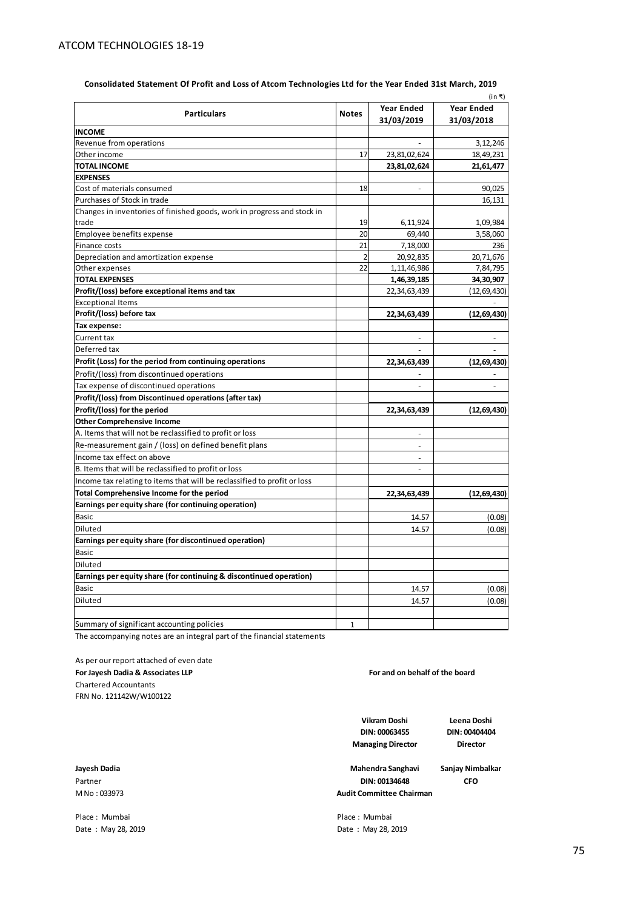| (in ₹)                                                                   |                |                                 |                                 |  |
|--------------------------------------------------------------------------|----------------|---------------------------------|---------------------------------|--|
| <b>Particulars</b>                                                       | <b>Notes</b>   | <b>Year Ended</b><br>31/03/2019 | <b>Year Ended</b><br>31/03/2018 |  |
| <b>INCOME</b>                                                            |                |                                 |                                 |  |
| Revenue from operations                                                  |                |                                 | 3,12,246                        |  |
| Other income                                                             | 17             | 23,81,02,624                    | 18,49,231                       |  |
| <b>TOTAL INCOME</b>                                                      |                | 23,81,02,624                    | 21,61,477                       |  |
| <b>EXPENSES</b>                                                          |                |                                 |                                 |  |
| Cost of materials consumed                                               | 18             | ÷,                              | 90,025                          |  |
| Purchases of Stock in trade                                              |                |                                 | 16,131                          |  |
| Changes in inventories of finished goods, work in progress and stock in  |                |                                 |                                 |  |
| trade                                                                    | 19             | 6,11,924                        | 1,09,984                        |  |
| Employee benefits expense                                                | 20             | 69,440                          | 3,58,060                        |  |
| Finance costs                                                            | 21             | 7,18,000                        | 236                             |  |
| Depreciation and amortization expense                                    | $\overline{2}$ | 20,92,835                       | 20,71,676                       |  |
| Other expenses                                                           | 22             | 1,11,46,986                     | 7,84,795                        |  |
| TOTAL EXPENSES                                                           |                | 1,46,39,185                     | 34,30,907                       |  |
| Profit/(loss) before exceptional items and tax                           |                | 22,34,63,439                    | (12, 69, 430)                   |  |
| <b>Exceptional Items</b>                                                 |                |                                 |                                 |  |
| Profit/(loss) before tax                                                 |                | 22,34,63,439                    | (12, 69, 430)                   |  |
| Tax expense:                                                             |                |                                 |                                 |  |
| Current tax                                                              |                |                                 |                                 |  |
| Deferred tax                                                             |                |                                 |                                 |  |
| Profit (Loss) for the period from continuing operations                  |                | 22,34,63,439                    | (12, 69, 430)                   |  |
| Profit/(loss) from discontinued operations                               |                |                                 |                                 |  |
| Tax expense of discontinued operations                                   |                |                                 | $\overline{a}$                  |  |
| Profit/(loss) from Discontinued operations (after tax)                   |                |                                 |                                 |  |
| Profit/(loss) for the period                                             |                | 22,34,63,439                    | (12, 69, 430)                   |  |
| <b>Other Comprehensive Income</b>                                        |                |                                 |                                 |  |
| A. Items that will not be reclassified to profit or loss                 |                | $\overline{\phantom{a}}$        |                                 |  |
| Re-measurement gain / (loss) on defined benefit plans                    |                |                                 |                                 |  |
| Income tax effect on above                                               |                | $\overline{a}$                  |                                 |  |
| B. Items that will be reclassified to profit or loss                     |                | $\overline{a}$                  |                                 |  |
| Income tax relating to items that will be reclassified to profit or loss |                |                                 |                                 |  |
| Total Comprehensive Income for the period                                |                | 22,34,63,439                    | (12, 69, 430)                   |  |
| Earnings per equity share (for continuing operation)                     |                |                                 |                                 |  |
| <b>Basic</b>                                                             |                | 14.57                           | (0.08)                          |  |
| Diluted                                                                  |                | 14.57                           | (0.08)                          |  |
| Earnings per equity share (for discontinued operation)                   |                |                                 |                                 |  |
| <b>Basic</b>                                                             |                |                                 |                                 |  |
| Diluted                                                                  |                |                                 |                                 |  |
| Earnings per equity share (for continuing & discontinued operation)      |                |                                 |                                 |  |
| Basic                                                                    |                | 14.57                           | (0.08)                          |  |
| Diluted                                                                  |                | 14.57                           | (0.08)                          |  |
|                                                                          |                |                                 |                                 |  |
| Summary of significant accounting policies                               | 1              |                                 |                                 |  |

**Consolidated Statement Of Profit and Loss of Atcom Technologies Ltd for the Year Ended 31st March, 2019**

The accompanying notes are an integral part of the financial statements

As per our report attached of even date **For Jayesh Dadia & Associates LLP** Chartered Accountants FRN No. 121142W/W100122

**For and on behalf of the board**

**Vikram Doshi DIN: 00063455 Managing Director**

**Leena Doshi DIN: 00404404 Director**

**Jayesh Dadia Sanjay Nimbalkar Mahendra Sanghavi**Partner **CFO DIN: 00134648 Audit Committee Chairman**

M No : 033973

Place : Mumbai **Place** : Mumbai Date : May 28, 2019 Date : May 28, 2019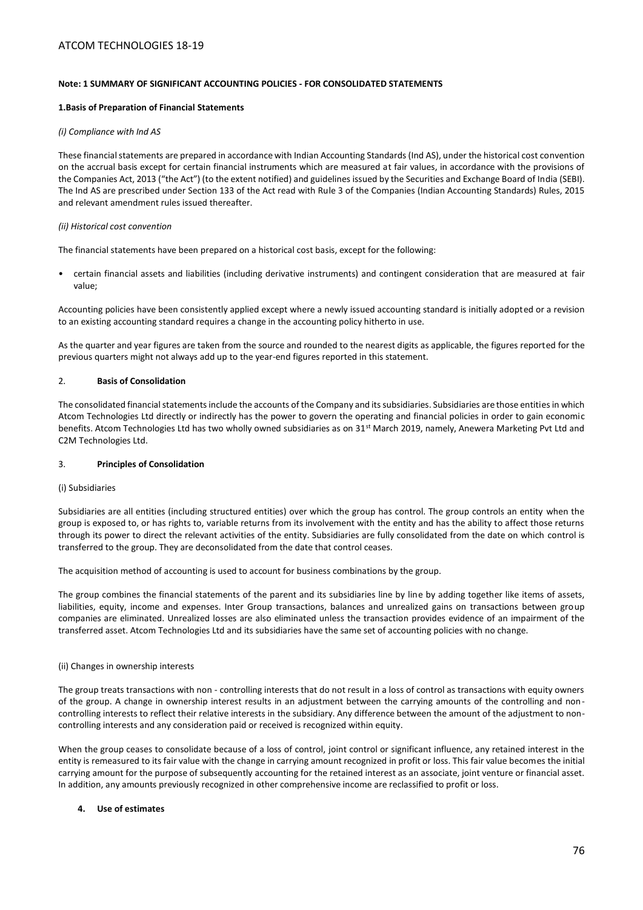# **Note: 1 SUMMARY OF SIGNIFICANT ACCOUNTING POLICIES - FOR CONSOLIDATED STATEMENTS**

## **1.Basis of Preparation of Financial Statements**

## *(i) Compliance with Ind AS*

These financial statements are prepared in accordance with Indian Accounting Standards (Ind AS), under the historical cost convention on the accrual basis except for certain financial instruments which are measured at fair values, in accordance with the provisions of the Companies Act, 2013 ("the Act") (to the extent notified) and guidelines issued by the Securities and Exchange Board of India (SEBI). The Ind AS are prescribed under Section 133 of the Act read with Rule 3 of the Companies (Indian Accounting Standards) Rules, 2015 and relevant amendment rules issued thereafter.

## *(ii) Historical cost convention*

The financial statements have been prepared on a historical cost basis, except for the following:

• certain financial assets and liabilities (including derivative instruments) and contingent consideration that are measured at fair value;

Accounting policies have been consistently applied except where a newly issued accounting standard is initially adopted or a revision to an existing accounting standard requires a change in the accounting policy hitherto in use.

As the quarter and year figures are taken from the source and rounded to the nearest digits as applicable, the figures reported for the previous quarters might not always add up to the year-end figures reported in this statement.

## 2. **Basis of Consolidation**

The consolidated financial statements include the accounts of the Company and its subsidiaries. Subsidiaries are those entities in which Atcom Technologies Ltd directly or indirectly has the power to govern the operating and financial policies in order to gain economic benefits. Atcom Technologies Ltd has two wholly owned subsidiaries as on 31<sup>st</sup> March 2019, namely, Anewera Marketing Pvt Ltd and C2M Technologies Ltd.

## 3. **Principles of Consolidation**

#### (i) Subsidiaries

Subsidiaries are all entities (including structured entities) over which the group has control. The group controls an entity when the group is exposed to, or has rights to, variable returns from its involvement with the entity and has the ability to affect those returns through its power to direct the relevant activities of the entity. Subsidiaries are fully consolidated from the date on which control is transferred to the group. They are deconsolidated from the date that control ceases.

The acquisition method of accounting is used to account for business combinations by the group.

The group combines the financial statements of the parent and its subsidiaries line by line by adding together like items of assets, liabilities, equity, income and expenses. Inter Group transactions, balances and unrealized gains on transactions between group companies are eliminated. Unrealized losses are also eliminated unless the transaction provides evidence of an impairment of the transferred asset. Atcom Technologies Ltd and its subsidiaries have the same set of accounting policies with no change.

## (ii) Changes in ownership interests

The group treats transactions with non - controlling interests that do not result in a loss of control as transactions with equity owners of the group. A change in ownership interest results in an adjustment between the carrying amounts of the controlling and noncontrolling interests to reflect their relative interests in the subsidiary. Any difference between the amount of the adjustment to noncontrolling interests and any consideration paid or received is recognized within equity.

When the group ceases to consolidate because of a loss of control, joint control or significant influence, any retained interest in the entity is remeasured to its fair value with the change in carrying amount recognized in profit or loss. This fair value becomes the initial carrying amount for the purpose of subsequently accounting for the retained interest as an associate, joint venture or financial asset. In addition, any amounts previously recognized in other comprehensive income are reclassified to profit or loss.

## **4. Use of estimates**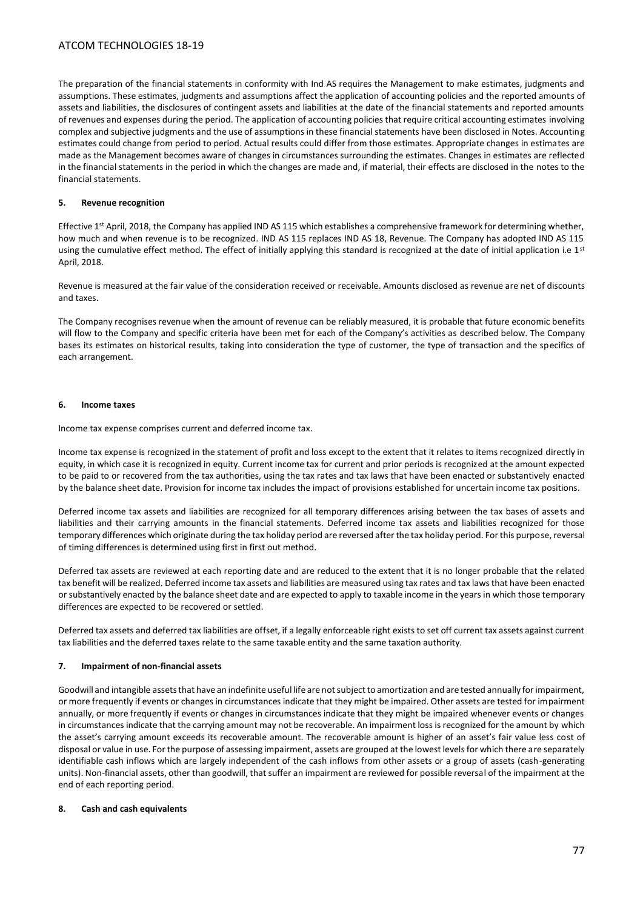The preparation of the financial statements in conformity with Ind AS requires the Management to make estimates, judgments and assumptions. These estimates, judgments and assumptions affect the application of accounting policies and the reported amounts of assets and liabilities, the disclosures of contingent assets and liabilities at the date of the financial statements and reported amounts of revenues and expenses during the period. The application of accounting policies that require critical accounting estimates involving complex and subjective judgments and the use of assumptions in these financial statements have been disclosed in Notes. Accounting estimates could change from period to period. Actual results could differ from those estimates. Appropriate changes in estimates are made as the Management becomes aware of changes in circumstances surrounding the estimates. Changes in estimates are reflected in the financial statements in the period in which the changes are made and, if material, their effects are disclosed in the notes to the financial statements.

## **5. Revenue recognition**

Effective  $1^{st}$  April, 2018, the Company has applied IND AS 115 which establishes a comprehensive framework for determining whether, how much and when revenue is to be recognized. IND AS 115 replaces IND AS 18, Revenue. The Company has adopted IND AS 115 using the cumulative effect method. The effect of initially applying this standard is recognized at the date of initial application i.e  $1^{st}$ April, 2018.

Revenue is measured at the fair value of the consideration received or receivable. Amounts disclosed as revenue are net of discounts and taxes.

The Company recognises revenue when the amount of revenue can be reliably measured, it is probable that future economic benefits will flow to the Company and specific criteria have been met for each of the Company's activities as described below. The Company bases its estimates on historical results, taking into consideration the type of customer, the type of transaction and the specifics of each arrangement.

## **6. Income taxes**

Income tax expense comprises current and deferred income tax.

Income tax expense is recognized in the statement of profit and loss except to the extent that it relates to items recognized directly in equity, in which case it is recognized in equity. Current income tax for current and prior periods is recognized at the amount expected to be paid to or recovered from the tax authorities, using the tax rates and tax laws that have been enacted or substantively enacted by the balance sheet date. Provision for income tax includes the impact of provisions established for uncertain income tax positions.

Deferred income tax assets and liabilities are recognized for all temporary differences arising between the tax bases of assets and liabilities and their carrying amounts in the financial statements. Deferred income tax assets and liabilities recognized for those temporary differences which originate during the tax holiday period are reversed after the tax holiday period. For this purpose, reversal of timing differences is determined using first in first out method.

Deferred tax assets are reviewed at each reporting date and are reduced to the extent that it is no longer probable that the related tax benefit will be realized. Deferred income tax assets and liabilities are measured using tax rates and tax laws that have been enacted or substantively enacted by the balance sheet date and are expected to apply to taxable income in the years in which those temporary differences are expected to be recovered or settled.

Deferred tax assets and deferred tax liabilities are offset, if a legally enforceable right exists to set off current tax assets against current tax liabilities and the deferred taxes relate to the same taxable entity and the same taxation authority.

## **7. Impairment of non-financial assets**

Goodwill and intangible assets that have an indefinite useful life are not subject to amortization and are tested annually for impairment, or more frequently if events or changes in circumstances indicate that they might be impaired. Other assets are tested for impairment annually, or more frequently if events or changes in circumstances indicate that they might be impaired whenever events or changes in circumstances indicate that the carrying amount may not be recoverable. An impairment loss is recognized for the amount by which the asset's carrying amount exceeds its recoverable amount. The recoverable amount is higher of an asset's fair value less cost of disposal or value in use. For the purpose of assessing impairment, assets are grouped at the lowest levels for which there are separately identifiable cash inflows which are largely independent of the cash inflows from other assets or a group of assets (cash-generating units). Non-financial assets, other than goodwill, that suffer an impairment are reviewed for possible reversal of the impairment at the end of each reporting period.

#### **8. Cash and cash equivalents**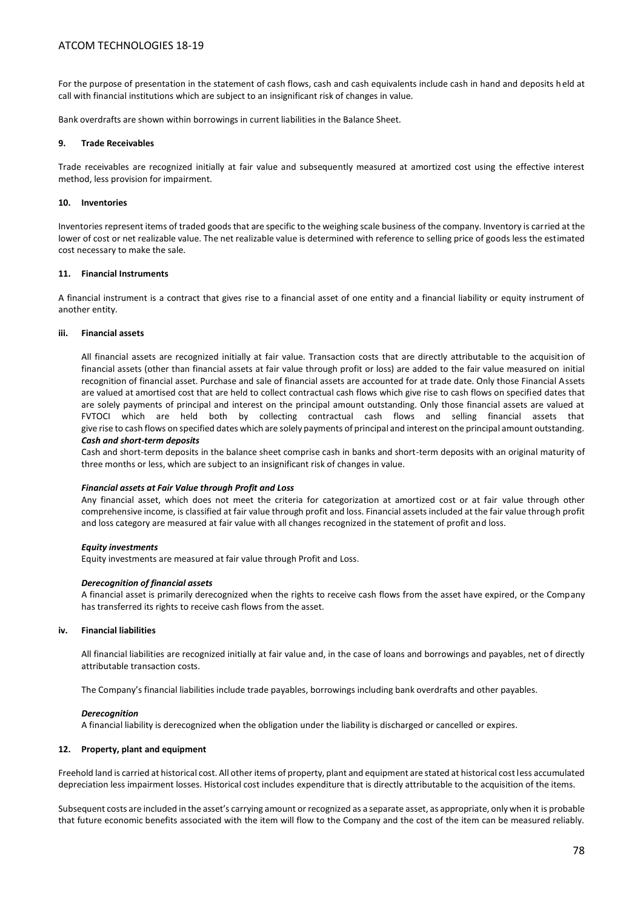For the purpose of presentation in the statement of cash flows, cash and cash equivalents include cash in hand and deposits held at call with financial institutions which are subject to an insignificant risk of changes in value.

Bank overdrafts are shown within borrowings in current liabilities in the Balance Sheet.

## **9. Trade Receivables**

Trade receivables are recognized initially at fair value and subsequently measured at amortized cost using the effective interest method, less provision for impairment.

### **10. Inventories**

Inventories represent items of traded goods that are specific to the weighing scale business of the company. Inventory is carried at the lower of cost or net realizable value. The net realizable value is determined with reference to selling price of goods less the estimated cost necessary to make the sale.

## **11. Financial Instruments**

A financial instrument is a contract that gives rise to a financial asset of one entity and a financial liability or equity instrument of another entity.

## **iii. Financial assets**

All financial assets are recognized initially at fair value. Transaction costs that are directly attributable to the acquisition of financial assets (other than financial assets at fair value through profit or loss) are added to the fair value measured on initial recognition of financial asset. Purchase and sale of financial assets are accounted for at trade date. Only those Financial Assets are valued at amortised cost that are held to collect contractual cash flows which give rise to cash flows on specified dates that are solely payments of principal and interest on the principal amount outstanding. Only those financial assets are valued at FVTOCI which are held both by collecting contractual cash flows and selling financial assets that give rise to cash flows on specified dates which are solely payments of principal and interest on the principal amount outstanding. *Cash and short-term deposits*

Cash and short-term deposits in the balance sheet comprise cash in banks and short-term deposits with an original maturity of three months or less, which are subject to an insignificant risk of changes in value.

#### *Financial assets at Fair Value through Profit and Loss*

Any financial asset, which does not meet the criteria for categorization at amortized cost or at fair value through other comprehensive income, is classified at fair value through profit and loss. Financial assets included at the fair value through profit and loss category are measured at fair value with all changes recognized in the statement of profit and loss.

## *Equity investments*

Equity investments are measured at fair value through Profit and Loss.

#### *Derecognition of financial assets*

A financial asset is primarily derecognized when the rights to receive cash flows from the asset have expired, or the Company has transferred its rights to receive cash flows from the asset.

## **iv. Financial liabilities**

All financial liabilities are recognized initially at fair value and, in the case of loans and borrowings and payables, net of directly attributable transaction costs.

The Company's financial liabilities include trade payables, borrowings including bank overdrafts and other payables.

#### *Derecognition*

A financial liability is derecognized when the obligation under the liability is discharged or cancelled or expires.

## **12. Property, plant and equipment**

Freehold land is carried at historical cost. All other items of property, plant and equipment are stated at historical cost less accumulated depreciation less impairment losses. Historical cost includes expenditure that is directly attributable to the acquisition of the items.

Subsequent costs are included in the asset's carrying amount or recognized as a separate asset, as appropriate, only when it is probable that future economic benefits associated with the item will flow to the Company and the cost of the item can be measured reliably.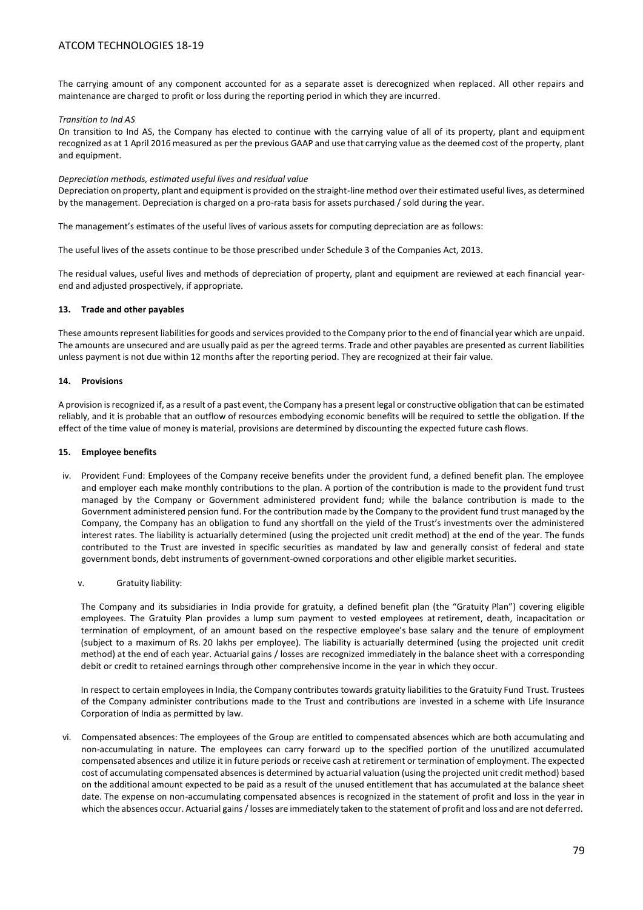The carrying amount of any component accounted for as a separate asset is derecognized when replaced. All other repairs and maintenance are charged to profit or loss during the reporting period in which they are incurred.

## *Transition to Ind AS*

On transition to Ind AS, the Company has elected to continue with the carrying value of all of its property, plant and equipment recognized as at 1 April 2016 measured as per the previous GAAP and use that carrying value as the deemed cost of the property, plant and equipment.

## *Depreciation methods, estimated useful lives and residual value*

Depreciation on property, plant and equipment is provided on the straight-line method over their estimated useful lives, as determined by the management. Depreciation is charged on a pro-rata basis for assets purchased / sold during the year.

The management's estimates of the useful lives of various assets for computing depreciation are as follows:

The useful lives of the assets continue to be those prescribed under Schedule 3 of the Companies Act, 2013.

The residual values, useful lives and methods of depreciation of property, plant and equipment are reviewed at each financial yearend and adjusted prospectively, if appropriate.

## **13. Trade and other payables**

These amounts represent liabilities for goods and services provided to the Company prior to the end of financial year which are unpaid. The amounts are unsecured and are usually paid as per the agreed terms. Trade and other payables are presented as current liabilities unless payment is not due within 12 months after the reporting period. They are recognized at their fair value.

## **14. Provisions**

A provision is recognized if, as a result of a past event, the Company has a present legal or constructive obligation that can be estimated reliably, and it is probable that an outflow of resources embodying economic benefits will be required to settle the obligation. If the effect of the time value of money is material, provisions are determined by discounting the expected future cash flows.

## **15. Employee benefits**

- iv. Provident Fund: Employees of the Company receive benefits under the provident fund, a defined benefit plan. The employee and employer each make monthly contributions to the plan. A portion of the contribution is made to the provident fund trust managed by the Company or Government administered provident fund; while the balance contribution is made to the Government administered pension fund. For the contribution made by the Company to the provident fund trust managed by the Company, the Company has an obligation to fund any shortfall on the yield of the Trust's investments over the administered interest rates. The liability is actuarially determined (using the projected unit credit method) at the end of the year. The funds contributed to the Trust are invested in specific securities as mandated by law and generally consist of federal and state government bonds, debt instruments of government-owned corporations and other eligible market securities.
	- v. Gratuity liability:

The Company and its subsidiaries in India provide for gratuity, a defined benefit plan (the "Gratuity Plan") covering eligible employees. The Gratuity Plan provides a lump sum payment to vested employees at retirement, death, incapacitation or termination of employment, of an amount based on the respective employee's base salary and the tenure of employment (subject to a maximum of Rs. 20 lakhs per employee). The liability is actuarially determined (using the projected unit credit method) at the end of each year. Actuarial gains / losses are recognized immediately in the balance sheet with a corresponding debit or credit to retained earnings through other comprehensive income in the year in which they occur.

In respect to certain employees in India, the Company contributes towards gratuity liabilities to the Gratuity Fund Trust. Trustees of the Company administer contributions made to the Trust and contributions are invested in a scheme with Life Insurance Corporation of India as permitted by law.

vi. Compensated absences: The employees of the Group are entitled to compensated absences which are both accumulating and non-accumulating in nature. The employees can carry forward up to the specified portion of the unutilized accumulated compensated absences and utilize it in future periods or receive cash at retirement or termination of employment. The expected cost of accumulating compensated absences is determined by actuarial valuation (using the projected unit credit method) based on the additional amount expected to be paid as a result of the unused entitlement that has accumulated at the balance sheet date. The expense on non-accumulating compensated absences is recognized in the statement of profit and loss in the year in which the absences occur. Actuarial gains / losses are immediately taken to the statement of profit and loss and are not deferred.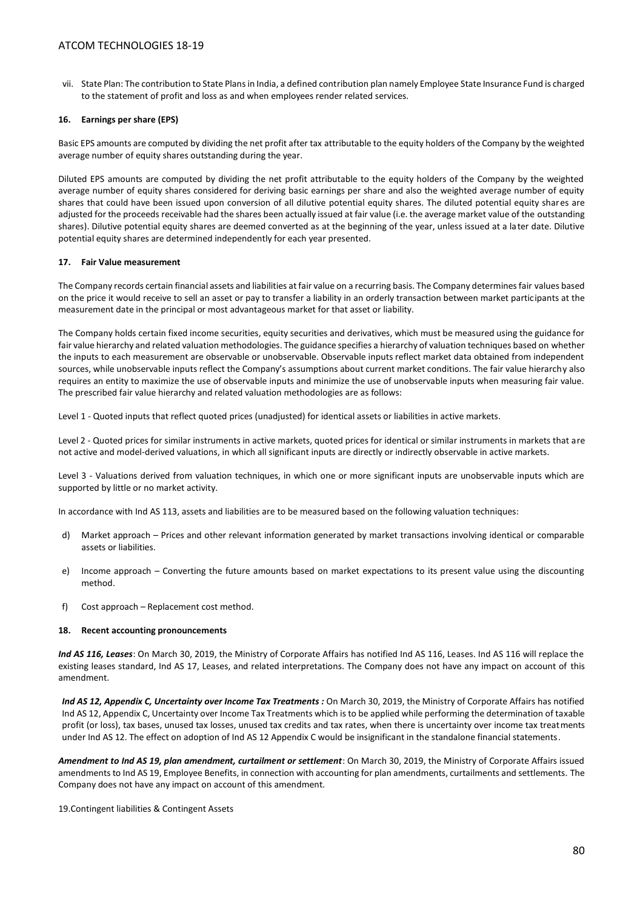vii. State Plan: The contribution to State Plans in India, a defined contribution plan namely Employee State Insurance Fund is charged to the statement of profit and loss as and when employees render related services.

### **16. Earnings per share (EPS)**

Basic EPS amounts are computed by dividing the net profit after tax attributable to the equity holders of the Company by the weighted average number of equity shares outstanding during the year.

Diluted EPS amounts are computed by dividing the net profit attributable to the equity holders of the Company by the weighted average number of equity shares considered for deriving basic earnings per share and also the weighted average number of equity shares that could have been issued upon conversion of all dilutive potential equity shares. The diluted potential equity shares are adjusted for the proceeds receivable had the shares been actually issued at fair value (i.e. the average market value of the outstanding shares). Dilutive potential equity shares are deemed converted as at the beginning of the year, unless issued at a later date. Dilutive potential equity shares are determined independently for each year presented.

## **17. Fair Value measurement**

The Company records certain financial assets and liabilities at fair value on a recurring basis. The Company determines fair values based on the price it would receive to sell an asset or pay to transfer a liability in an orderly transaction between market participants at the measurement date in the principal or most advantageous market for that asset or liability.

The Company holds certain fixed income securities, equity securities and derivatives, which must be measured using the guidance for fair value hierarchy and related valuation methodologies. The guidance specifies a hierarchy of valuation techniques based on whether the inputs to each measurement are observable or unobservable. Observable inputs reflect market data obtained from independent sources, while unobservable inputs reflect the Company's assumptions about current market conditions. The fair value hierarchy also requires an entity to maximize the use of observable inputs and minimize the use of unobservable inputs when measuring fair value. The prescribed fair value hierarchy and related valuation methodologies are as follows:

Level 1 - Quoted inputs that reflect quoted prices (unadjusted) for identical assets or liabilities in active markets.

Level 2 - Quoted prices for similar instruments in active markets, quoted prices for identical or similar instruments in markets that are not active and model-derived valuations, in which all significant inputs are directly or indirectly observable in active markets.

Level 3 - Valuations derived from valuation techniques, in which one or more significant inputs are unobservable inputs which are supported by little or no market activity.

In accordance with Ind AS 113, assets and liabilities are to be measured based on the following valuation techniques:

- d) Market approach Prices and other relevant information generated by market transactions involving identical or comparable assets or liabilities.
- e) Income approach Converting the future amounts based on market expectations to its present value using the discounting method.
- f) Cost approach Replacement cost method.

## **18. Recent accounting pronouncements**

*Ind AS 116, Leases*: On March 30, 2019, the Ministry of Corporate Affairs has notified Ind AS 116, Leases. Ind AS 116 will replace the existing leases standard, Ind AS 17, Leases, and related interpretations. The Company does not have any impact on account of this amendment.

Ind AS 12, Appendix C, Uncertainty over Income Tax Treatments : On March 30, 2019, the Ministry of Corporate Affairs has notified Ind AS 12, Appendix C, Uncertainty over Income Tax Treatments which is to be applied while performing the determination of taxable profit (or loss), tax bases, unused tax losses, unused tax credits and tax rates, when there is uncertainty over income tax treatments under Ind AS 12. The effect on adoption of Ind AS 12 Appendix C would be insignificant in the standalone financial statements.

*Amendment to Ind AS 19, plan amendment, curtailment or settlement*: On March 30, 2019, the Ministry of Corporate Affairs issued amendments to Ind AS 19, Employee Benefits, in connection with accounting for plan amendments, curtailments and settlements. The Company does not have any impact on account of this amendment.

19.Contingent liabilities & Contingent Assets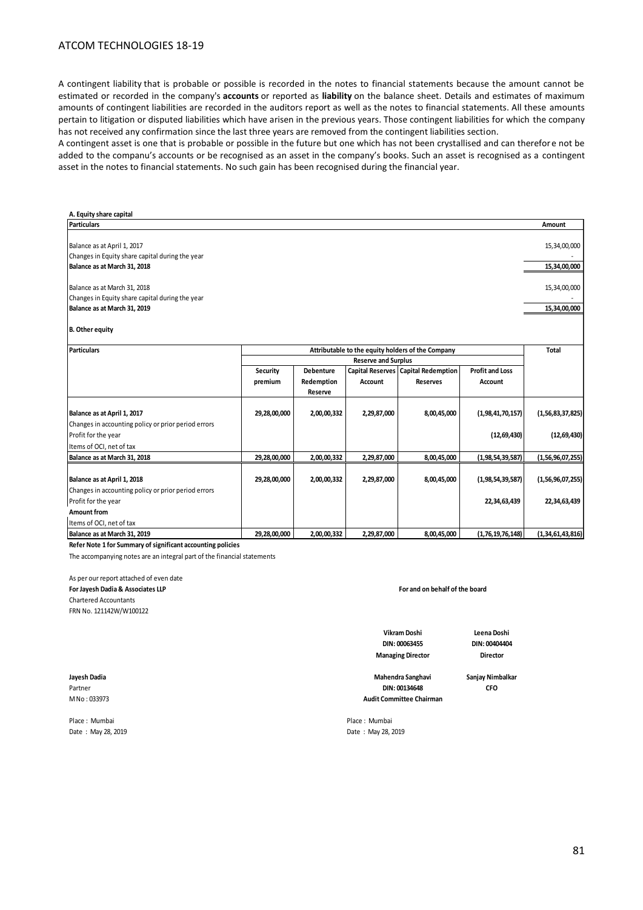A contingent liability that is probable or possible is recorded in the notes to financial statements because the amount cannot be estimated or recorded in the company's **accounts** or reported as **liability** on the balance sheet. Details and estimates of maximum amounts of contingent liabilities are recorded in the auditors report as well as the notes to financial statements. All these amounts pertain to litigation or disputed liabilities which have arisen in the previous years. Those contingent liabilities for which the company has not received any confirmation since the last three years are removed from the contingent liabilities section.

A contingent asset is one that is probable or possible in the future but one which has not been crystallised and can therefore not be added to the companu's accounts or be recognised as an asset in the company's books. Such an asset is recognised as a contingent asset in the notes to financial statements. No such gain has been recognised during the financial year.

| A. Equity share capital                                     |              |                  |                            |                                                   |                        |                  |
|-------------------------------------------------------------|--------------|------------------|----------------------------|---------------------------------------------------|------------------------|------------------|
| <b>Particulars</b>                                          |              |                  |                            |                                                   |                        | Amount           |
| Balance as at April 1, 2017                                 |              |                  |                            |                                                   |                        | 15,34,00,000     |
| Changes in Equity share capital during the year             |              |                  |                            |                                                   |                        |                  |
| Balance as at March 31, 2018                                |              |                  |                            |                                                   |                        | 15,34,00,000     |
| Balance as at March 31, 2018                                |              |                  |                            |                                                   |                        | 15,34,00,000     |
| Changes in Equity share capital during the year             |              |                  |                            |                                                   |                        |                  |
| Balance as at March 31, 2019                                |              |                  |                            |                                                   |                        | 15,34,00,000     |
| <b>B.</b> Other equity                                      |              |                  |                            |                                                   |                        |                  |
| <b>Particulars</b>                                          |              |                  |                            | Attributable to the equity holders of the Company |                        | <b>Total</b>     |
|                                                             |              |                  | <b>Reserve and Surplus</b> |                                                   |                        |                  |
|                                                             | Security     | <b>Debenture</b> |                            | Capital Reserves Capital Redemption               | <b>Profit and Loss</b> |                  |
|                                                             | premium      | Redemption       | Account                    | <b>Reserves</b>                                   | Account                |                  |
|                                                             |              | Reserve          |                            |                                                   |                        |                  |
| Balance as at April 1, 2017                                 | 29,28,00,000 | 2,00,00,332      | 2,29,87,000                | 8,00,45,000                                       | (1,98,41,70,157)       | (1,56,83,37,825) |
| Changes in accounting policy or prior period errors         |              |                  |                            |                                                   |                        |                  |
| Profit for the year                                         |              |                  |                            |                                                   | (12, 69, 430)          | (12, 69, 430)    |
| Items of OCI, net of tax                                    |              |                  |                            |                                                   |                        |                  |
| Balance as at March 31, 2018                                | 29,28,00,000 | 2,00,00,332      | 2,29,87,000                | 8,00,45,000                                       | (1,98,54,39,587)       | (1,56,96,07,255) |
| Balance as at April 1, 2018                                 | 29,28,00,000 | 2,00,00,332      | 2,29,87,000                | 8,00,45,000                                       | (1,98,54,39,587)       | (1,56,96,07,255) |
| Changes in accounting policy or prior period errors         |              |                  |                            |                                                   |                        |                  |
| Profit for the year                                         |              |                  |                            |                                                   | 22,34,63,439           | 22,34,63,439     |
| Amount from                                                 |              |                  |                            |                                                   |                        |                  |
| Items of OCI, net of tax                                    |              |                  |                            |                                                   |                        |                  |
| Balance as at March 31, 2019                                | 29,28,00,000 | 2,00,00,332      | 2,29,87,000                | 8,00,45,000                                       | (1,76,19,76,148)       | (1,34,61,43,816) |
| Refer Note 1 for Summary of significant accounting policies |              |                  |                            |                                                   |                        |                  |

The accompanying notes are an integral part of the financial statements

As per our report attached of even date **For Jayesh Dadia & Associates LLP**

Chartered Accountants

FRN No. 121142W/W100122

**For and on behalf of the board**

**DIN: 00063455 Vikram Doshi Managing Director**

**Leena Doshi DIN: 00404404 Director**

**Jayesh Dadia Sanjay Nimbalkar Mahendra Sanghavi** Partner **CFO Audit Committee Chairman DIN: 00134648**

M No : 033973

Place : Mumbai Place : Mumbai Date : May 28, 2019 Date : May 28, 2019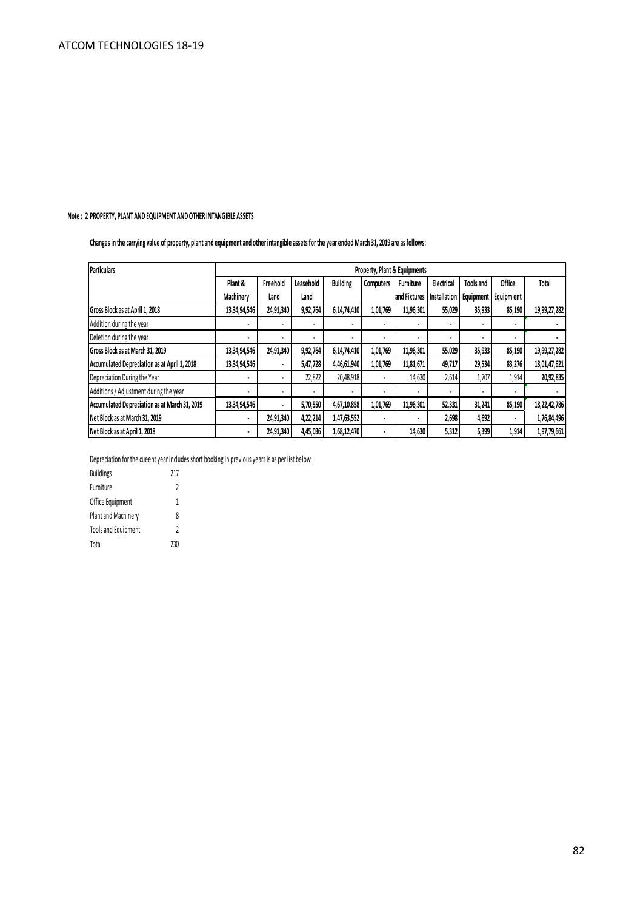# **Note : 2 PROPERTY, PLANT AND EQUIPMENT AND OTHER INTANGIBLE ASSETS**

**Changes in the carrying value of property, plant and equipment and other intangible assets for the year ended March 31, 2019 are as follows:**

| Particulars                                   | Property, Plant & Equipments |           |           |                          |           |                  |              |                  |                       |              |
|-----------------------------------------------|------------------------------|-----------|-----------|--------------------------|-----------|------------------|--------------|------------------|-----------------------|--------------|
|                                               | Plant &                      | Freehold  | Leasehold | <b>Building</b>          | Computers | <b>Furniture</b> | Electrical   | <b>Tools and</b> | <b>Office</b>         | Total        |
|                                               | Machinerv                    | Land      | Land      |                          |           | and Fixtures     | Installation |                  | Equipment   Equipment |              |
| Gross Block as at April 1, 2018               | 13,34,94,546                 | 24,91,340 | 9,92,764  | 6,14,74,410              | 1,01,769  | 11,96,301        | 55,029       | 35,933           | 85,190                | 19,99,27,282 |
| Addition during the year                      | $\blacksquare$               | ٠         | ۰         | $\overline{\phantom{a}}$ | ٠         |                  |              |                  | ٠                     |              |
| Deletion during the year                      |                              | ٠         |           |                          | ٠         |                  |              |                  |                       |              |
| Gross Block as at March 31, 2019              | 13,34,94,546                 | 24,91,340 | 9,92,764  | 6,14,74,410              | 1,01,769  | 11,96,301        | 55,029       | 35,933           | 85,190                | 19,99,27,282 |
| Accumulated Depreciation as at April 1, 2018  | 13,34,94,546                 | ٠         | 5,47,728  | 4,46,61,940              | 1,01,769  | 11,81,671        | 49,717       | 29,534           | 83,276                | 18,01,47,621 |
| Depreciation During the Year                  |                              | ٠         | 22,822    | 20,48,918                | ٠         | 14,630           | 2,614        | 1,707            | 1,914                 | 20,92,835    |
| Additions / Adjustment during the year        |                              | ٠         |           |                          | ٠         |                  |              |                  |                       |              |
| Accumulated Depreciation as at March 31, 2019 | 13,34,94,546                 | ٠         | 5,70,550  | 4,67,10,858              | 1,01,769  | 11,96,301        | 52,331       | 31,241           | 85,190                | 18,22,42,786 |
| Net Block as at March 31, 2019                | $\blacksquare$               | 24,91,340 | 4,22,214  | 1,47,63,552              | ۰         | $\blacksquare$   | 2,698        | 4,692            |                       | 1,76,84,496  |
| Net Block as at April 1, 2018                 | $\blacksquare$               | 24,91,340 | 4,45,036  | 1,68,12,470              | ٠         | 14,630           | 5,312        | 6,399            | 1,914                 | 1,97,79,661  |

Depreciation for the cueent year includes short booking in previous years is as per list below:

| <b>Buildings</b>           | 217 |
|----------------------------|-----|
| Furniture                  | 2   |
| Office Equipment           | 1   |
| Plant and Machinery        | 8   |
| <b>Tools and Equipment</b> | 2   |
| Total                      | 230 |

 $\mathcal{L}_{\text{in}}$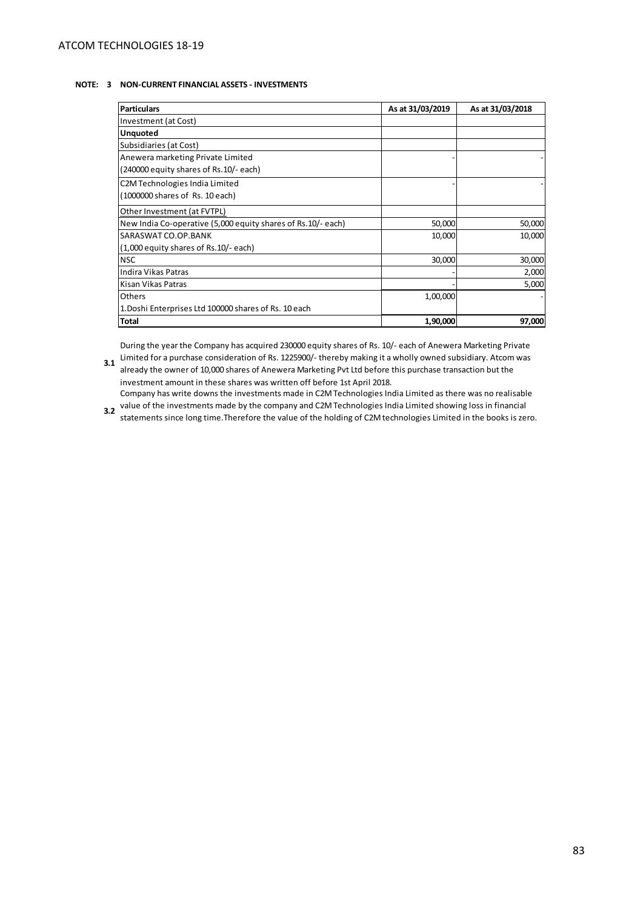## **NOTE: 3 NON-CURRENT FINANCIAL ASSETS - INVESTMENTS**

| <b>Particulars</b>                                           | As at 31/03/2019 | As at 31/03/2018 |
|--------------------------------------------------------------|------------------|------------------|
| Investment (at Cost)                                         |                  |                  |
| <b>Unquoted</b>                                              |                  |                  |
| Subsidiaries (at Cost)                                       |                  |                  |
| Anewera marketing Private Limited                            |                  |                  |
| (240000 equity shares of Rs.10/- each)                       |                  |                  |
| C2M Technologies India Limited                               |                  |                  |
| (1000000 shares of Rs. 10 each)                              |                  |                  |
| Other Investment (at FVTPL)                                  |                  |                  |
| New India Co-operative (5,000 equity shares of Rs.10/- each) | 50,000           | 50,000           |
| SARASWAT CO.OP.BANK                                          | 10,000           | 10,000           |
| (1,000 equity shares of Rs.10/- each)                        |                  |                  |
| <b>NSC</b>                                                   | 30,000           | 30,000           |
| Indira Vikas Patras                                          |                  | 2,000            |
| lKisan Vikas Patras                                          |                  | 5,000            |
| <b>Others</b>                                                | 1,00,000         |                  |
| 1. Doshi Enterprises Ltd 100000 shares of Rs. 10 each        |                  |                  |
| <b>Total</b>                                                 | 1,90,000         | 97,000           |

**3.1** Limited for a purchase consideration of Rs. 1225900/- thereby making it a wholly owned subsidiary. Atcom was **3.1** During the year the Company has acquired 230000 equity shares of Rs. 10/- each of Anewera Marketing Private

already the owner of 10,000 shares of Anewera Marketing Pvt Ltd before this purchase transaction but the investment amount in these shares was written off before 1st April 2018. Company has write downs the investments made in C2M Technologies India Limited as there was no realisable

**3.2** value of the investments made by the company and C2M Technologies India Limited showing loss in financial company and C2M Technologies India Limited showing loss in financial

statements since long time.Therefore the value of the holding of C2M technologies Limited in the books is zero.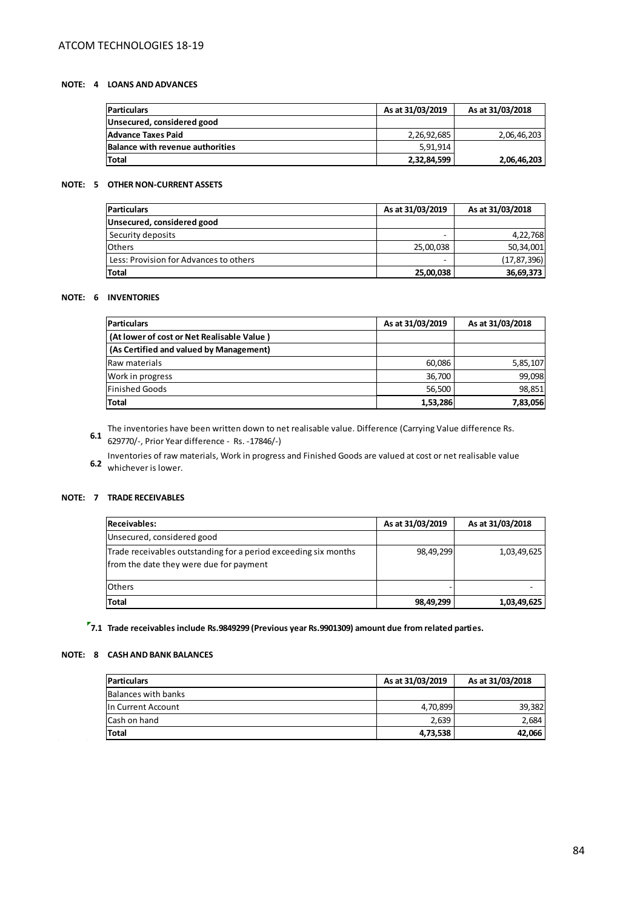# **NOTE: 4 LOANS AND ADVANCES**

| <b>Particulars</b>                      | As at 31/03/2019 | As at 31/03/2018 |
|-----------------------------------------|------------------|------------------|
| Unsecured, considered good              |                  |                  |
| Advance Taxes Paid                      | 2,26,92,685      | 2,06,46,203      |
| <b>Balance with revenue authorities</b> | 5,91,914         |                  |
| Total                                   | 2,32,84,599      | 2,06,46,203      |

# **NOTE: 5 OTHER NON-CURRENT ASSETS**

| <b>Particulars</b>                     | As at 31/03/2019 | As at 31/03/2018 |
|----------------------------------------|------------------|------------------|
| Unsecured, considered good             |                  |                  |
| Security deposits                      | ۰                | 4,22,768         |
| <b>Others</b>                          | 25,00,038        | 50,34,001        |
| Less: Provision for Advances to others | ۰                | (17, 87, 396)    |
| Total                                  | 25,00,038        | 36,69,373        |

## **NOTE: 6 INVENTORIES**

| <b>Particulars</b>                         | As at 31/03/2019 | As at 31/03/2018 |
|--------------------------------------------|------------------|------------------|
| (At lower of cost or Net Realisable Value) |                  |                  |
| (As Certified and valued by Management)    |                  |                  |
| Raw materials                              | 60,086           | 5,85,107         |
| Work in progress                           | 36,700           | 99,098           |
| <b>Finished Goods</b>                      | 56,500           | 98,851           |
| Total                                      | 1,53,286         | 7,83,056         |

**The inventories have been written down to net realisable value. Difference (Carrying Value difference Rs. 6.1 <b>6.1** 20070/ Rrier Vear difference Rs. 629770/-, Prior Year difference - Rs. -17846/-)

 **6.2**  Inventories of raw materials, Work in progress and Finished Goods are valued at cost or net realisable value whichever is lower.

# **NOTE: 7 TRADE RECEIVABLES**

| <b>Receivables:</b>                                                                                        | As at 31/03/2019 | As at 31/03/2018 |
|------------------------------------------------------------------------------------------------------------|------------------|------------------|
| Unsecured, considered good                                                                                 |                  |                  |
| Trade receivables outstanding for a period exceeding six months<br>from the date they were due for payment | 98,49,299        | 1,03,49,625      |
| <b>Others</b>                                                                                              |                  |                  |
| <b>Total</b>                                                                                               | 98,49,299        | 1,03,49,625      |

**7.1 Trade receivables include Rs.9849299 (Previous year Rs.9901309) amount due from related parties.**

## **NOTE: 8 CASH AND BANK BALANCES**

| <b>Particulars</b>  | As at 31/03/2019 | As at 31/03/2018 |
|---------------------|------------------|------------------|
| Balances with banks |                  |                  |
| In Current Account  | 4,70,899         | 39,382           |
| Cash on hand        | 2,639            | 2.684            |
| <b>Total</b>        | 4,73,538         | 42,066           |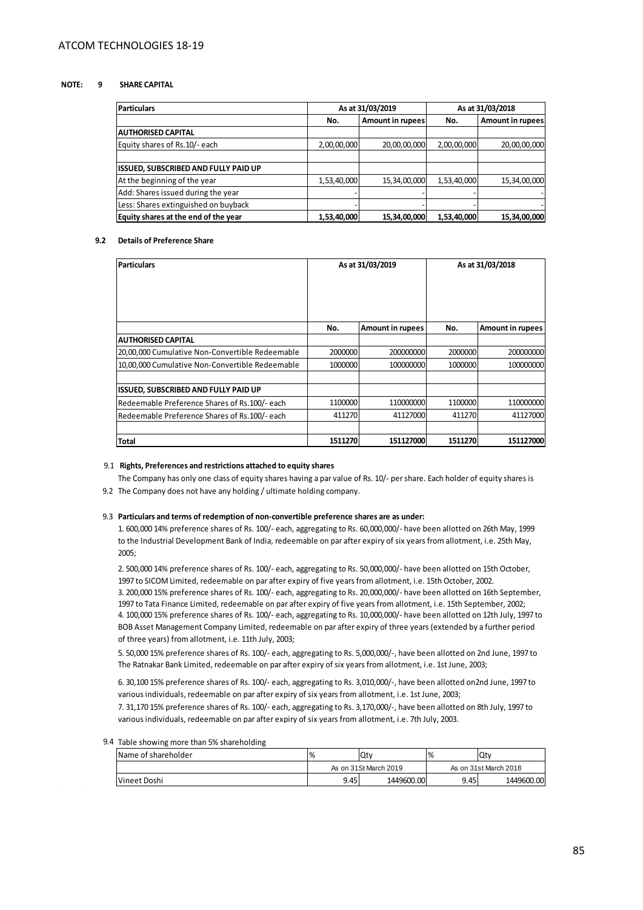#### **NOTE: 9 SHARE CAPITAL**

| <b>Particulars</b>                   |             | As at 31/03/2019        | As at 31/03/2018 |                  |  |
|--------------------------------------|-------------|-------------------------|------------------|------------------|--|
|                                      | No.         | <b>Amount in rupees</b> | No.              | Amount in rupees |  |
| <b>AUTHORISED CAPITAL</b>            |             |                         |                  |                  |  |
| Equity shares of Rs.10/- each        | 2,00,00,000 | 20,00,00,000            | 2,00,00,000      | 20,00,00,000     |  |
|                                      |             |                         |                  |                  |  |
| ISSUED, SUBSCRIBED AND FULLY PAID UP |             |                         |                  |                  |  |
| At the beginning of the year         | 1,53,40,000 | 15,34,00,000            | 1,53,40,000      | 15,34,00,000     |  |
| Add: Shares issued during the year   |             |                         |                  |                  |  |
| Less: Shares extinguished on buyback |             |                         |                  |                  |  |
| Equity shares at the end of the year | 1,53,40,000 | 15,34,00,000            | 1,53,40,000      | 15,34,00,000     |  |

#### **9.2 Details of Preference Share**

| <b>Particulars</b>                              | As at 31/03/2019 |                         | As at 31/03/2018 |                         |
|-------------------------------------------------|------------------|-------------------------|------------------|-------------------------|
|                                                 | No.              | <b>Amount in rupees</b> | No.              | <b>Amount in rupees</b> |
| <b>AUTHORISED CAPITAL</b>                       |                  |                         |                  |                         |
| 20,00,000 Cumulative Non-Convertible Redeemable | 2000000          | 200000000               | 2000000          | 200000000               |
| 10,00,000 Cumulative Non-Convertible Redeemable | 1000000          | 100000000               | 1000000          | 100000000               |
| <b>ISSUED, SUBSCRIBED AND FULLY PAID UP</b>     |                  |                         |                  |                         |
| Redeemable Preference Shares of Rs.100/- each   | 1100000          | 110000000               | 1100000          | 110000000               |
| Redeemable Preference Shares of Rs.100/- each   | 411270           | 41127000                | 411270           | 41127000                |
| Total                                           | 1511270          | 151127000               | 1511270          | 151127000               |

#### 9.1  **Rights, Preferences and restrictions attached to equity shares**

 9.2 The Company does not have any holding / ultimate holding company. The Company has only one class of equity shares having a par value of Rs. 10/- per share. Each holder of equity shares is

#### 9.3 **Particulars and terms of redemption of non-convertible preference shares are as under:**

1. 600,000 14% preference shares of Rs. 100/- each, aggregating to Rs. 60,000,000/- have been allotted on 26th May, 1999 to the Industrial Development Bank of India, redeemable on par after expiry of six years from allotment, i.e. 25th May, 2005;

4. 100,000 15% preference shares of Rs. 100/- each, aggregating to Rs. 10,000,000/- have been allotted on 12th July, 1997 to BOB Asset Management Company Limited, redeemable on par after expiry of three years (extended by a further period of three years) from allotment, i.e. 11th July, 2003; 3. 200,000 15% preference shares of Rs. 100/- each, aggregating to Rs. 20,000,000/- have been allotted on 16th September, 1997 to Tata Finance Limited, redeemable on par after expiry of five years from allotment, i.e. 15th September, 2002; 2. 500,000 14% preference shares of Rs. 100/- each, aggregating to Rs. 50,000,000/- have been allotted on 15th October, 1997 to SICOM Limited, redeemable on par after expiry of five years from allotment, i.e. 15th October, 2002.

5. 50,000 15% preference shares of Rs. 100/- each, aggregating to Rs. 5,000,000/-, have been allotted on 2nd June, 1997 to The Ratnakar Bank Limited, redeemable on par after expiry of six years from allotment, i.e. 1st June, 2003;

6. 30,100 15% preference shares of Rs. 100/- each, aggregating to Rs. 3,010,000/-, have been allotted on2nd June, 1997 to various individuals, redeemable on par after expiry of six years from allotment, i.e. 1st June, 2003;

7. 31,170 15% preference shares of Rs. 100/- each, aggregating to Rs. 3,170,000/-, have been allotted on 8th July, 1997 to various individuals, redeemable on par after expiry of six years from allotment, i.e. 7th July, 2003.

9.4 Table showing more than 5% shareholding

| Name of shareholder | $\frac{9}{6}$         | Qty        | $\frac{1}{6}$         | Qty        |
|---------------------|-----------------------|------------|-----------------------|------------|
|                     | As on 31St March 2019 |            | As on 31st March 2018 |            |
| <b>Vineet Doshi</b> | 9.45                  | 1449600.00 | 9.45                  | 1449600.00 |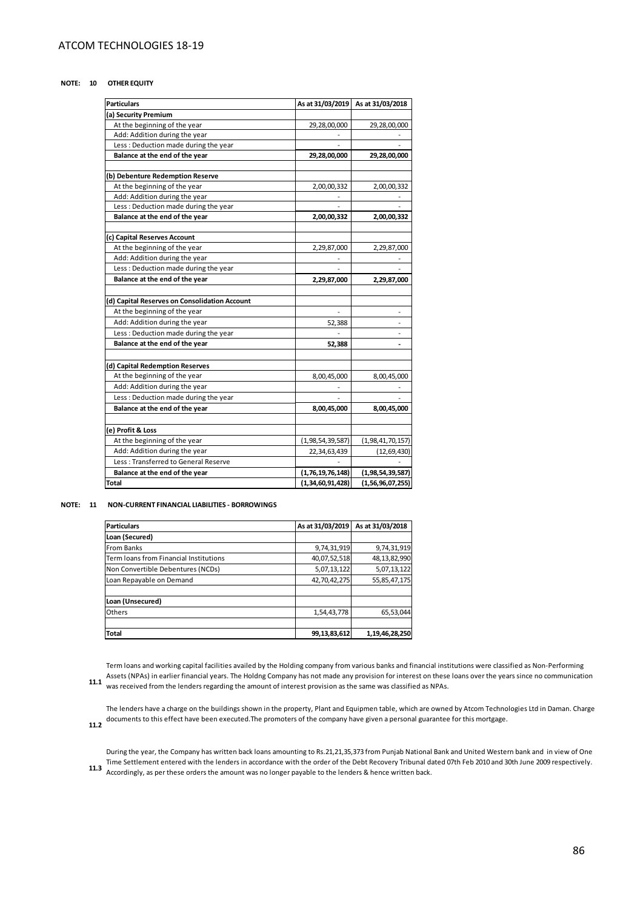#### **NOTE: 10 OTHER EQUITY**

| <b>Particulars</b>                            | As at 31/03/2019         | As at 31/03/2018         |
|-----------------------------------------------|--------------------------|--------------------------|
| (a) Security Premium                          |                          |                          |
| At the beginning of the year                  | 29,28,00,000             | 29,28,00,000             |
| Add: Addition during the year                 |                          |                          |
| Less: Deduction made during the year          |                          |                          |
| Balance at the end of the year                | 29,28,00,000             | 29,28,00,000             |
|                                               |                          |                          |
| (b) Debenture Redemption Reserve              |                          |                          |
| At the beginning of the year                  | 2,00,00,332              | 2,00,00,332              |
| Add: Addition during the year                 |                          |                          |
| Less: Deduction made during the year          |                          |                          |
| Balance at the end of the year                | 2,00,00,332              | 2,00,00,332              |
|                                               |                          |                          |
| (c) Capital Reserves Account                  |                          |                          |
| At the beginning of the year                  | 2,29,87,000              | 2,29,87,000              |
| Add: Addition during the year                 |                          |                          |
| Less: Deduction made during the year          |                          |                          |
| Balance at the end of the year                | 2,29,87,000              | 2,29,87,000              |
|                                               |                          |                          |
| (d) Capital Reserves on Consolidation Account |                          |                          |
| At the beginning of the year                  | $\overline{\phantom{a}}$ | $\overline{\phantom{a}}$ |
| Add: Addition during the year                 | 52,388                   | ٠                        |
| Less: Deduction made during the year          |                          | ٠                        |
| Balance at the end of the year                | 52,388                   | $\overline{a}$           |
|                                               |                          |                          |
| (d) Capital Redemption Reserves               |                          |                          |
| At the beginning of the year                  | 8,00,45,000              | 8,00,45,000              |
| Add: Addition during the year                 |                          |                          |
| Less: Deduction made during the year          |                          |                          |
| Balance at the end of the year                | 8,00,45,000              | 8,00,45,000              |
|                                               |                          |                          |
| (e) Profit & Loss                             |                          |                          |
| At the beginning of the year                  | (1, 98, 54, 39, 587)     | (1,98,41,70,157)         |
| Add: Addition during the year                 | 22,34,63,439             | (12, 69, 430)            |
| Less: Transferred to General Reserve          |                          |                          |
| Balance at the end of the year                | (1,76,19,76,148)         | (1, 98, 54, 39, 587)     |
| <b>Total</b>                                  | (1,34,60,91,428)         | (1,56,96,07,255)         |

#### **NOTE: 11 NON-CURRENT FINANCIAL LIABILITIES - BORROWINGS**

| <b>Particulars</b>                     | As at 31/03/2019 | As at 31/03/2018 |
|----------------------------------------|------------------|------------------|
| Loan (Secured)                         |                  |                  |
| <b>From Banks</b>                      | 9,74,31,919      | 9,74,31,919      |
| Term loans from Financial Institutions | 40,07,52,518     | 48,13,82,990     |
| Non Convertible Debentures (NCDs)      | 5,07,13,122      | 5,07,13,122      |
| Loan Repayable on Demand               | 42,70,42,275     | 55,85,47,175     |
|                                        |                  |                  |
| Loan (Unsecured)                       |                  |                  |
| Others                                 | 1,54,43,778      | 65,53,044        |
|                                        |                  |                  |
| <b>Total</b>                           | 99,13,83,612     | 1,19,46,28,250   |

Assets (NPAs) in earlier financial years. The Holdng Company has not made any provision for interest on these loans over the years since no communication 11.1<br>11.1 **Maging the loader regarding the amount of** interest pravi Term loans and working capital facilities availed by the Holding company from various banks and financial institutions were classified as Non-Performing was received from the lenders regarding the amount of interest provision as the same was classified as NPAs.

The lenders have a charge on the buildings shown in the property, Plant and Equipmen table, which are owned by Atcom Technologies Ltd in Daman. Charge documents to this effect have been executed.The promoters of the company have given a personal guarantee for this mortgage.

 **11.2** 

Time Settlement entered with the lenders in accordance with the order of the Debt Recovery Tribunal dated 07th Feb 2010 and 30th June 2009 respectively.<br>11.3 Accordingly as parthose orders the amount was no lenger payable During the year, the Company has written back loans amounting to Rs.21,21,35,373 from Punjab National Bank and United Western bank and in view of One Accordingly, as per these orders the amount was no longer payable to the lenders & hence written back.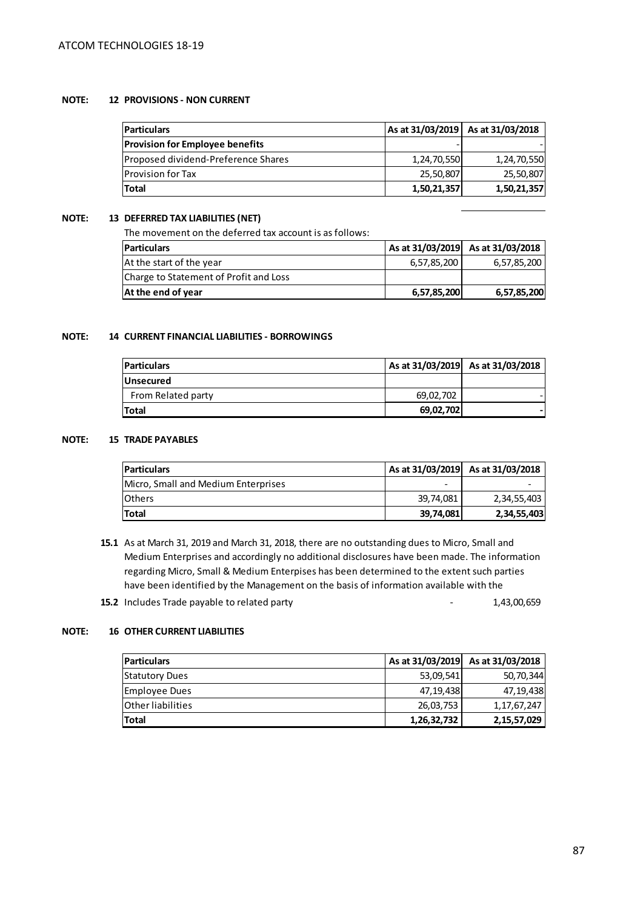# **NOTE: 12 PROVISIONS - NON CURRENT**

| Particula |  |
|-----------|--|
|           |  |

| <b>Particulars</b>                     |             | As at 31/03/2019 As at 31/03/2018 |
|----------------------------------------|-------------|-----------------------------------|
| <b>Provision for Employee benefits</b> |             |                                   |
| Proposed dividend-Preference Shares    | 1,24,70,550 | 1,24,70,550                       |
| Provision for Tax                      | 25,50,807   | 25,50,807                         |
| Total                                  | 1,50,21,357 | 1,50,21,357                       |

# **NOTE: 13 DEFERRED TAX LIABILITIES (NET)**

The movement on the deferred tax account is as follows:

| <b>Particulars</b>                     |             | As at 31/03/2019 As at 31/03/2018 |
|----------------------------------------|-------------|-----------------------------------|
| At the start of the year               | 6,57,85,200 | 6,57,85,200                       |
| Charge to Statement of Profit and Loss |             |                                   |
| At the end of year                     | 6,57,85,200 | 6,57,85,200                       |

# **NOTE: 14 CURRENT FINANCIAL LIABILITIES - BORROWINGS**

| <b>Particulars</b> |           | As at 31/03/2019 As at 31/03/2018 |
|--------------------|-----------|-----------------------------------|
| <b>Unsecured</b>   |           |                                   |
| From Related party | 69,02,702 |                                   |
| <b>Total</b>       | 69,02,702 |                                   |

## **NOTE: 15 TRADE PAYABLES**

| <b>Particulars</b>                  |           | As at 31/03/2019 As at 31/03/2018 |
|-------------------------------------|-----------|-----------------------------------|
| Micro, Small and Medium Enterprises | -         |                                   |
| <b>I</b> Others                     | 39.74.081 | 2,34,55,403                       |
| <b>Total</b>                        | 39,74,081 | 2,34,55,403                       |

- **15.1**  As at March 31, 2019 and March 31, 2018, there are no outstanding dues to Micro, Small and Medium Enterprises and accordingly no additional disclosures have been made. The information regarding Micro, Small & Medium Enterpises has been determined to the extent such parties have been identified by the Management on the basis of information available with the
- **15.2** Includes Trade payable to related party **15.2** Includes Trade payable to related party

# **NOTE: 16 OTHER CURRENT LIABILITIES**

| <b>Particulars</b>       |             | As at 31/03/2019 As at 31/03/2018 |
|--------------------------|-------------|-----------------------------------|
| <b>Statutory Dues</b>    | 53,09,541   | 50,70,344                         |
| <b>Employee Dues</b>     | 47,19,438   | 47,19,438                         |
| <b>Other liabilities</b> | 26,03,753   | 1, 17, 67, 247                    |
| Total                    | 1,26,32,732 | 2, 15, 57, 029                    |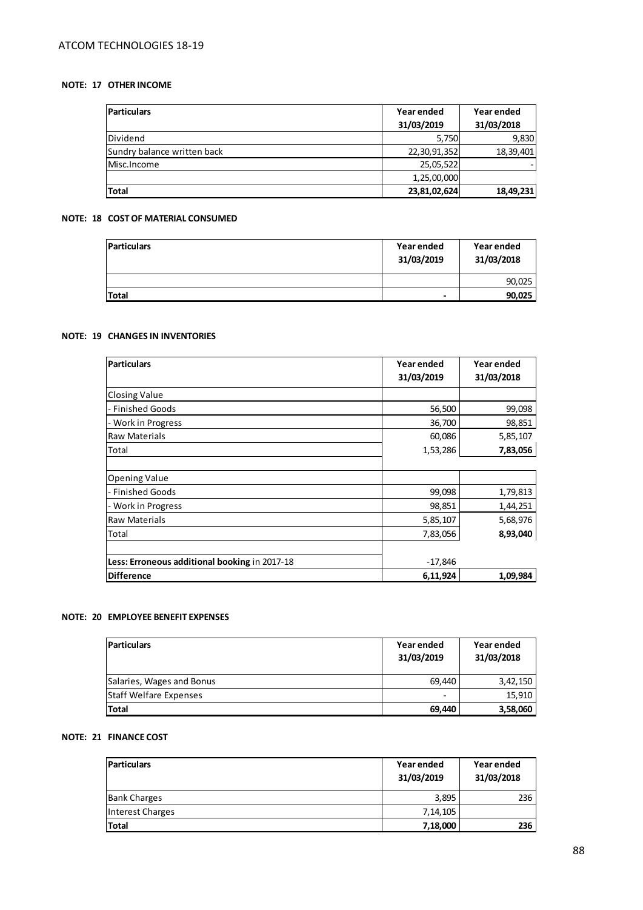# **NOTE: 17 OTHER INCOME**

| <b>Particulars</b>          | Year ended   | Year ended |
|-----------------------------|--------------|------------|
|                             | 31/03/2019   | 31/03/2018 |
| Dividend                    | 5,750        | 9,830      |
| Sundry balance written back | 22,30,91,352 | 18,39,401  |
| Misc.Income                 | 25,05,522    |            |
|                             | 1,25,00,000  |            |
| <b>Total</b>                | 23,81,02,624 | 18,49,231  |

# **NOTE: 18 COST OF MATERIAL CONSUMED**

| <b>Particulars</b> | Year ended<br>31/03/2019 | Year ended<br>31/03/2018 |
|--------------------|--------------------------|--------------------------|
|                    |                          | 90,025                   |
| <b>Total</b>       | -                        | 90,025                   |

## **NOTE: 19 CHANGES IN INVENTORIES**

| <b>Particulars</b>                            | Year ended<br>31/03/2019 | Year ended<br>31/03/2018 |
|-----------------------------------------------|--------------------------|--------------------------|
| <b>Closing Value</b>                          |                          |                          |
| - Finished Goods                              | 56,500                   | 99,098                   |
| - Work in Progress                            | 36,700                   | 98,851                   |
| <b>Raw Materials</b>                          | 60,086                   | 5,85,107                 |
| Total                                         | 1,53,286                 | 7,83,056                 |
| <b>Opening Value</b>                          |                          |                          |
| - Finished Goods                              | 99,098                   | 1,79,813                 |
| - Work in Progress                            | 98,851                   | 1,44,251                 |
| <b>Raw Materials</b>                          | 5,85,107                 | 5,68,976                 |
| Total                                         | 7,83,056                 | 8,93,040                 |
| Less: Erroneous additional booking in 2017-18 | $-17,846$                |                          |
| Difference                                    | 6,11,924                 | 1,09,984                 |

## **NOTE: 20 EMPLOYEE BENEFIT EXPENSES**

| <b>Particulars</b>            | Year ended<br>31/03/2019 | Year ended<br>31/03/2018 |
|-------------------------------|--------------------------|--------------------------|
| Salaries, Wages and Bonus     | 69,440                   | 3,42,150                 |
| <b>Staff Welfare Expenses</b> | -                        | 15,910                   |
| <b>Total</b>                  | 69,440                   | 3,58,060                 |

# **NOTE: 21 FINANCE COST**

| <b>Particulars</b>  | Year ended<br>31/03/2019 | Year ended<br>31/03/2018 |  |
|---------------------|--------------------------|--------------------------|--|
| <b>Bank Charges</b> | 3,895                    | 236                      |  |
| Interest Charges    | 7, 14, 105               |                          |  |
| Total               | 7,18,000                 | 236                      |  |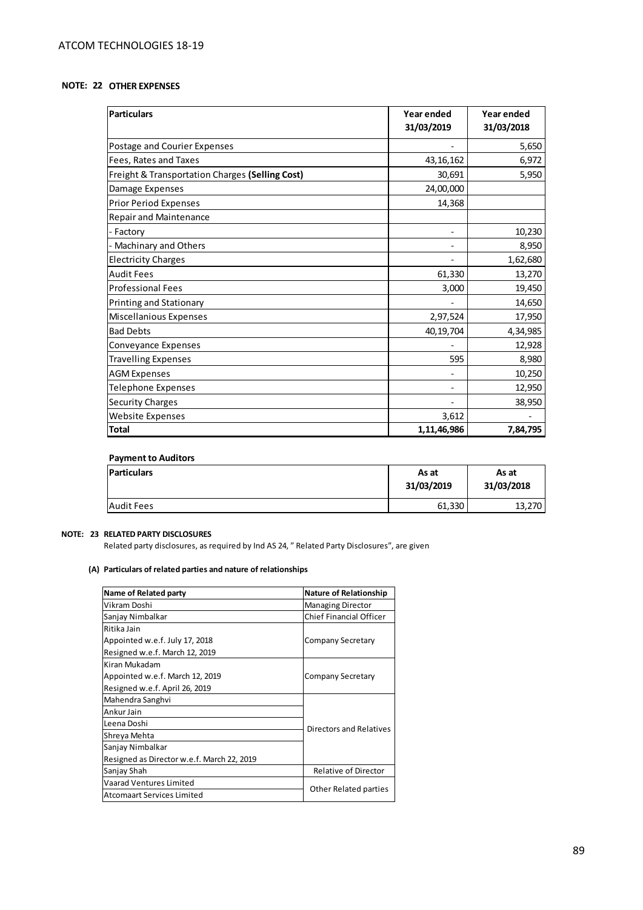# **NOTE: 22 OTHER EXPENSES**

| <b>Particulars</b>                              | Year ended<br>31/03/2019 | Year ended<br>31/03/2018 |
|-------------------------------------------------|--------------------------|--------------------------|
| Postage and Courier Expenses                    |                          | 5,650                    |
| Fees, Rates and Taxes                           | 43, 16, 162              | 6,972                    |
| Freight & Transportation Charges (Selling Cost) | 30,691                   | 5,950                    |
| Damage Expenses                                 | 24,00,000                |                          |
| <b>Prior Period Expenses</b>                    | 14,368                   |                          |
| <b>Repair and Maintenance</b>                   |                          |                          |
| - Factory                                       |                          | 10,230                   |
| - Machinary and Others                          |                          | 8,950                    |
| <b>Electricity Charges</b>                      |                          | 1,62,680                 |
| <b>Audit Fees</b>                               | 61,330                   | 13,270                   |
| <b>Professional Fees</b>                        | 3,000                    | 19,450                   |
| <b>Printing and Stationary</b>                  |                          | 14,650                   |
| <b>Miscellanious Expenses</b>                   | 2,97,524                 | 17,950                   |
| <b>Bad Debts</b>                                | 40,19,704                | 4,34,985                 |
| Conveyance Expenses                             |                          | 12,928                   |
| <b>Travelling Expenses</b>                      | 595                      | 8,980                    |
| <b>AGM Expenses</b>                             |                          | 10,250                   |
| <b>Telephone Expenses</b>                       |                          | 12,950                   |
| <b>Security Charges</b>                         |                          | 38,950                   |
| Website Expenses                                | 3,612                    |                          |
| <b>Total</b>                                    | 1,11,46,986              | 7,84,795                 |

## **Payment to Auditors**

| <b>Particulars</b> | As at<br>31/03/2019 |        |
|--------------------|---------------------|--------|
| <b>Audit Fees</b>  | 61,330              | 13,270 |

## **NOTE: 23 RELATED PARTY DISCLOSURES**

 $\mathcal{L}_{\rm{max}}$ 

 $\sim$ 

Related party disclosures, as required by Ind AS 24, " Related Party Disclosures", are given

#### **(A) Particulars of related parties and nature of relationships**

| Name of Related party                      | <b>Nature of Relationship</b>  |
|--------------------------------------------|--------------------------------|
| Vikram Doshi                               | <b>Managing Director</b>       |
| Sanjay Nimbalkar                           | <b>Chief Financial Officer</b> |
| Ritika Jain                                |                                |
| Appointed w.e.f. July 17, 2018             | Company Secretary              |
| Resigned w.e.f. March 12, 2019             |                                |
| Kiran Mukadam                              |                                |
| Appointed w.e.f. March 12, 2019            | Company Secretary              |
| Resigned w.e.f. April 26, 2019             |                                |
| Mahendra Sanghvi                           |                                |
| Ankur Jain                                 |                                |
| Leena Doshi                                | Directors and Relatives        |
| Shreya Mehta                               |                                |
| Sanjay Nimbalkar                           |                                |
| Resigned as Director w.e.f. March 22, 2019 |                                |
| Sanjay Shah                                | Relative of Director           |
| Vaarad Ventures Limited                    | Other Related parties          |
| Atcomaart Services Limited                 |                                |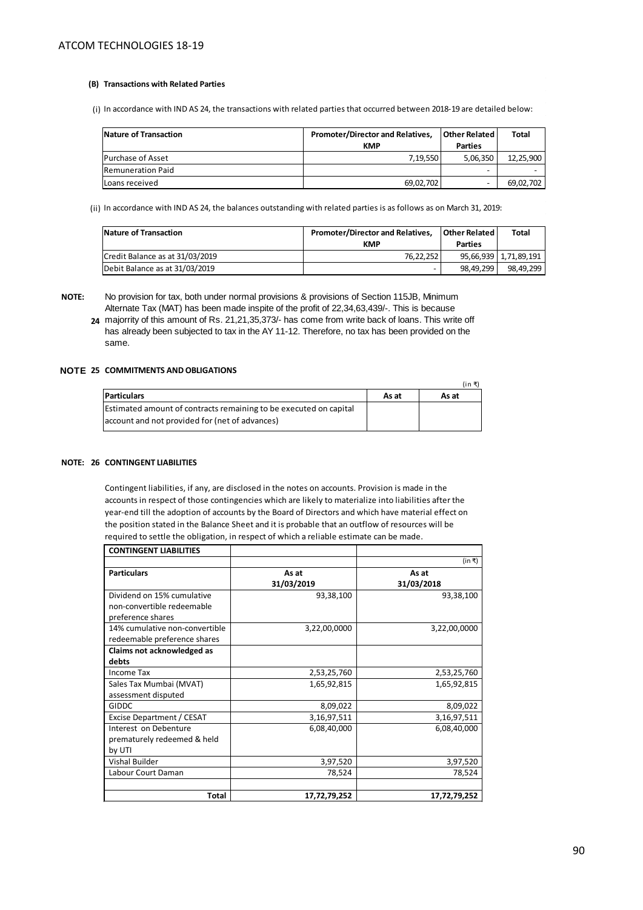#### **(B) Transactions with Related Parties**

(i) In accordance with IND AS 24, the transactions with related parties that occurred between 2018-19 are detailed below:

| Nature of Transaction    | <b>Promoter/Director and Relatives.</b> | <b>Other Related</b>     | <b>Total</b> |
|--------------------------|-----------------------------------------|--------------------------|--------------|
|                          | <b>KMP</b>                              | <b>Parties</b>           |              |
| <b>Purchase of Asset</b> | 7.19.550                                | 5,06,350                 | 12,25,900    |
| <b>Remuneration Paid</b> |                                         | $\overline{\phantom{0}}$ |              |
| Loans received           | 69,02,702                               |                          | 69,02,702    |

(ii) In accordance with IND AS 24, the balances outstanding with related parties is as follows as on March 31, 2019:

| Nature of Transaction           | <b>Promoter/Director and Relatives,</b> | Other Related | <b>Total</b>          |
|---------------------------------|-----------------------------------------|---------------|-----------------------|
|                                 | <b>KMP</b>                              | Parties       |                       |
| Credit Balance as at 31/03/2019 | 76.22.252                               |               | 95,66,939 1,71,89,191 |
| Debit Balance as at 31/03/2019  |                                         | 98.49.299     | 98.49.299             |

**NOTE:**

has already been subjected to tax in the AY 11-12. Therefore, no tax has been provided on the same.

#### **NOTE: 25 COMMITMENTS AND OBLIGATIONS**

|                                                                   |       | (in ₹ |
|-------------------------------------------------------------------|-------|-------|
| <b>Particulars</b>                                                | As at | As at |
| Estimated amount of contracts remaining to be executed on capital |       |       |
| account and not provided for (net of advances)                    |       |       |

## **NOTE: 26 CONTINGENT LIABILITIES**

Contingent liabilities, if any, are disclosed in the notes on accounts. Provision is made in the accounts in respect of those contingencies which are likely to materialize into liabilities after the year-end till the adoption of accounts by the Board of Directors and which have material effect on the position stated in the Balance Sheet and it is probable that an outflow of resources will be required to settle the obligation, in respect of which a reliable estimate can be made.

| <b>CONTINGENT LIABILITIES</b>  |                     |                     |
|--------------------------------|---------------------|---------------------|
|                                |                     | (in ₹)              |
| <b>Particulars</b>             | As at<br>31/03/2019 | As at<br>31/03/2018 |
| Dividend on 15% cumulative     | 93,38,100           | 93,38,100           |
| non-convertible redeemable     |                     |                     |
| preference shares              |                     |                     |
| 14% cumulative non-convertible | 3,22,00,0000        | 3,22,00,0000        |
| redeemable preference shares   |                     |                     |
| Claims not acknowledged as     |                     |                     |
| debts                          |                     |                     |
| Income Tax                     | 2,53,25,760         | 2,53,25,760         |
| Sales Tax Mumbai (MVAT)        | 1,65,92,815         | 1,65,92,815         |
| assessment disputed            |                     |                     |
| GIDDC                          | 8,09,022            | 8,09,022            |
| Excise Department / CESAT      | 3,16,97,511         | 3,16,97,511         |
| Interest on Debenture          | 6,08,40,000         | 6,08,40,000         |
| prematurely redeemed & held    |                     |                     |
| by UTI                         |                     |                     |
| <b>Vishal Builder</b>          | 3,97,520            | 3,97,520            |
| Labour Court Daman             | 78,524              | 78,524              |
|                                |                     |                     |
| Total                          | 17,72,79,252        | 17,72,79,252        |

 **<sup>24</sup>**  majorrity of this amount of Rs. 21,21,35,373/- has come from write back of loans. This write off No provision for tax, both under normal provisions & provisions of Section 115JB, Minimum Alternate Tax (MAT) has been made inspite of the profit of 22,34,63,439/-. This is because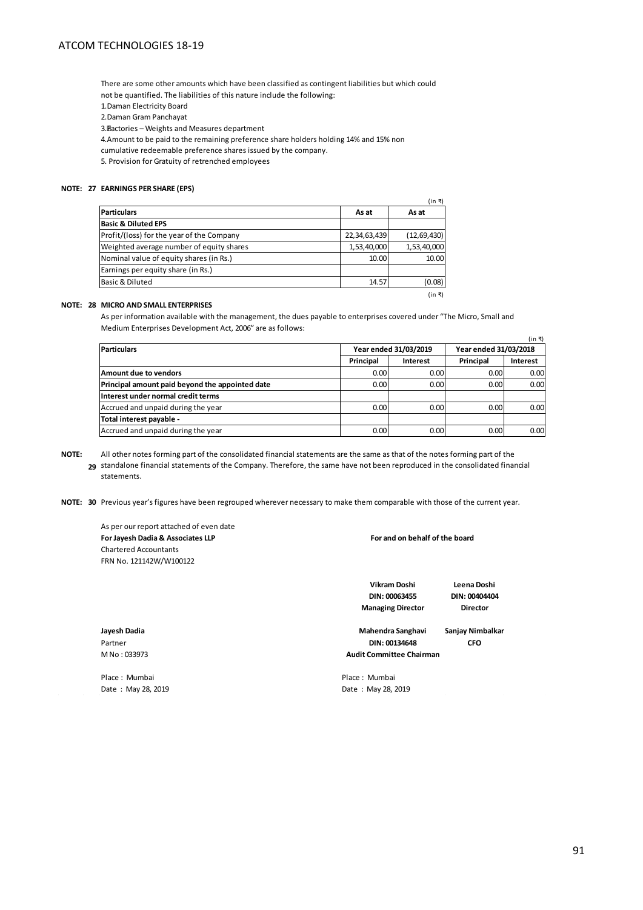There are some other amounts which have been classified as contingent liabilities but which could not be quantified. The liabilities of this nature include the following: 1. Daman Electricity Board 2. Daman Gram Panchayat

3. Factories – Weights and Measures department

4. Amount to be paid to the remaining preference share holders holding 14% and 15% non

cumulative redeemable preference shares issued by the company.

5. Provision for Gratuity of retrenched employees

### **NOTE: 27 EARNINGS PER SHARE (EPS)**

|                                           |              | (in ₹)        |
|-------------------------------------------|--------------|---------------|
| <b>Particulars</b>                        | As at        | As at         |
| <b>Basic &amp; Diluted EPS</b>            |              |               |
| Profit/(loss) for the year of the Company | 22,34,63,439 | (12, 69, 430) |
| Weighted average number of equity shares  | 1,53,40,000  | 1,53,40,000   |
| Nominal value of equity shares (in Rs.)   | 10.00        | 10.00         |
| Earnings per equity share (in Rs.)        |              |               |
| Basic & Diluted                           | 14.57        | (0.08)        |
|                                           |              | (in ₹)        |

## **NOTE: 28 MICRO AND SMALL ENTERPRISES**

As per information available with the management, the dues payable to enterprises covered under "The Micro, Small and Medium Enterprises Development Act, 2006" are as follows:

| (in ₹)                                          |           |                                                |                   |          |  |
|-------------------------------------------------|-----------|------------------------------------------------|-------------------|----------|--|
| <b>Particulars</b>                              |           | Year ended 31/03/2019<br>Year ended 31/03/2018 |                   |          |  |
|                                                 | Principal | <b>Interest</b>                                | Principal         | Interest |  |
| Amount due to vendors                           | 0.00      | 0.00                                           | 0.00 <sub>l</sub> | 0.00     |  |
| Principal amount paid beyond the appointed date | 0.00      | 0.00                                           | 0.00              | 0.00     |  |
| Interest under normal credit terms              |           |                                                |                   |          |  |
| Accrued and unpaid during the year              | 0.00      | 0.00                                           | 0.00              | 0.00     |  |
| Total interest payable -                        |           |                                                |                   |          |  |
| Accrued and unpaid during the year              | 0.00      | 0.00                                           | 0.00              | 0.00     |  |

**NOTE: 29**  standalone financial statements of the Company. Therefore, the same have not been reproduced in the consolidated financial All other notes forming part of the consolidated financial statements are the same as that of the notes forming part of the statements.

**NOTE: 30**  Previous year's figures have been regrouped wherever necessary to make them comparable with those of the current year.

As per our report attached of even date **For Jayesh Dadia & Associates LLP** Chartered Accountants FRN No. 121142W/W100122

**For and on behalf of the board**

**Vikram Doshi DIN: 00063455 Managing Director**

**Leena Doshi DIN: 00404404 Director**

**Jayesh Dadia Sanjay Nimbalkar Mahendra Sanghavi** Partner **CFO DIN: 00134648**

**Audit Committee Chairman**

Date : May 28, 2019 Date : May 28, 2019

M No : 033973

Place : Mumbai **Place** : Mumbai